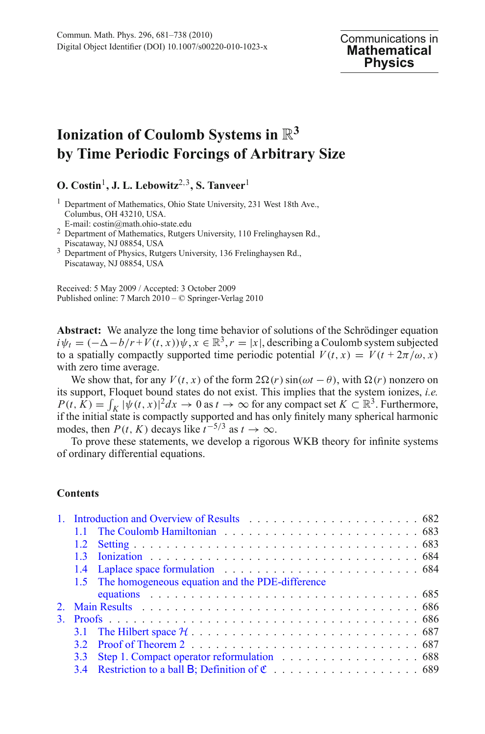# **Ionization of Coulomb Systems in** R**<sup>3</sup> by Time Periodic Forcings of Arbitrary Size**

## **O. Costin**1**, J. L. Lebowitz**2,3**, S. Tanveer**<sup>1</sup>

- <sup>1</sup> Department of Mathematics, Ohio State University, 231 West 18th Ave., Columbus, OH 43210, USA.
- 
- E-mail: costin@math.ohio-state.edu <sup>2</sup> Department of Mathematics, Rutgers University, 110 Frelinghaysen Rd., Piscataway, NJ 08854, USA <sup>3</sup> Department of Physics, Rutgers University, 136 Frelinghaysen Rd.,
- Piscataway, NJ 08854, USA

Received: 5 May 2009 / Accepted: 3 October 2009 Published online: 7 March 2010 – © Springer-Verlag 2010

**Abstract:** We analyze the long time behavior of solutions of the Schrödinger equation  $i\psi_t = (-\Delta - b/r + V(t, x))\psi, x \in \mathbb{R}^3, r = |x|$ , describing a Coulomb system subjected to a spatially compactly supported time periodic potential  $V(t, x) = V(t + 2\pi/\omega, x)$ with zero time average.

We show that, for any  $V(t, x)$  of the form  $2\Omega(r)$  sin( $\omega t - \theta$ ), with  $\Omega(r)$  nonzero on its support, Floquet bound states do not exist. This implies that the system ionizes, *i.e.*  $P(t, K) = \int_K |\psi(t, x)|^2 dx \to 0$  as  $t \to \infty$  for any compact set  $K \subset \mathbb{R}^3$ . Furthermore, if the initial state is compactly supported and has only finitely many spherical harmonic modes, then *P*(*t*, *K*) decays like  $t^{-5/3}$  as  $t \to \infty$ .

To prove these statements, we develop a rigorous WKB theory for infinite systems of ordinary differential equations.

## **Contents**

| 13  |                                                     |
|-----|-----------------------------------------------------|
|     |                                                     |
|     | 1.5 The homogeneous equation and the PDE-difference |
|     |                                                     |
|     |                                                     |
|     |                                                     |
|     |                                                     |
|     |                                                     |
| 3.3 |                                                     |
|     |                                                     |
|     |                                                     |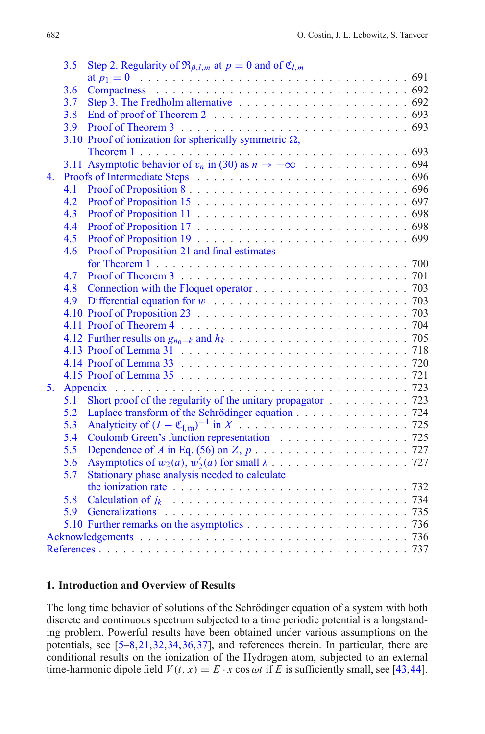|    | 3.5 | Step 2. Regularity of $\Re_{\beta,l,m}$ at $p = 0$ and of $\mathfrak{C}_{l,m}$                                |  |
|----|-----|---------------------------------------------------------------------------------------------------------------|--|
|    |     |                                                                                                               |  |
|    | 3.6 |                                                                                                               |  |
|    | 3.7 |                                                                                                               |  |
|    | 3.8 |                                                                                                               |  |
|    | 3.9 |                                                                                                               |  |
|    |     | 3.10 Proof of ionization for spherically symmetric $\Omega$ ,                                                 |  |
|    |     |                                                                                                               |  |
|    |     | 3.11 Asymptotic behavior of $v_n$ in (30) as $n \to -\infty$ 694                                              |  |
| 4. |     |                                                                                                               |  |
|    | 4.1 |                                                                                                               |  |
|    | 4.2 |                                                                                                               |  |
|    | 4.3 |                                                                                                               |  |
|    | 4.4 |                                                                                                               |  |
|    | 4.5 |                                                                                                               |  |
|    | 4.6 | Proof of Proposition 21 and final estimates                                                                   |  |
|    |     |                                                                                                               |  |
|    | 4.7 |                                                                                                               |  |
|    | 4.8 |                                                                                                               |  |
|    | 4.9 |                                                                                                               |  |
|    |     |                                                                                                               |  |
|    |     |                                                                                                               |  |
|    |     |                                                                                                               |  |
|    |     |                                                                                                               |  |
|    |     |                                                                                                               |  |
|    |     |                                                                                                               |  |
| 5. |     |                                                                                                               |  |
|    | 5.1 | Short proof of the regularity of the unitary propagator $\ldots \ldots \ldots$ 723                            |  |
|    | 5.2 | Laplace transform of the Schrödinger equation 724                                                             |  |
|    | 5.3 |                                                                                                               |  |
|    | 5.4 | Coulomb Green's function representation 725                                                                   |  |
|    | 5.5 |                                                                                                               |  |
|    | 5.6 |                                                                                                               |  |
|    | 5.7 | Stationary phase analysis needed to calculate                                                                 |  |
|    |     | the ionization rate $\ldots \ldots \ldots \ldots \ldots \ldots \ldots \ldots \ldots \ldots \ldots \ldots$ 732 |  |
|    | 5.8 |                                                                                                               |  |
|    | 5.9 |                                                                                                               |  |
|    |     |                                                                                                               |  |
|    |     |                                                                                                               |  |
|    |     |                                                                                                               |  |
|    |     |                                                                                                               |  |

#### <span id="page-1-0"></span>**1. Introduction and Overview of Results**

The long time behavior of solutions of the Schrödinger equation of a system with both discrete and continuous spectrum subjected to a time periodic potential is a longstanding problem. Powerful results have been obtained under various assumptions on the potentials, see [\[5](#page-56-0)[–8](#page-56-1),[21](#page-56-2),[32,](#page-57-0)[34](#page-57-1)[,36](#page-57-2)[,37](#page-57-3)], and references therein. In particular, there are conditional results on the ionization of the Hydrogen atom, subjected to an external time-harmonic dipole field  $V(t, x) = E \cdot x \cos \omega t$  if *E* is sufficiently small, see [\[43](#page-57-4)[,44](#page-57-5)].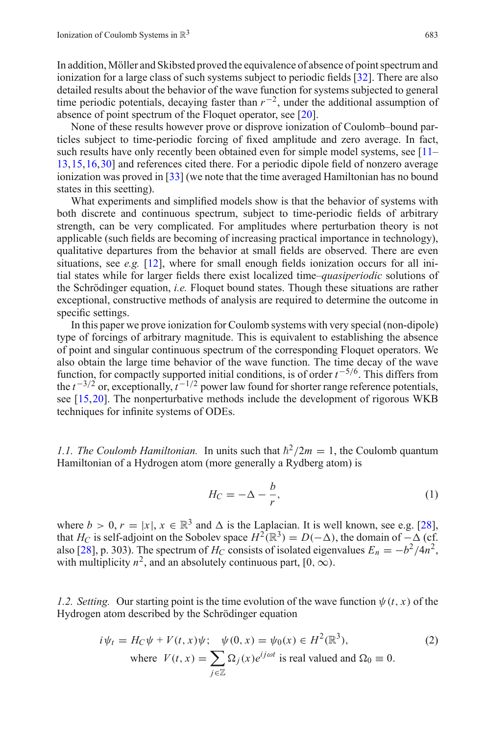In addition, Möller and Skibsted proved the equivalence of absence of point spectrum and ionization for a large class of such systems subject to periodic fields [\[32\]](#page-57-0). There are also detailed results about the behavior of the wave function for systems subjected to general time periodic potentials, decaying faster than *r*<sup>−</sup>2, under the additional assumption of absence of point spectrum of the Floquet operator, see [\[20](#page-56-3)].

None of these results however prove or disprove ionization of Coulomb–bound particles subject to time-periodic forcing of fixed amplitude and zero average. In fact, such results have only recently been obtained even for simple model systems, see [\[11](#page-56-4)– [13,](#page-56-5)[15](#page-56-6)[,16](#page-56-7)[,30](#page-56-8)] and references cited there. For a periodic dipole field of nonzero average ionization was proved in [\[33](#page-57-6)] (we note that the time averaged Hamiltonian has no bound states in this seetting).

What experiments and simplified models show is that the behavior of systems with both discrete and continuous spectrum, subject to time-periodic fields of arbitrary strength, can be very complicated. For amplitudes where perturbation theory is not applicable (such fields are becoming of increasing practical importance in technology), qualitative departures from the behavior at small fields are observed. There are even situations, see *e.g.* [\[12\]](#page-56-9), where for small enough fields ionization occurs for all initial states while for larger fields there exist localized time–*quasiperiodic* solutions of the Schrödinger equation, *i.e.* Floquet bound states. Though these situations are rather exceptional, constructive methods of analysis are required to determine the outcome in specific settings.

In this paper we prove ionization for Coulomb systems with very special (non-dipole) type of forcings of arbitrary magnitude. This is equivalent to establishing the absence of point and singular continuous spectrum of the corresponding Floquet operators. We also obtain the large time behavior of the wave function. The time decay of the wave function, for compactly supported initial conditions, is of order *t* <sup>−</sup>5/6. This differs from the  $t^{-3/2}$  or, exceptionally,  $t^{-1/2}$  power law found for shorter range reference potentials, see [\[15,](#page-56-6)[20\]](#page-56-3). The nonperturbative methods include the development of rigorous WKB techniques for infinite systems of ODEs.

<span id="page-2-0"></span>*1.1. The Coulomb Hamiltonian.* In units such that  $\hbar^2/2m = 1$ , the Coulomb quantum Hamiltonian of a Hydrogen atom (more generally a Rydberg atom) is

$$
H_C = -\Delta - \frac{b}{r},\tag{1}
$$

where  $b > 0$ ,  $r = |x|$ ,  $x \in \mathbb{R}^3$  and  $\Delta$  is the Laplacian. It is well known, see e.g. [\[28](#page-56-10)], that *H<sub>C</sub>* is self-adjoint on the Sobolev space  $H^2(\mathbb{R}^3) = D(-\Delta)$ , the domain of  $-\Delta$  (cf. also [\[28](#page-56-10)], p. 303). The spectrum of  $H_C$  consists of isolated eigenvalues  $E_n = -b^2/4n^2$ , with multiplicity  $n^2$ , and an absolutely continuous part,  $[0, \infty)$ .

<span id="page-2-2"></span><span id="page-2-1"></span>*1.2. Setting.* Our starting point is the time evolution of the wave function  $\psi(t, x)$  of the Hydrogen atom described by the Schrödinger equation

$$
i\psi_t = H_C \psi + V(t, x)\psi; \quad \psi(0, x) = \psi_0(x) \in H^2(\mathbb{R}^3),
$$
  
where  $V(t, x) = \sum_{j \in \mathbb{Z}} \Omega_j(x)e^{ij\omega t}$  is real valued and  $\Omega_0 \equiv 0$ . (2)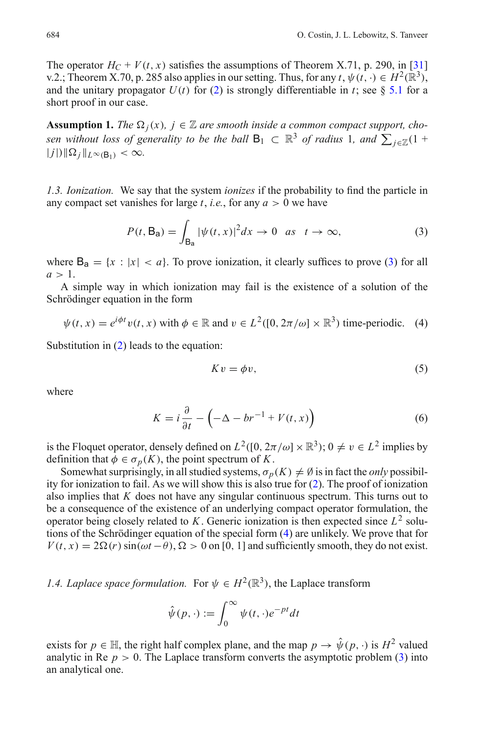The operator  $H_C + V(t, x)$  satisfies the assumptions of Theorem X.71, p. 290, in [\[31\]](#page-56-11) v.2.; Theorem X.70, p. 285 also applies in our setting. Thus, for any  $t, \psi(t, \cdot) \in H^2(\mathbb{R}^3)$ , and the unitary propagator  $U(t)$  for [\(2\)](#page-2-2) is strongly differentiable in *t*; see § [5.1](#page-42-1) for a short proof in our case.

**Assumption 1.** *The*  $\Omega_i(x)$ *,*  $j \in \mathbb{Z}$  are smooth inside a common compact support, cho*sen without loss of generality to be the ball*  $B_1 \subset \mathbb{R}^3$  *of radius* 1*, and*  $\sum_{j\in\mathbb{Z}}(1 + j\mathbb{Z})$  $|j|$ <sup>*j*</sup> $|\Omega_j|$ <sub>*L*∞(B<sub>1</sub></sub>) < ∞.

<span id="page-3-0"></span>*1.3. Ionization.* We say that the system *ionizes* if the probability to find the particle in any compact set vanishes for large  $t$ , *i.e.*, for any  $a > 0$  we have

$$
P(t, \mathsf{B}_{\mathsf{a}}) = \int_{\mathsf{B}_{\mathsf{a}}} |\psi(t, x)|^2 dx \to 0 \quad \text{as} \quad t \to \infty,
$$
 (3)

<span id="page-3-2"></span>where  $B_a = \{x : |x| < a\}$ . To prove ionization, it clearly suffices to prove [\(3\)](#page-3-2) for all  $a > 1$ .

A simple way in which ionization may fail is the existence of a solution of the Schrödinger equation in the form

$$
\psi(t, x) = e^{i\phi t} v(t, x) \text{ with } \phi \in \mathbb{R} \text{ and } v \in L^2([0, 2\pi/\omega] \times \mathbb{R}^3) \text{ time-periodic.} \quad (4)
$$

<span id="page-3-3"></span>Substitution in [\(2\)](#page-2-2) leads to the equation:

$$
Kv = \phi v,\tag{5}
$$

where

<span id="page-3-4"></span>
$$
K = i\frac{\partial}{\partial t} - \left(-\Delta - br^{-1} + V(t, x)\right) \tag{6}
$$

is the Floquet operator, densely defined on  $L^2([0, 2\pi/\omega] \times \mathbb{R}^3)$ ;  $0 \neq v \in L^2$  implies by definition that  $\phi \in \sigma_p(K)$ , the point spectrum of *K*.

Somewhat surprisingly, in all studied systems,  $\sigma_p(K) \neq \emptyset$  is in fact the *only* possibility for ionization to fail. As we will show this is also true for [\(2\)](#page-2-2). The proof of ionization also implies that *K* does not have any singular continuous spectrum. This turns out to be a consequence of the existence of an underlying compact operator formulation, the operator being closely related to  $K$ . Generic ionization is then expected since  $L^2$  solutions of the Schrödinger equation of the special form [\(4\)](#page-3-3) are unlikely. We prove that for  $V(t, x) = 2\Omega(r) \sin(\omega t - \theta)$ ,  $\Omega > 0$  on [0, 1] and sufficiently smooth, they do not exist.

<span id="page-3-1"></span>*1.4. Laplace space formulation.* For  $\psi \in H^2(\mathbb{R}^3)$ , the Laplace transform

$$
\hat{\psi}(p,\cdot) := \int_0^\infty \psi(t,\cdot)e^{-pt}dt
$$

exists for  $p \in \mathbb{H}$ , the right half complex plane, and the map  $p \to \hat{\psi}(p, \cdot)$  is  $H^2$  valued analytic in Re  $p > 0$ . The Laplace transform converts the asymptotic problem [\(3\)](#page-3-2) into an analytical one.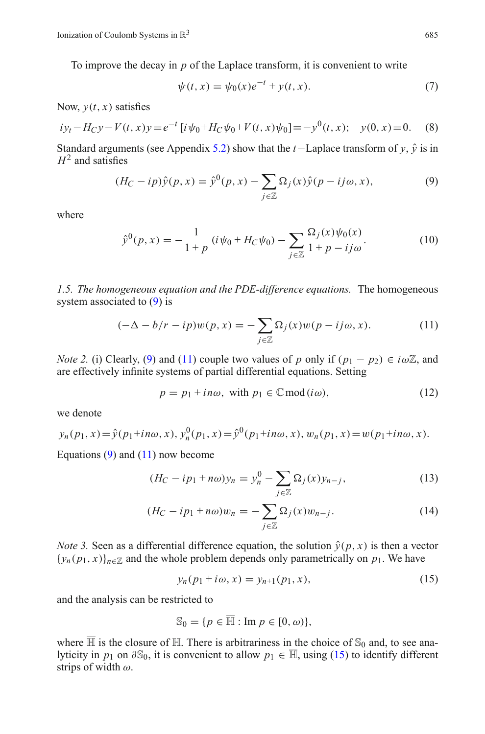<span id="page-4-9"></span>To improve the decay in *p* of the Laplace transform, it is convenient to write

$$
\psi(t, x) = \psi_0(x)e^{-t} + y(t, x).
$$
\n(7)

Now,  $y(t, x)$  satisfies

<span id="page-4-7"></span>
$$
iy_t - H_C y - V(t, x)y = e^{-t} [i \psi_0 + H_C \psi_0 + V(t, x) \psi_0] \equiv -y^0(t, x); \quad y(0, x) = 0. \tag{8}
$$

<span id="page-4-1"></span>Standard arguments (see Appendix [5.2\)](#page-43-0) show that the *t*−Laplace transform of *y*,  $\hat{y}$  is in  $H^2$  and satisfies

$$
(H_C - ip)\hat{y}(p, x) = \hat{y}^0(p, x) - \sum_{j \in \mathbb{Z}} \Omega_j(x)\hat{y}(p - ij\omega, x), \tag{9}
$$

<span id="page-4-6"></span>where

$$
\hat{y}^0(p,x) = -\frac{1}{1+p} \left( i\psi_0 + H_C \psi_0 \right) - \sum_{j \in \mathbb{Z}} \frac{\Omega_j(x)\psi_0(x)}{1+p - ij\omega}.
$$
\n(10)

<span id="page-4-0"></span>*1.5. The homogeneous equation and the PDE-difference equations.* The homogeneous system associated to [\(9\)](#page-4-1) is

$$
(-\Delta - b/r - ip)w(p, x) = -\sum_{j \in \mathbb{Z}} \Omega_j(x)w(p - ij\omega, x). \tag{11}
$$

<span id="page-4-8"></span><span id="page-4-2"></span>*Note 2.* (i) Clearly, [\(9\)](#page-4-1) and [\(11\)](#page-4-2) couple two values of *p* only if  $(p_1 - p_2) \in i\omega\mathbb{Z}$ , and are effectively infinite systems of partial differential equations. Setting

$$
p = p_1 + in\omega, \text{ with } p_1 \in \mathbb{C} \text{ mod } (i\omega), \tag{12}
$$

we denote

$$
y_n(p_1, x) = \hat{y}(p_1 + in\omega, x), y_n^0(p_1, x) = \hat{y}^0(p_1 + in\omega, x), w_n(p_1, x) = w(p_1 + in\omega, x).
$$

<span id="page-4-4"></span>Equations  $(9)$  and  $(11)$  now become

$$
(H_C - ip_1 + n\omega)y_n = y_n^0 - \sum_{j \in \mathbb{Z}} \Omega_j(x)y_{n-j},\tag{13}
$$

$$
(H_C - ip_1 + n\omega)w_n = -\sum_{j \in \mathbb{Z}} \Omega_j(x)w_{n-j}.
$$
 (14)

<span id="page-4-5"></span>*Note 3.* Seen as a differential difference equation, the solution  $\hat{y}(p, x)$  is then a vector  ${y_n(p_1, x)}_{n \in \mathbb{Z}}$  and the whole problem depends only parametrically on  $p_1$ . We have

$$
y_n(p_1 + i\omega, x) = y_{n+1}(p_1, x),
$$
\n(15)

<span id="page-4-3"></span>and the analysis can be restricted to

$$
\mathbb{S}_0 = \{ p \in \overline{\mathbb{H}} : \text{Im } p \in [0, \omega) \},
$$

where  $\overline{\mathbb{H}}$  is the closure of  $\mathbb{H}$ . There is arbitrariness in the choice of  $\mathbb{S}_0$  and, to see analyticity in *p*<sub>1</sub> on  $\partial S_0$ , it is convenient to allow *p*<sub>1</sub> ∈  $\overline{\mathbb{H}}$ , using [\(15\)](#page-4-3) to identify different strips of width  $\omega$ .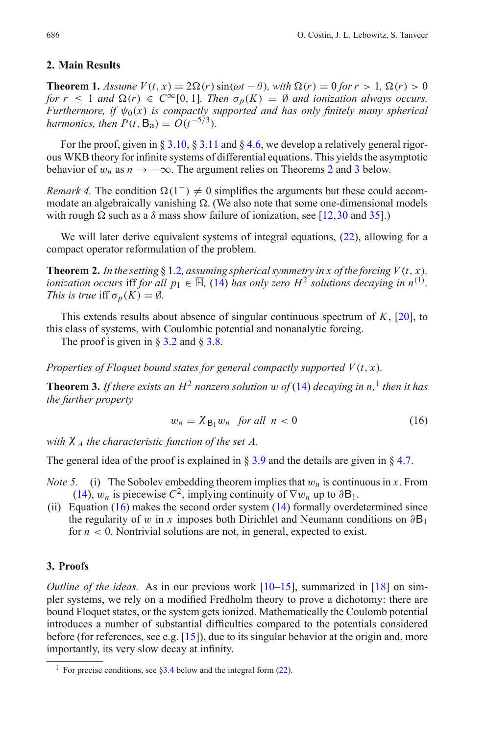## <span id="page-5-0"></span>**2. Main Results**

<span id="page-5-4"></span>**Theorem 1.** *Assume*  $V(t, x) = 2\Omega(r) \sin(\omega t - \theta)$ *, with*  $\Omega(r) = 0$  *for*  $r > 1$ *,*  $\Omega(r) > 0$ *for*  $r < 1$  *and*  $\Omega(r) \in C^{\infty}[0, 1]$ *. Then*  $\sigma_p(K) = \emptyset$  *and ionization always occurs. Furthermore, if*  $\psi_0(x)$  *is compactly supported and has only finitely many spherical harmonics, then*  $P(t, B_a) = O(t^{-5/3})$ .

For the proof, given in  $\S 3.10$ ,  $\S 3.11$  $\S 3.11$  and  $\S 4.6$ , we develop a relatively general rigorous WKB theory for infinite systems of differential equations. This yields the asymptotic behavior of  $w_n$  as  $n \to -\infty$ . The argument relies on Theorems [2](#page-5-2) and [3](#page-5-3) below.

*Remark 4.* The condition  $\Omega(1^-) \neq 0$  simplifies the arguments but these could accommodate an algebraically vanishing  $\Omega$ . (We also note that some one-dimensional models with rough  $\Omega$  such as a  $\delta$  mass show failure of ionization, see [\[12](#page-56-9)[,30](#page-56-8) and [35\]](#page-57-7).)

<span id="page-5-2"></span>We will later derive equivalent systems of integral equations, [\(22\)](#page-8-2), allowing for a compact operator reformulation of the problem.

**Theorem 2.** In the setting § [1.2](#page-2-1), assuming spherical symmetry in x of the forcing  $V(t, x)$ , *ionization occurs* iff *for all*  $p_1 \in \overline{\mathbb{H}}$ , [\(14\)](#page-4-4) *has only zero*  $H^2$  *solutions decaying in*  $n^{(1)}$ *. This is true* iff  $\sigma_p(K) = \emptyset$ *.* 

This extends results about absence of singular continuous spectrum of *K*, [\[20](#page-56-3)], to this class of systems, with Coulombic potential and nonanalytic forcing.

The proof is given in  $\S 3.2$  $\S 3.2$  and  $\S 3.8$ .

<span id="page-5-3"></span>*Properties of Floquet bound states for general compactly supported*  $V(t, x)$ *.* 

**Theorem 3.** If there exists an  $H^2$  nonzero solution w of [\(14\)](#page-4-4) decaying in n,<sup>[1](#page-5-5)</sup> then it has *the further property*

$$
w_n = \chi_{\mathcal{B}_1} w_n \quad \text{for all} \quad n < 0 \tag{16}
$$

<span id="page-5-6"></span>*with* χ *<sup>A</sup> the characteristic function of the set A.*

<span id="page-5-7"></span>The general idea of the proof is explained in  $\S 3.9$  $\S 3.9$  and the details are given in  $\S 4.7$ .

- *Note 5.* (i) The Sobolev embedding theorem implies that  $w_n$  is continuous in x. From [\(14\)](#page-4-4),  $w_n$  is piecewise  $C^2$ , implying continuity of  $\nabla w_n$  up to  $\partial B_1$ .
- (ii) Equation  $(16)$  makes the second order system  $(14)$  formally overdetermined since the regularity of w in x imposes both Dirichlet and Neumann conditions on  $\partial B_1$ for  $n < 0$ . Nontrivial solutions are not, in general, expected to exist.

## <span id="page-5-1"></span>**3. Proofs**

*Outline of the ideas.* As in our previous work [\[10](#page-56-12)[–15\]](#page-56-6), summarized in [\[18\]](#page-56-13) on simpler systems, we rely on a modified Fredholm theory to prove a dichotomy: there are bound Floquet states, or the system gets ionized. Mathematically the Coulomb potential introduces a number of substantial difficulties compared to the potentials considered before (for references, see e.g.  $[15]$ ), due to its singular behavior at the origin and, more importantly, its very slow decay at infinity.

<span id="page-5-5"></span><sup>&</sup>lt;sup>1</sup> For precise conditions, see  $83.4$  below and the integral form [\(22\)](#page-8-2).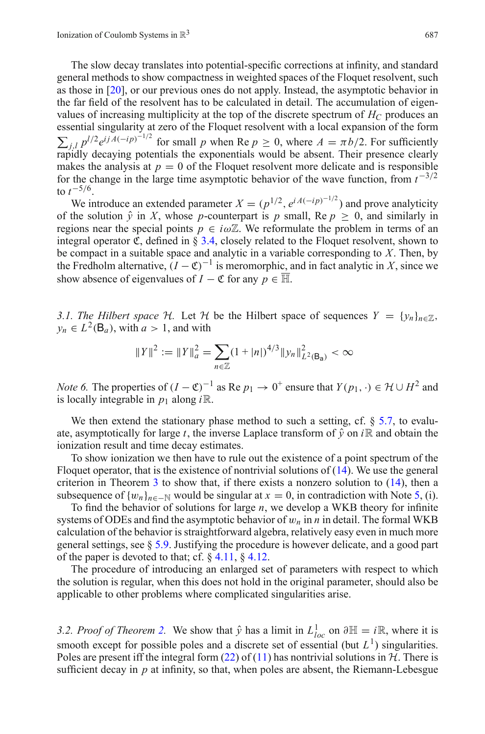The slow decay translates into potential-specific corrections at infinity, and standard general methods to show compactness in weighted spaces of the Floquet resolvent, such as those in [\[20\]](#page-56-3), or our previous ones do not apply. Instead, the asymptotic behavior in the far field of the resolvent has to be calculated in detail. The accumulation of eigenvalues of increasing multiplicity at the top of the discrete spectrum of  $H_C$  produces an essential singularity at zero of the Floquet resolvent with a local expansion of the form  $\sum_{j,l} p^{l/2} e^{ijA(-ip)^{-1/2}}$  for small *p* when Re  $p \ge 0$ , where  $A = \pi b/2$ . For sufficiently rapidly decaying potentials the exponentials would be absent. Their presence clearly makes the analysis at  $p = 0$  of the Floquet resolvent more delicate and is responsible for the change in the large time asymptotic behavior of the wave function, from *t*−3/<sup>2</sup> to  $t^{-5/6}$ .

We introduce an extended parameter  $X = (p^{1/2}, e^{iA(-ip)^{-1/2}})$  and prove analyticity of the solution  $\hat{y}$  in *X*, whose *p*-counterpart is *p* small, Re  $p \ge 0$ , and similarly in regions near the special points  $p \in i\omega\mathbb{Z}$ . We reformulate the problem in terms of an integral operator  $\mathfrak{C}$ , defined in § [3.4,](#page-8-0) closely related to the Floquet resolvent, shown to be compact in a suitable space and analytic in a variable corresponding to *X*. Then, by the Fredholm alternative,  $(I - \mathfrak{C})^{-1}$  is meromorphic, and in fact analytic in *X*, since we show absence of eigenvalues of *I* −  $\mathfrak C$  for any  $p \in \overline{\mathbb H}$ .

<span id="page-6-0"></span>*3.1. The Hilbert space*  $H$ *.* Let  $H$  be the Hilbert space of sequences  $Y = \{y_n\}_{n \in \mathbb{Z}}$ ,  $y_n \in L^2(\mathsf{B}_a)$ , with  $a > 1$ , and with

$$
||Y||^2 := ||Y||_a^2 = \sum_{n \in \mathbb{Z}} (1 + |n|)^{4/3} ||y_n||_{L^2(\mathsf{B}_a)}^2 < \infty
$$

*Note 6.* The properties of  $(I - \mathfrak{C})^{-1}$  as Re  $p_1 \to 0^+$  ensure that  $Y(p_1, \cdot) \in \mathcal{H} \cup H^2$  and is locally integrable in  $p_1$  along  $i\mathbb{R}$ .

We then extend the stationary phase method to such a setting, cf.  $\S$  [5.7,](#page-51-0) to evaluate, asymptotically for large *t*, the inverse Laplace transform of  $\hat{y}$  on *i*R and obtain the ionization result and time decay estimates.

To show ionization we then have to rule out the existence of a point spectrum of the Floquet operator, that is the existence of nontrivial solutions of  $(14)$ . We use the general criterion in Theorem [3](#page-5-3) to show that, if there exists a nonzero solution to [\(14\)](#page-4-4), then a subsequence of  $\{w_n\}_{n \in \mathbb{N}}$  would be singular at  $x = 0$ , in contradiction with Note [5,](#page-5-7) (i).

To find the behavior of solutions for large *n*, we develop a WKB theory for infinite systems of ODEs and find the asymptotic behavior of  $w_n$  in *n* in detail. The formal WKB calculation of the behavior is straightforward algebra, relatively easy even in much more general settings, see § [5.9.](#page-54-0) Justifying the procedure is however delicate, and a good part of the paper is devoted to that; cf.  $\S$  [4.11,](#page-23-0)  $\S$  [4.12.](#page-24-0)

The procedure of introducing an enlarged set of parameters with respect to which the solution is regular, when this does not hold in the original parameter, should also be applicable to other problems where complicated singularities arise.

<span id="page-6-1"></span>*3.[2.](#page-5-2) Proof of Theorem 2.* We show that  $\hat{y}$  has a limit in  $L_{loc}^1$  on  $\partial \mathbb{H} = i\mathbb{R}$ , where it is smooth except for possible poles and a discrete set of essential (but  $L<sup>1</sup>$ ) singularities. Poles are present iff the integral form  $(22)$  of  $(11)$  has nontrivial solutions in  $H$ . There is sufficient decay in *p* at infinity, so that, when poles are absent, the Riemann-Lebesgue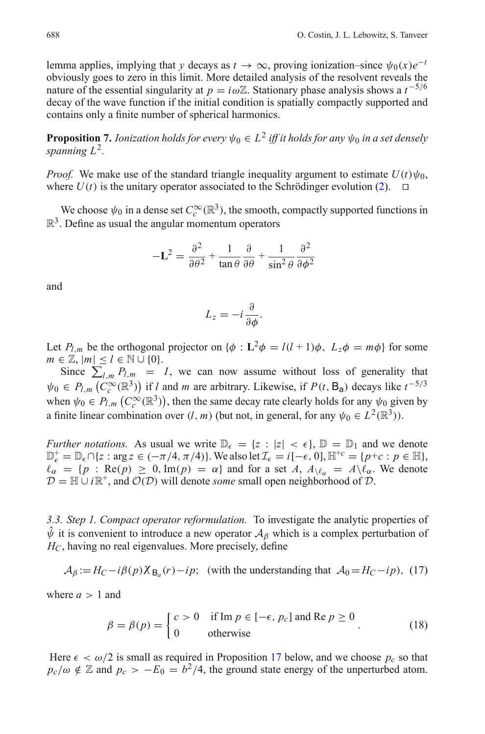lemma applies, implying that *y* decays as  $t \to \infty$ , proving ionization–since  $\psi_0(x)e^{-t}$ obviously goes to zero in this limit. More detailed analysis of the resolvent reveals the nature of the essential singularity at *p* = *i*ω $\mathbb{Z}$ . Stationary phase analysis shows a *t*<sup>−5/6</sup> decay of the wave function if the initial condition is spatially compactly supported and contains only a finite number of spherical harmonics.

**Proposition 7.** *Ionization holds for every*  $\psi_0 \in L^2$  *iff it holds for any*  $\psi_0$  *in a set densely spanning L*2*.*

*Proof.* We make use of the standard triangle inequality argument to estimate  $U(t)\psi_0$ , where  $U(t)$  is the unitary operator associated to the Schrödinger evolution [\(2\)](#page-2-2).  $\Box$ 

We choose  $\psi_0$  in a dense set  $C_c^{\infty}(\mathbb{R}^3)$ , the smooth, compactly supported functions in  $\mathbb{R}^3$ . Define as usual the angular momentum operators

$$
-\mathbf{L}^2 = \frac{\partial^2}{\partial \theta^2} + \frac{1}{\tan \theta} \frac{\partial}{\partial \theta} + \frac{1}{\sin^2 \theta} \frac{\partial^2}{\partial \phi^2}
$$

and

$$
L_z = -i\frac{\partial}{\partial \phi}.
$$

Let  $P_{l,m}$  be the orthogonal projector on  $\{\phi : L^2\phi = l(l+1)\phi, L_z\phi = m\phi\}$  for some  $m \in \mathbb{Z}, |m| \leq l \in \mathbb{N} \cup \{0\}.$ 

Since  $\sum_{l,m} P_{l,m} = I$ , we can now assume without loss of generality that  $ψ<sub>0</sub> ∈ P<sub>l,m</sub> (C<sub>c</sub><sup>∞</sup>(ℝ<sup>3</sup>))$  if *l* and *m* are arbitrary. Likewise, if  $P(t, B<sub>a</sub>)$  decays like  $t<sup>-5/3</sup>$ when  $\psi_0 \in P_{l,m} (C_c^{\infty}(\mathbb{R}^3))$ , then the same decay rate clearly holds for any  $\psi_0$  given by a finite linear combination over  $(l, m)$  (but not, in general, for any  $\psi_0 \in L^2(\mathbb{R}^3)$ ).

*Further notations.* As usual we write  $\mathbb{D}_{\epsilon} = \{z : |z| < \epsilon\}$ ,  $\mathbb{D} = \mathbb{D}_1$  and we denote  $\mathbb{D}_{\epsilon}^{+} = \mathbb{D}_{\epsilon} \cap \{z : \arg z \in (-\pi/4, \pi/4)\}.$  We also let  $\mathcal{I}_{\epsilon} = i[-\epsilon, 0], \mathbb{H}^{+c} = \{p+c : p \in \mathbb{H}\},$  $\ell_{\alpha} = \{p : \text{Re}(p) \geq 0, \text{Im}(p) = \alpha\}$  and for a set *A*,  $A_{\lambda} \ell_{\alpha} = A \lambda \ell_{\alpha}$ . We denote  $D = \mathbb{H} \cup i\mathbb{R}^+$ , and  $\mathcal{O}(D)$  will denote *some* small open neighborhood of  $D$ .

<span id="page-7-0"></span>*3.3. Step 1. Compact operator reformulation.* To investigate the analytic properties of  $\hat{\psi}$  it is convenient to introduce a new operator  $A_{\beta}$  which is a complex perturbation of *HC*, having no real eigenvalues. More precisely, define

$$
\mathcal{A}_{\beta} := H_C - i\beta(p)\chi_{\mathcal{B}_a}(r) - ip;
$$
 (with the understanding that  $\mathcal{A}_0 = H_C - ip$ ), (17)

<span id="page-7-2"></span>where  $a > 1$  and

$$
\beta = \beta(p) = \begin{cases} c > 0 & \text{if } \text{Im } p \in [-\epsilon, p_c] \text{ and } \text{Re } p \ge 0 \\ 0 & \text{otherwise} \end{cases}
$$
 (18)

<span id="page-7-1"></span>Here  $\epsilon < \omega/2$  is small as required in Proposition [17](#page-10-2) below, and we choose  $p_c$  so that  $p_c/\omega \notin \mathbb{Z}$  and  $p_c > -E_0 = b^2/4$ , the ground state energy of the unperturbed atom.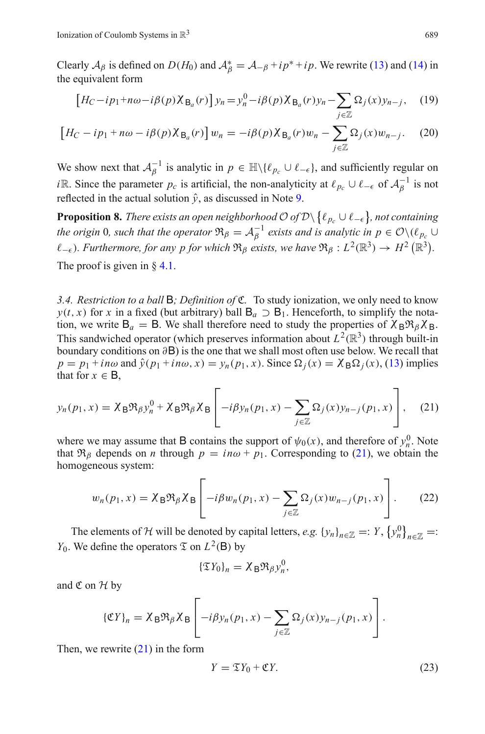Clearly  $A_\beta$  is defined on  $D(H_0)$  and  $A_\beta^* = A_{-\beta} + ip^* + ip$ . We rewrite [\(13\)](#page-4-4) and [\(14\)](#page-4-4) in the equivalent form

$$
\left[ H_C - ip_1 + n\omega - i\beta(p) \chi_{\mathsf{B}_a}(r) \right] y_n = y_n^0 - i\beta(p) \chi_{\mathsf{B}_a}(r) y_n - \sum_{j \in \mathbb{Z}} \Omega_j(x) y_{n-j}, \quad (19)
$$

$$
\left[ H_C - ip_1 + n\omega - i\beta(p) \chi_{\mathcal{B}_a}(r) \right] w_n = -i\beta(p) \chi_{\mathcal{B}_a}(r) w_n - \sum_{j \in \mathbb{Z}} \Omega_j(x) w_{n-j}.
$$
 (20)

We show next that  $A_{\beta}^{-1}$  is analytic in  $p \in \mathbb{H} \setminus \{ \ell_{p_c} \cup \ell_{-\epsilon} \}$ , and sufficiently regular on *i*R. Since the parameter  $p_c$  is artificial, the non-analyticity at  $\ell_{p_c} \cup \ell_{-\epsilon}$  of  $\mathcal{A}_{\beta}^{-1}$  is not reflected in the actual solution  $\hat{y}$ , as discussed in Note [9.](#page-8-3)

<span id="page-8-1"></span>**Proposition 8.** *There exists an open neighborhood*  $\mathcal{O}$  *of*  $\mathcal{D}\setminus\{\ell_{p_c}\cup\ell_{-\epsilon}\}\text{, not containing}$ *the origin* 0*, such that the operator*  $\mathfrak{R}_{\beta} = \mathcal{A}_{\beta}^{-1}$  *exists and is analytic in*  $p \in \mathcal{O} \setminus (\ell_{p_c} \cup$  $\ell_{-\epsilon}$ ). Furthermore, for any p for which  $\mathfrak{R}_\beta$  exists, we have  $\mathfrak{R}_\beta : L^2(\mathbb{R}^3) \to H^2(\mathbb{R}^3)$ . The proof is given in  $\frac{8}{4}$ .

<span id="page-8-0"></span>*3.4. Restriction to a ball* B*; Definition of* C*.* To study ionization, we only need to know *y*(*t*, *x*) for *x* in a fixed (but arbitrary) ball  $B_a \supset B_1$ . Henceforth, to simplify the notation, we write  $B_a = B$ . We shall therefore need to study the properties of  $\chi_B \mathfrak{R}_\beta \chi_B$ . This sandwiched operator (which preserves information about  $L^2(\mathbb{R}^3)$  through built-in boundary conditions on ∂B) is the one that we shall most often use below. We recall that  $p = p_1 + in\omega$  and  $\hat{y}(p_1 + in\omega, x) = y_n(p_1, x)$ . Since  $\Omega_i(x) = \chi_B \Omega_i(x)$ , [\(13\)](#page-4-4) implies that for  $x \in B$ ,

<span id="page-8-4"></span>
$$
y_n(p_1, x) = \chi_B \Re \beta y_n^0 + \chi_B \Re \beta \chi_B \left[ -i\beta y_n(p_1, x) - \sum_{j \in \mathbb{Z}} \Omega_j(x) y_{n-j}(p_1, x) \right], \quad (21)
$$

where we may assume that **B** contains the support of  $\psi_0(x)$ , and therefore of  $y_n^0$ . Note that  $\Re$ <sub>β</sub> depends on *n* through  $p = in\omega + p_1$ . Corresponding to [\(21\)](#page-8-4), we obtain the homogeneous system:

$$
w_n(p_1, x) = \chi_B \Re_\beta \chi_B \left[ -i\beta w_n(p_1, x) - \sum_{j \in \mathbb{Z}} \Omega_j(x) w_{n-j}(p_1, x) \right].
$$
 (22)

<span id="page-8-2"></span>The elements of *H* will be denoted by capital letters, *e.g.*  $\{y_n\}_{n\in\mathbb{Z}}=:Y$ ,  $\{y_n^0\}_{n\in\mathbb{Z}}$  =: *Y*<sub>0</sub>. We define the operators  $\mathfrak{T}$  on  $L^2(\mathsf{B})$  by

$$
\{\mathfrak{T}Y_0\}_n=\chi_{\mathsf{B}}\mathfrak{R}_\beta\chi^0_n,
$$

and  $\mathfrak C$  on  $\mathcal H$  by

<span id="page-8-5"></span>
$$
\{\mathfrak{C}Y\}_n = \chi_{\mathsf{B}}\mathfrak{R}_{\beta}\chi_{\mathsf{B}}\left[-i\beta y_n(p_1,x) - \sum_{j\in\mathbb{Z}}\Omega_j(x)y_{n-j}(p_1,x)\right].
$$

<span id="page-8-3"></span>Then, we rewrite  $(21)$  in the form

$$
Y = \mathfrak{T}Y_0 + \mathfrak{C}Y. \tag{23}
$$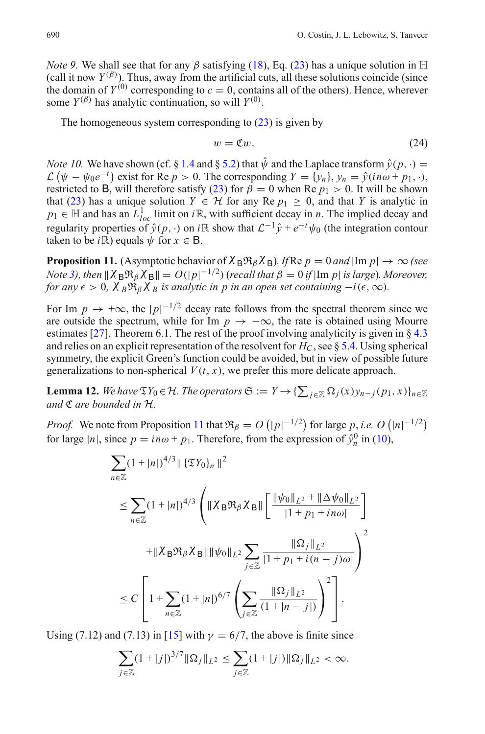*Note 9.* We shall see that for any  $\beta$  satisfying [\(18\)](#page-7-1), Eq. [\(23\)](#page-8-5) has a unique solution in  $\mathbb{H}$ (call it now  $Y^{(\beta)}$ ). Thus, away from the artificial cuts, all these solutions coincide (since the domain of  $Y^{(0)}$  corresponding to  $c = 0$ , contains all of the others). Hence, wherever some  $Y^{(\beta)}$  has analytic continuation, so will  $Y^{(0)}$ .

<span id="page-9-2"></span>The homogeneous system corresponding to  $(23)$  is given by

$$
w = \mathfrak{C}w.\tag{24}
$$

<span id="page-9-1"></span>*Note 10.* We have shown (cf. § [1.4](#page-3-1) and § [5.2\)](#page-43-0) that  $\hat{\psi}$  and the Laplace transform  $\hat{y}(p, \cdot)$  =  $\mathcal{L}(\psi - \psi_0 e^{-t})$  exist for Re  $p > 0$ . The corresponding  $Y = \{y_n\}$ ,  $y_n = \hat{y}(in\omega + p_1, \cdot)$ , restricted to B, will therefore satisfy [\(23\)](#page-8-5) for  $\beta = 0$  when Re  $p_1 > 0$ . It will be shown that [\(23\)](#page-8-5) has a unique solution  $Y \in H$  for any Re  $p_1 \geq 0$ , and that *Y* is analytic in  $p_1 \in \mathbb{H}$  and has an  $L^1_{loc}$  limit on *i*R, with sufficient decay in *n*. The implied decay and regularity properties of  $\hat{y}(p, \cdot)$  on  $i\mathbb{R}$  show that  $\mathcal{L}^{-1}\hat{y} + e^{-t}\psi_0$  (the integration contour taken to be *i* $\mathbb{R}$ ) equals  $\psi$  for  $x \in \mathsf{B}$ .

<span id="page-9-0"></span>**Proposition 11.** (Asymptotic behavior of  $\chi_B \Re \beta \chi_B$ )*. If* Re *p* = 0 *and* |Im *p*| → ∞ (see *Note* [3\)](#page-4-5), then  $\|\chi_B \Re_\beta \chi_B\| = O(|p|^{-1/2})$  (recall that  $\beta = 0$  if  $|\text{Im } p|$  is large). Moreover, *for any*  $\epsilon > 0$ ,  $\chi_B \mathfrak{R}_B \chi_B$  *is analytic in p in an open set containing*  $-i(\epsilon, \infty)$ *.* 

For Im  $p \to +\infty$ , the  $|p|^{-1/2}$  decay rate follows from the spectral theorem since we are outside the spectrum, while for Im  $p \to -\infty$ , the rate is obtained using Mourre estimates [\[27\]](#page-56-14), Theorem 6.1. The rest of the proof involving analyticity is given in § [4.3](#page-17-0) and relies on an explicit representation of the resolvent for  $H_C$ , see § [5.4.](#page-44-1) Using spherical symmetry, the explicit Green's function could be avoided, but in view of possible future generalizations to non-spherical  $V(t, x)$ , we prefer this more delicate approach.

<span id="page-9-3"></span>**Lemma 12.** We have  $\mathfrak{T}Y_0 \in \mathcal{H}$ . The operators  $\mathfrak{S} := Y \to \{\sum_{j \in \mathbb{Z}} \Omega_j(x) y_{n-j}(p_1, x) \}_{n \in \mathbb{Z}}$ *and* C *are bounded in H.*

*Proof.* We note from Proposition [11](#page-9-0) that  $\Re \beta = O(|p|^{-1/2})$  for large p, *i.e.*  $O(|n|^{-1/2})$ for large  $|n|$ , since  $p = in\omega + p_1$ . Therefore, from the expression of  $\hat{y}_n^0$  in [\(10\)](#page-4-6),

$$
\sum_{n\in\mathbb{Z}} (1+|n|)^{4/3} \|\{\mathfrak{V}_0\}_n\|^2
$$
\n
$$
\leq \sum_{n\in\mathbb{Z}} (1+|n|)^{4/3} \left( \|\chi_{\mathsf{B}} \mathfrak{R}_{\beta} \chi_{\mathsf{B}}\| \left[ \frac{\|\psi_0\|_{L^2} + \|\Delta \psi_0\|_{L^2}}{|1+p_1+i n\omega|} \right] \right.
$$
\n
$$
+ \|\chi_{\mathsf{B}} \mathfrak{R}_{\beta} \chi_{\mathsf{B}}\| \|\psi_0\|_{L^2} \sum_{j\in\mathbb{Z}} \frac{\|\Omega_j\|_{L^2}}{|1+p_1+i (n-j)\omega|} \right)^2
$$
\n
$$
\leq C \left[ 1 + \sum_{n\in\mathbb{Z}} (1+|n|)^{6/7} \left( \sum_{j\in\mathbb{Z}} \frac{\|\Omega_j\|_{L^2}}{(1+|n-j|)} \right)^2 \right].
$$

Using (7.12) and (7.13) in [\[15\]](#page-56-6) with  $\gamma = 6/7$ , the above is finite since

$$
\sum_{j\in\mathbb{Z}}(1+|j|)^{3/7}\|\Omega_j\|_{L^2}\leq \sum_{j\in\mathbb{Z}}(1+|j|)\|\Omega_j\|_{L^2}<\infty.
$$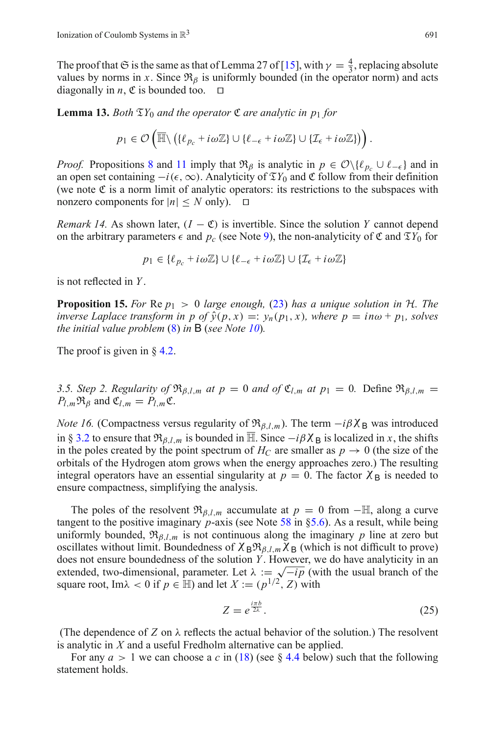The proof that  $\mathfrak S$  is the same as that of Lemma 27 of [\[15\]](#page-56-6), with  $\gamma = \frac{4}{3}$ , replacing absolute values by norms in *x*. Since  $\mathfrak{R}_{\beta}$  is uniformly bounded (in the operator norm) and acts diagonally in *n*,  $\mathfrak C$  is bounded too.  $\Box$ 

<span id="page-10-3"></span>**Lemma 13.** *Both*  $\mathfrak{T}Y_0$  *and the operator*  $\mathfrak{C}$  *are analytic in p*<sub>1</sub> *for* 

$$
p_1 \in \mathcal{O}\left(\overline{\mathbb{H}} \setminus (\{\ell_{p_c} + i\omega \mathbb{Z}\} \cup \{\ell_{-\epsilon} + i\omega \mathbb{Z}\} \cup \{\mathcal{I}_{\epsilon} + i\omega \mathbb{Z}\})\right).
$$

*Proof.* Propositions [8](#page-8-1) and [11](#page-9-0) imply that  $\mathfrak{R}_{\beta}$  is analytic in  $p \in \mathcal{O}\setminus\{e_{p_c} \cup e_{-\epsilon}\}\$  and in an open set containing  $-i(\epsilon,\infty)$ . Analyticity of  $\mathfrak{T}Y_0$  and  $\mathfrak{C}$  follow from their definition (we note  $\mathfrak C$  is a norm limit of analytic operators: its restrictions to the subspaces with nonzero components for  $|n| \leq N$  only).  $\Box$ 

<span id="page-10-4"></span>*Remark 14.* As shown later,  $(I - \mathfrak{C})$  is invertible. Since the solution *Y* cannot depend on the arbitrary parameters  $\epsilon$  and  $p_c$  (see Note [9\)](#page-8-3), the non-analyticity of  $\mathfrak{C}$  and  $\mathfrak{T}Y_0$  for

$$
p_1 \in \{\ell_{p_c} + i\omega \mathbb{Z}\} \cup \{\ell_{-\epsilon} + i\omega \mathbb{Z}\} \cup \{\mathcal{I}_{\epsilon} + i\omega \mathbb{Z}\}\
$$

<span id="page-10-1"></span>is not reflected in *Y* .

**Proposition 15.** *For* Re *p*<sup>1</sup> > 0 *large enough,* [\(23\)](#page-8-5) *has a unique solution in H. The inverse Laplace transform in p of*  $\hat{y}(p, x) =: y_n(p_1, x)$ *, where*  $p = in\omega + p_1$ *, solves the initial value problem* [\(8\)](#page-4-7) *in* B (*see Note [10](#page-9-1)*)*.*

The proof is given in § [4.2.](#page-16-0)

<span id="page-10-0"></span>*3.5. Step 2. Regularity of*  $\mathfrak{R}_{\beta,l,m}$  *at p* = 0 *and of*  $\mathfrak{C}_{l,m}$  *at p*<sub>1</sub> = 0*.* Define  $\mathfrak{R}_{\beta,l,m}$  =  $P_{l,m}\mathfrak{R}_{\beta}$  and  $\mathfrak{C}_{l,m} = P_{l,m}\mathfrak{C}$ .

*Note 16.* (Compactness versus regularity of  $\Re_{\beta,l,m}$ ). The term  $-i\beta \chi_B$  was introduced in § [3.2](#page-6-1) to ensure that  $\Re_{\beta,l,m}$  is bounded in  $\mathbb{H}$ . Since  $-i\beta\chi_B$  is localized in *x*, the shifts in the poles created by the point spectrum of  $H_C$  are smaller as  $p \to 0$  (the size of the orbitals of the Hydrogen atom grows when the energy approaches zero.) The resulting integral operators have an essential singularity at  $p = 0$ . The factor  $\chi_B$  is needed to ensure compactness, simplifying the analysis.

The poles of the resolvent  $\Re_{\beta,l,m}$  accumulate at  $p = 0$  from  $-\mathbb{H}$ , along a curve tangent to the positive imaginary *p*-axis (see Note [58](#page-50-0) in [§5.6\)](#page-46-1). As a result, while being uniformly bounded,  $\mathfrak{R}_{\beta,l,m}$  is not continuous along the imaginary p line at zero but oscillates without limit. Boundedness of  $\chi_B \mathfrak{R}_{\beta,l,m} \chi_B$  (which is not difficult to prove) does not ensure boundedness of the solution *Y* . However, we do have analyticity in an extended, two-dimensional, parameter. Let  $\lambda := \sqrt{-ip}$  (with the usual branch of the square root, Im $\lambda$  < 0 if  $p \in \mathbb{H}$ ) and let  $X := (p^{1/2}, Z)$  with

$$
Z = e^{\frac{i\pi b}{2\lambda}}.\tag{25}
$$

(The dependence of *Z* on  $\lambda$  reflects the actual behavior of the solution.) The resolvent is analytic in *X* and a useful Fredholm alternative can be applied.

<span id="page-10-2"></span>For any  $a > 1$  we can choose a c in [\(18\)](#page-7-1) (see § [4.4](#page-17-1) below) such that the following statement holds.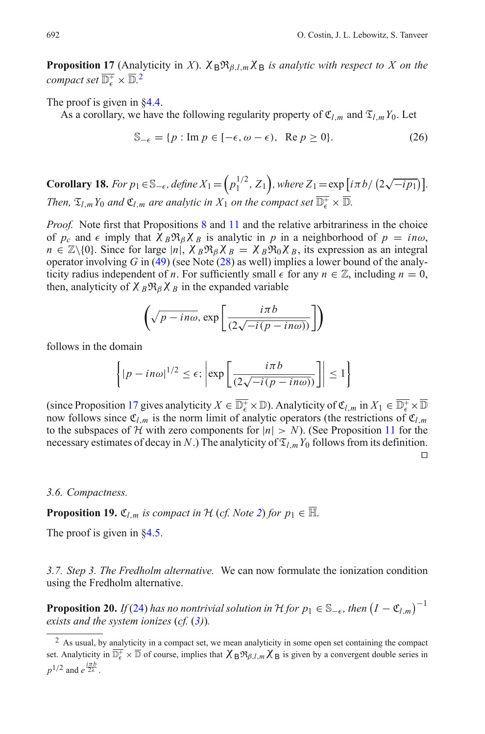**Proposition 17** (Analyticity in *X*).  $\chi_{\rm B} \Re_{\beta l}$  *m* $\chi_{\rm B}$  *is analytic with respect to X on the compact set*  $\overline{\mathbb{D}^+_{\epsilon}} \times \overline{\mathbb{D}}$ .<sup>[2](#page-11-2)</sup>

The proof is given in  $84.4$ .

As a corollary, we have the following regularity property of  $\mathfrak{C}_{l,m}$  and  $\mathfrak{T}_{l,m}Y_0$ . Let

$$
\mathbb{S}_{-\epsilon} = \{ p : \text{Im } p \in [-\epsilon, \omega - \epsilon), \ \text{Re } p \ge 0 \}. \tag{26}
$$

<span id="page-11-3"></span>**Corollary 18.** For  $p_1 \in \mathbb{S}_{-\epsilon}$ , define  $X_1 = (p_1^{1/2}, Z_1)$ , where  $Z_1 = \exp[i\pi b/(2\sqrt{-i p_1})]$ . *Then,*  $\mathfrak{T}_{l,m}Y_0$  *and*  $\mathfrak{C}_{l,m}$  *are analytic in*  $X_1$  *on the compact set*  $\overline{\mathbb{D}_{\epsilon}^+}\times \overline{\mathbb{D}}$ *.* 

*Proof.* Note first that Propositions [8](#page-8-1) and [11](#page-9-0) and the relative arbitrariness in the choice of  $p_c$  and  $\epsilon$  imply that  $\chi_B \mathfrak{R}_\beta \chi_B$  is analytic in p in a neighborhood of  $p = in\omega$ ,  $n \in \mathbb{Z} \setminus \{0\}$ . Since for large  $|n|$ ,  $\chi_B \mathfrak{R}_\beta \chi_B = \chi_B \mathfrak{R}_0 \chi_B$ , its expression as an integral operator involving *G* in [\(49\)](#page-17-2) (see Note [\(28\)](#page-17-3) as well) implies a lower bound of the analyticity radius independent of *n*. For sufficiently small  $\epsilon$  for any  $n \in \mathbb{Z}$ , including  $n = 0$ , then, analyticity of  $\chi_B \mathfrak{R}_\beta \chi_B$  in the expanded variable

$$
\left(\sqrt{p - in\omega}, \exp\left[\frac{i\pi b}{(2\sqrt{-i(p - in\omega)})}\right]\right)
$$

follows in the domain

$$
\left\{ |p - in\omega|^{1/2} \le \epsilon; \left| \exp\left[\frac{i\pi b}{(2\sqrt{-i(p - in\omega)})}\right] \right| \le 1 \right\}
$$

(since Proposition [17](#page-10-2) gives analyticity  $X \in \overline{\mathbb{D}_{\epsilon}^+} \times \mathbb{D}$ ). Analyticity of  $\mathfrak{C}_{l,m}$  in  $X_1 \in \overline{\mathbb{D}_{\epsilon}^+} \times \overline{\mathbb{D}}$ now follows since  $\mathfrak{C}_{l,m}$  is the norm limit of analytic operators (the restrictions of  $\mathfrak{C}_{l,m}$ to the subspaces of *H* with zero components for  $|n| > N$ ). (See Proposition [11](#page-9-0) for the necessary estimates of decay in *N*.) The analyticity of  $\mathfrak{T}_{l,m}Y_0$  follows from its definition.  $\Box$ 

#### <span id="page-11-0"></span>*3.6. Compactness.*

**Proposition 19.**  $\mathfrak{C}_{l,m}$  *is compact in*  $\mathcal{H}$  (*cf. Note [2](#page-4-8)*) *for*  $p_1 \in \overline{\mathbb{H}}$ *.* 

The proof is given in [§4.5.](#page-18-0)

<span id="page-11-1"></span>*3.7. Step 3. The Fredholm alternative.* We can now formulate the ionization condition using the Fredholm alternative.

**Proposition 20.** *If* [\(24\)](#page-9-2) *has no nontrivial solution in*  $H$  *for*  $p_1 \in \mathbb{S}_{-\epsilon}$ *, then*  $(I - \mathfrak{C}_{l,m})^{-1}$ *exists and the system ionizes* (*cf.* (*[3\)](#page-3-2)*)*.*

<span id="page-11-2"></span><sup>&</sup>lt;sup>2</sup> As usual, by analyticity in a compact set, we mean analyticity in some open set containing the compact set. Analyticity in  $\mathbb{D}_{\epsilon}^+ \times \mathbb{D}$  of course, implies that  $\chi_B \mathfrak{R}_{\beta,l,m} \chi_B$  is given by a convergent double series in  $p^{1/2}$  and  $e^{\frac{i\pi b}{2\lambda}}$ .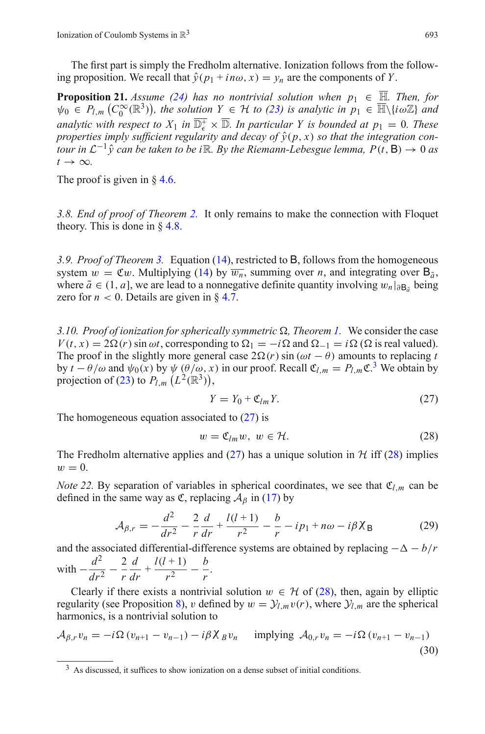<span id="page-12-4"></span>The first part is simply the Fredholm alternative. Ionization follows from the following proposition. We recall that  $\hat{y}(p_1 + in\omega, x) = y_n$  are the components of *Y*.

**Proposition 21.** *Assume [\(24\)](#page-9-2)* has no nontrivial solution when  $p_1 \in \overline{\mathbb{H}}$ . Then, for  $\psi_0 \in P_{l,m} \left( C_0^\infty(\mathbb{R}^3) \right)$ , the solution  $Y \in \mathcal{H}$  to [\(23\)](#page-8-5) is analytic in  $p_1 \in \overline{\mathbb{H}} \setminus \{i\omega\mathbb{Z}\}$  and *analytic with respect to*  $X_1$  *in*  $\overline{\mathbb{D}_{\epsilon}} \times \overline{\mathbb{D}}$ *. In particular Y is bounded at*  $p_1 = 0$ *. These properties imply sufficient regularity and decay of*  $\hat{y}(p, x)$  *so that the integration contour in*  $\mathcal{L}^{-1}\hat{v}$  *can be taken to be i* ℝ. *By the Riemann-Lebesgue lemma, P(t, B)*  $\rightarrow$  0 *as*  $t \rightarrow \infty$ .

The proof is given in  $\S$  [4.6.](#page-19-0)

<span id="page-12-0"></span>*3.8. End of proof of Theorem [2.](#page-5-2)* It only remains to make the connection with Floquet theory. This is done in  $\S$  [4.8.](#page-22-0)

<span id="page-12-1"></span>*3.9. Proof of Theorem [3.](#page-5-3)* Equation [\(14\)](#page-4-4), restricted to B, follows from the homogeneous system  $w = \mathfrak{C}w$ . Multiplying [\(14\)](#page-4-4) by  $\overline{w_n}$ , summing over *n*, and integrating over  $\mathsf{B}_{\tilde{\sigma}}$ , where  $\tilde{a}$  ∈ (1, *a*], we are lead to a nonnegative definite quantity involving  $w_n|_{\partial \mathbf{B}_\alpha}$  being zero for  $n < 0$ . Details are given in  $\S 4.7$ .

<span id="page-12-2"></span>*3.10. Proof of ionization for spherically symmetric*  $\Omega$ *, Theorem [1.](#page-5-4)* We consider the case  $V(t, x) = 2\Omega(r) \sin \omega t$ , corresponding to  $\Omega_1 = -i\Omega$  and  $\Omega_{-1} = i\Omega$  ( $\Omega$  is real valued). The proof in the slightly more general case  $2\Omega(r)$  sin ( $\omega t - \theta$ ) amounts to replacing *t* by  $t - \theta/\omega$  and  $\psi_0(x)$  by  $\psi(\theta/\omega, x)$  in our proof. Recall  $\mathfrak{C}_{l,m} = P_{l,m} \mathfrak{C}^3$  $\mathfrak{C}_{l,m} = P_{l,m} \mathfrak{C}^3$ . We obtain by projection of [\(23\)](#page-8-5) to  $P_{l,m}$   $(L^2(\mathbb{R}^3))$ ,

$$
Y = Y_0 + \mathfrak{C}_{lm} Y. \tag{27}
$$

<span id="page-12-7"></span><span id="page-12-6"></span>The homogeneous equation associated to  $(27)$  is

$$
w = \mathfrak{C}_{lm} w, \ w \in \mathcal{H}.
$$
 (28)

The Fredholm alternative applies and  $(27)$  has a unique solution in  $H$  iff  $(28)$  implies  $w=0$ .

*Note 22.* By separation of variables in spherical coordinates, we see that  $\mathfrak{C}_{l,m}$  can be defined in the same way as  $\mathfrak{C}$ , replacing  $\mathcal{A}_{\beta}$  in [\(17\)](#page-7-2) by

$$
\mathcal{A}_{\beta,r} = -\frac{d^2}{dr^2} - \frac{2}{r}\frac{d}{dr} + \frac{l(l+1)}{r^2} - \frac{b}{r} - ip_1 + n\omega - i\beta \chi_B \tag{29}
$$

and the associated differential-difference systems are obtained by replacing  $-\Delta - b/r$ *d*

with  $-\frac{d^2}{dr^2} - \frac{2}{r}$  $\frac{d}{dr} + \frac{l(l+1)}{r^2} - \frac{b}{r}.$ 

Clearly if there exists a nontrivial solution  $w \in H$  of [\(28\)](#page-12-7), then, again by elliptic regularity (see Proposition [8\)](#page-8-1), v defined by  $w = Y_{l,m}v(r)$ , where  $Y_{l,m}$  are the spherical harmonics, is a nontrivial solution to

<span id="page-12-3"></span>
$$
\mathcal{A}_{\beta,r} v_n = -i \Omega (v_{n+1} - v_{n-1}) - i \beta \chi_B v_n \quad \text{implying } \mathcal{A}_{0,r} v_n = -i \Omega (v_{n+1} - v_{n-1})
$$
\n(30)

<span id="page-12-5"></span><sup>&</sup>lt;sup>3</sup> As discussed, it suffices to show ionization on a dense subset of initial conditions.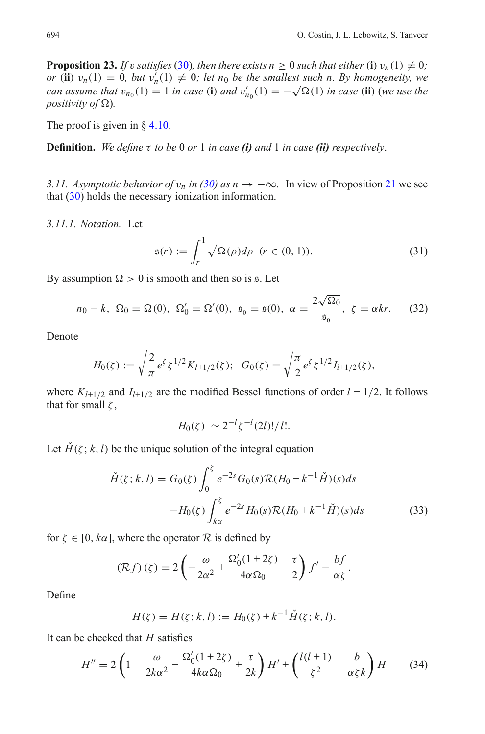<span id="page-13-1"></span>**Proposition 23.** *If v satisfies* [\(30\)](#page-12-3)*, then there exists n* > 0 *such that either* (**i**)  $v_n(1) \neq 0$ *; or* (**ii**)  $v_n(1) = 0$ *, but*  $v'_n(1) \neq 0$ *; let*  $n_0$  *be the smallest such n. By homogeneity, we can assume that*  $v_{n_0}(1) = 1$  *in case* (**i**) *and*  $v'_{n_0}(1) = -\sqrt{\Omega(1)}$  *in case* (**ii**) (*we use the positivity of*  $\Omega$ *).* 

The proof is given in  $\S$  [4.10.](#page-22-2)

**Definition.** *We define* τ *to be* 0 *or* 1 *in case (i) and* 1 *in case (ii) respectively*.

<span id="page-13-0"></span>*3.11. Asymptotic behavior of*  $v_n$  *in [\(30\)](#page-12-3) as n* → −∞. In view of Proposition [21](#page-12-4) we see that [\(30\)](#page-12-3) holds the necessary ionization information.

<span id="page-13-5"></span>*3.11.1. Notation.* Let

$$
\mathfrak{s}(r) := \int_r^1 \sqrt{\Omega(\rho)} d\rho \quad (r \in (0, 1)). \tag{31}
$$

<span id="page-13-4"></span>By assumption  $\Omega > 0$  is smooth and then so is  $\mathfrak{s}$ . Let

$$
n_0 - k
$$
,  $\Omega_0 = \Omega(0)$ ,  $\Omega'_0 = \Omega'(0)$ ,  $\mathfrak{s}_0 = \mathfrak{s}(0)$ ,  $\alpha = \frac{2\sqrt{\Omega_0}}{\mathfrak{s}_0}$ ,  $\zeta = \alpha kr$ . (32)

<span id="page-13-3"></span>Denote

$$
H_0(\zeta) := \sqrt{\frac{2}{\pi}} e^{\zeta} \zeta^{1/2} K_{l+1/2}(\zeta); \quad G_0(\zeta) = \sqrt{\frac{\pi}{2}} e^{\zeta} \zeta^{1/2} I_{l+1/2}(\zeta),
$$

where  $K_{l+1/2}$  and  $I_{l+1/2}$  are the modified Bessel functions of order  $l + 1/2$ . It follows that for small  $\zeta$ ,

$$
H_0(\zeta) \sim 2^{-l} \zeta^{-l}(2l)!/l!.
$$

<span id="page-13-2"></span>Let  $H(\zeta; k, l)$  be the unique solution of the integral equation

$$
\check{H}(\zeta; k, l) = G_0(\zeta) \int_0^{\zeta} e^{-2s} G_0(s) \mathcal{R}(H_0 + k^{-1} \check{H})(s) ds \n- H_0(\zeta) \int_{k\alpha}^{\zeta} e^{-2s} H_0(s) \mathcal{R}(H_0 + k^{-1} \check{H})(s) ds
$$
\n(33)

for  $\zeta \in [0, k\alpha]$ , where the operator  $\mathcal R$  is defined by

$$
(\mathcal{R}f)(\zeta) = 2\left(-\frac{\omega}{2\alpha^2} + \frac{\Omega'_0(1+2\zeta)}{4\alpha\Omega_0} + \frac{\tau}{2}\right)f' - \frac{bf}{\alpha\zeta}.
$$

Define

$$
H(\zeta) = H(\zeta; k, l) := H_0(\zeta) + k^{-1} \check{H}(\zeta; k, l).
$$

It can be checked that *H* satisfies

$$
H'' = 2\left(1 - \frac{\omega}{2k\alpha^2} + \frac{\Omega_0'(1+2\zeta)}{4k\alpha\Omega_0} + \frac{\tau}{2k}\right)H' + \left(\frac{l(l+1)}{\zeta^2} - \frac{b}{\alpha\zeta k}\right)H\tag{34}
$$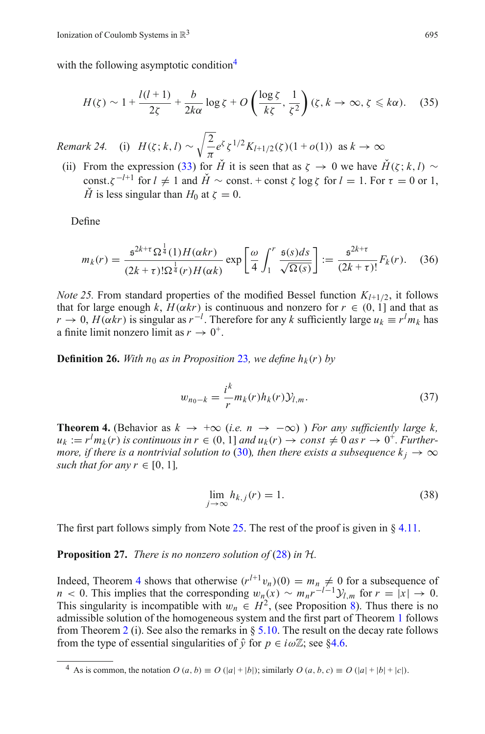with the following asymptotic condition<sup>4</sup>

$$
H(\zeta) \sim 1 + \frac{l(l+1)}{2\zeta} + \frac{b}{2k\alpha} \log \zeta + O\left(\frac{\log \zeta}{k\zeta}, \frac{1}{\zeta^2}\right) (\zeta, k \to \infty, \zeta \le k\alpha). \tag{35}
$$

<span id="page-14-6"></span><span id="page-14-5"></span>*Remark 24.* (i)  $H(\zeta; k, l) \sim \sqrt{\frac{2}{l}}$  $\frac{2}{\pi}e^{\zeta} \zeta^{1/2} K_{l+1/2}(\zeta) (1 + o(1))$  as  $k \to \infty$ 

(ii) From the expression [\(33\)](#page-13-2) for  $\check{H}$  it is seen that as  $\zeta \to 0$  we have  $\check{H}(\zeta; k, l) \sim$ const. $\zeta^{-l+1}$  for  $l \neq 1$  and  $\check{H} \sim$  const. + const  $\zeta \log \zeta$  for  $l = 1$ . For  $\tau = 0$  or 1, *H*<sup> $\check{H}$ </sup> is less singular than *H*<sup>0</sup> at  $\zeta = 0$ .

Define

$$
m_k(r) = \frac{\mathfrak{s}^{2k+\tau} \Omega^{\frac{1}{4}}(1) H(\alpha kr)}{(2k+\tau)! \Omega^{\frac{1}{4}}(r) H(\alpha k)} \exp\left[\frac{\omega}{4} \int_1^r \frac{\mathfrak{s}(s) ds}{\sqrt{\Omega(s)}}\right] := \frac{\mathfrak{s}^{2k+\tau}}{(2k+\tau)!} F_k(r). \tag{36}
$$

<span id="page-14-4"></span><span id="page-14-2"></span>*Note 25.* From standard properties of the modified Bessel function  $K_{l+1/2}$ , it follows that for large enough *k*,  $H(\alpha kr)$  is continuous and nonzero for  $r \in (0, 1]$  and that as  $r \to 0$ ,  $H(\alpha kr)$  is singular as  $r^{-l}$ . Therefore for any *k* sufficiently large  $u_k \equiv r^l m_k$  has a finite limit nonzero limit as  $r \to 0^+$ .

**Definition 26.** With  $n_0$  as in Proposition [23](#page-13-1), we define  $h_k(r)$  by

$$
w_{n_0-k} = \frac{i^k}{r} m_k(r) h_k(r) \mathcal{Y}_{l,m}.
$$
 (37)

<span id="page-14-3"></span><span id="page-14-0"></span>**Theorem 4.** (Behavior as  $k \rightarrow +\infty$  (*i.e.*  $n \rightarrow -\infty$ ) *For any sufficiently large k,*  $u_k := r^l m_k(r)$  *is continuous in*  $r \in (0, 1]$  *and*  $u_k(r) \to const \neq 0$  *as*  $r \to 0^+$ *. Furthermore, if there is a nontrivial solution to* [\(30\)](#page-12-3)*, then there exists a subsequence*  $k_i \rightarrow \infty$ *such that for any r*  $\in$  [0, 1]*,* 

$$
\lim_{j \to \infty} h_{k,j}(r) = 1. \tag{38}
$$

The first part follows simply from Note [25.](#page-14-2) The rest of the proof is given in § [4.11.](#page-23-0)

**Proposition 27.** *There is no nonzero solution of* [\(28\)](#page-12-7) *in H.*

Indeed, Theorem [4](#page-14-0) shows that otherwise  $(r^{l+1}v_n)(0) = m_n \neq 0$  for a subsequence of *n* < 0. This implies that the corresponding  $w_n(x) \sim m_n r^{-l-1} y_{l,m}$  for  $r = |x| \to 0$ . This singularity is incompatible with  $w_n \text{ }\in H^2$ , (see Proposition [8\)](#page-8-1). Thus there is no admissible solution of the homogeneous system and the first part of Theorem [1](#page-5-4) follows from Theorem [2](#page-5-2) (i). See also the remarks in  $\S 5.10$ . The result on the decay rate follows from the type of essential singularities of  $\hat{y}$  for  $p \in i\omega\mathbb{Z}$ ; see [§4.6.](#page-19-0)

<span id="page-14-1"></span><sup>&</sup>lt;sup>4</sup> As is common, the notation  $O(a, b) \equiv O(|a| + |b|)$ ; similarly  $O(a, b, c) \equiv O(|a| + |b| + |c|)$ .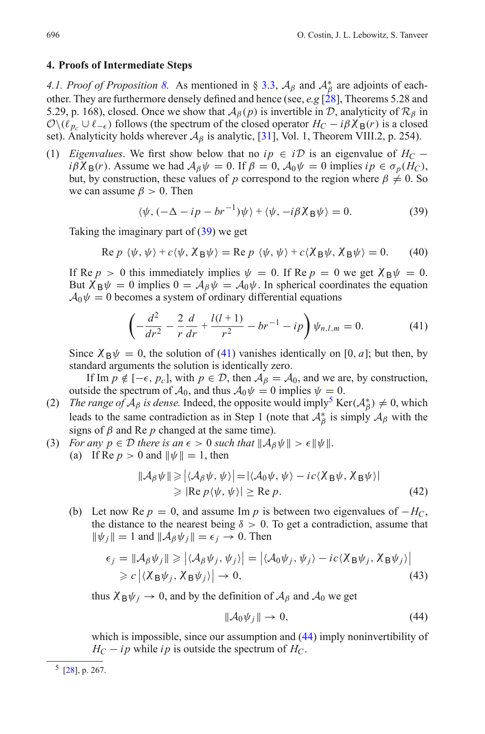#### <span id="page-15-1"></span><span id="page-15-0"></span>**4. Proofs of Intermediate Steps**

*4.1. Proof of Proposition* [8.](#page-8-1) As mentioned in § [3.3,](#page-7-0)  $A_\beta$  and  $A^*_{\beta}$  are adjoints of eachother. They are furthermore densely defined and hence (see, *e.g* [\[28\]](#page-56-10), Theorems 5.28 and 5.29, p. 168), closed. Once we show that  $A_\beta(p)$  is invertible in *D*, analyticity of  $\mathcal{R}_\beta$  in  $\mathcal{O}\setminus(\ell_{p_c}\cup\ell_{-\epsilon})$  follows (the spectrum of the closed operator  $H_C - i\beta\chi_B(r)$  is a closed set). Analyticity holds wherever  $\mathcal{A}_{\beta}$  is analytic, [\[31\]](#page-56-11), Vol. 1, Theorem VIII.2, p. 254).

(1) *Eigenvalues*. We first show below that no  $ip \in i\mathcal{D}$  is an eigenvalue of  $H_C$  −  $i\beta\chi_B(r)$ . Assume we had  $\mathcal{A}_{\beta}\psi = 0$ . If  $\beta = 0$ ,  $\mathcal{A}_0\psi = 0$  implies  $ip \in \sigma_p(H_C)$ , but, by construction, these values of *p* correspond to the region where  $\beta \neq 0$ . So we can assume  $\beta > 0$ . Then

$$
\langle \psi, (-\Delta - ip - br^{-1})\psi \rangle + \langle \psi, -i\beta \chi_B \psi \rangle = 0. \tag{39}
$$

<span id="page-15-2"></span>Taking the imaginary part of [\(39\)](#page-15-2) we get

Re 
$$
p \langle \psi, \psi \rangle + c \langle \psi, X_B \psi \rangle =
$$
Re  $p \langle \psi, \psi \rangle + c \langle X_B \psi, X_B \psi \rangle = 0.$  (40)

If Re  $p > 0$  this immediately implies  $\psi = 0$ . If Re  $p = 0$  we get  $\chi_B \psi = 0$ . But  $\chi_B \psi = 0$  implies  $0 = A_\beta \psi = A_0 \psi$ . In spherical coordinates the equation  $A_0\psi = 0$  becomes a system of ordinary differential equations

$$
\left(-\frac{d^2}{dr^2} - \frac{2}{r}\frac{d}{dr} + \frac{l(l+1)}{r^2} - br^{-1} - ip\right)\psi_{n,l,m} = 0.
$$
 (41)

<span id="page-15-3"></span>Since  $\chi_B \psi = 0$ , the solution of [\(41\)](#page-15-3) vanishes identically on [0, *a*]; but then, by standard arguments the solution is identically zero.

If Im  $p \notin [-\epsilon, p_c]$ , with  $p \in \mathcal{D}$ , then  $\mathcal{A}_{\beta} = \mathcal{A}_0$ , and we are, by construction, outside the spectrum of  $A_0$ , and thus  $A_0\psi = 0$  implies  $\psi = 0$ .

- (2) *The range of*  $A_\beta$  *is dense.* Indeed, the opposite would imply<sup>[5](#page-15-4)</sup> Ker( $A_\beta^*$ )  $\neq$  0, which leads to the same contradiction as in Step 1 (note that  $A_{\beta}^*$  is simply  $A_{\beta}$  with the signs of  $\beta$  and Re  $p$  changed at the same time).
- (3) *For any p*  $\in$  *D there is an*  $\epsilon$  > 0 *such that*  $\|\mathcal{A}_{\beta}\psi\|$  >  $\epsilon$   $\|\psi\|$ *.* 
	- (a) If Re  $p > 0$  and  $\|\psi\| = 1$ , then

$$
\|\mathcal{A}_{\beta}\psi\| \geq |\langle \mathcal{A}_{\beta}\psi, \psi \rangle| = |\langle \mathcal{A}_{0}\psi, \psi \rangle - ic \langle \chi_{B}\psi, \chi_{B}\psi \rangle|
$$
  
\n
$$
\geq |\text{Re } p\langle \psi, \psi \rangle| \geq \text{Re } p. \tag{42}
$$

(b) Let now Re  $p = 0$ , and assume Im p is between two eigenvalues of  $-H_C$ , the distance to the nearest being  $\delta > 0$ . To get a contradiction, assume that  $\|\psi_i\| = 1$  and  $\|\mathcal{A}_{\beta}\psi_i\| = \epsilon_i \to 0$ . Then

$$
\epsilon_j = \|\mathcal{A}_{\beta}\psi_j\| \geq |\langle \mathcal{A}_{\beta}\psi_j, \psi_j \rangle| = |\langle \mathcal{A}_0\psi_j, \psi_j \rangle - ic\langle \mathcal{X}_{\beta}\psi_j, \mathcal{X}_{\beta}\psi_j \rangle|
$$
  
\n
$$
\geq c \left| \langle \mathcal{X}_{\beta}\psi_j, \mathcal{X}_{\beta}\psi_j \rangle \right| \to 0,
$$
\n(43)

thus  $\chi_B \psi_i \rightarrow 0$ , and by the definition of  $A_\beta$  and  $A_0$  we get

$$
\|\mathcal{A}_0\psi_j\| \to 0,\tag{44}
$$

<span id="page-15-5"></span>which is impossible, since our assumption and  $(44)$  imply noninvertibility of  $H_C - i p$  while *ip* is outside the spectrum of  $H_C$ .

<span id="page-15-4"></span><sup>5</sup> [\[28\]](#page-56-10), p. 267.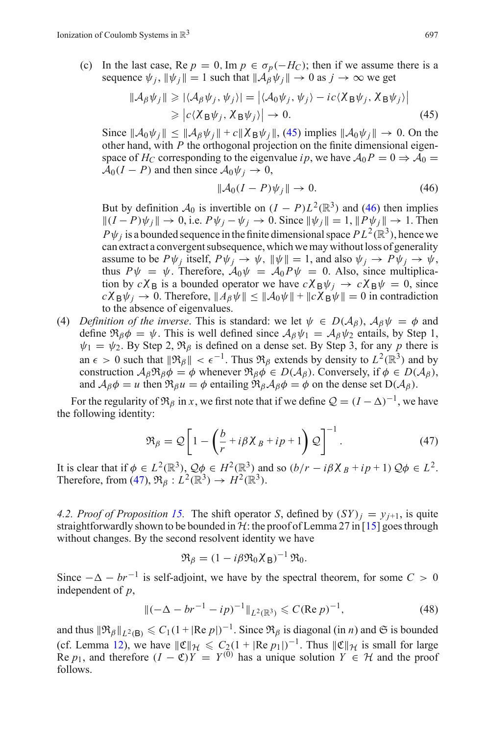<span id="page-16-1"></span>(c) In the last case, Re  $p = 0$ , Im  $p \in \sigma_p(-H_C)$ ; then if we assume there is a sequence  $\psi_i$ ,  $\|\psi_i\| = 1$  such that  $\|\mathcal{A}_{\beta}\psi_i\| \to 0$  as  $j \to \infty$  we get

$$
\|\mathcal{A}_{\beta}\psi_j\| \geq |\langle \mathcal{A}_{\beta}\psi_j, \psi_j \rangle| = |\langle \mathcal{A}_0 \psi_j, \psi_j \rangle - ic \langle \chi_B \psi_j, \chi_B \psi_j \rangle|
$$
  
 
$$
\geq |c \langle \chi_B \psi_j, \chi_B \psi_j \rangle| \to 0.
$$
 (45)

Since  $\|\mathcal{A}_0\psi_i\| \le \|\mathcal{A}_B\psi_i\| + c\|\chi_B\psi_i\|$ , [\(45\)](#page-16-1) implies  $\|\mathcal{A}_0\psi_i\| \to 0$ . On the other hand, with *P* the orthogonal projection on the finite dimensional eigenspace of *H<sub>C</sub>* corresponding to the eigenvalue *ip*, we have  $A_0P = 0 \Rightarrow A_0 = 0$  $A_0(I - P)$  and then since  $A_0 \psi_i \rightarrow 0$ ,

$$
\|\mathcal{A}_0(I - P)\psi_j\| \to 0. \tag{46}
$$

<span id="page-16-2"></span>But by definition  $A_0$  is invertible on  $(I - P)L^2(\mathbb{R}^3)$  and [\(46\)](#page-16-2) then implies  $||(I - P)\psi_j|| \to 0$ , i.e.  $P\psi_j - \psi_j \to 0$ . Since  $||\psi_j|| = 1$ ,  $||P\psi_j|| \to 1$ . Then  $P\psi_i$  is a bounded sequence in the finite dimensional space  $PL^2(\mathbb{R}^3)$ , hence we can extract a convergent subsequence, which we may without loss of generality assume to be  $P\psi_j$  itself,  $P\psi_j \to \psi$ ,  $\|\psi\| = 1$ , and also  $\psi_j \to P\psi_j \to \psi$ , thus  $P\psi = \psi$ . Therefore,  $A_0\psi = A_0P\psi = 0$ . Also, since multiplication by  $c\chi_B$  is a bounded operator we have  $c\chi_B\psi_j \to c\chi_B\psi = 0$ , since  $c\chi_B\psi_j \to 0$ . Therefore,  $\|A_\beta\psi\| \leq \|\mathcal{A}_0\psi\| + \|c\chi_B\psi\| = 0$  in contradiction to the absence of eigenvalues.

(4) *Definition of the inverse.* This is standard: we let  $\psi \in D(\mathcal{A}_{\beta})$ ,  $\mathcal{A}_{\beta}\psi = \phi$  and define  $\Re_{\beta}\phi = \psi$ . This is well defined since  $A_{\beta}\psi_1 = A_{\beta}\psi_2$  entails, by Step 1,  $\psi_1 = \psi_2$ . By Step 2,  $\mathfrak{R}_{\beta}$  is defined on a dense set. By Step 3, for any p there is an  $\epsilon > 0$  such that  $\|\mathfrak{R}_{\beta}\| < \epsilon^{-1}$ . Thus  $\mathfrak{R}_{\beta}$  extends by density to  $L^2(\mathbb{R}^3)$  and by construction  $A_{\beta} \mathfrak{R}_{\beta} \phi = \phi$  whenever  $\mathfrak{R}_{\beta} \phi \in D(A_{\beta})$ . Conversely, if  $\phi \in D(A_{\beta})$ , and  $A_{\beta}\phi = u$  then  $\Re_{\beta}u = \phi$  entailing  $\Re_{\beta}A_{\beta}\phi = \phi$  on the dense set  $D(A_{\beta})$ .

For the regularity of  $\mathfrak{R}_{\beta}$  in *x*, we first note that if we define  $\mathcal{Q} = (I - \Delta)^{-1}$ , we have the following identity:

$$
\mathfrak{R}_{\beta} = \mathcal{Q} \left[ 1 - \left( \frac{b}{r} + i \beta \chi_{B} + i p + 1 \right) \mathcal{Q} \right]^{-1}.
$$
 (47)

<span id="page-16-3"></span>It is clear that if  $\phi \in L^2(\mathbb{R}^3)$ ,  $\mathcal{Q}\phi \in H^2(\mathbb{R}^3)$  and so  $(b/r - i\beta \chi_B + i p + 1) \mathcal{Q}\phi \in L^2$ . Therefore, from [\(47\)](#page-16-3),  $\Re$ <sub>B</sub> :  $L^2(\mathbb{R}^3) \to H^2(\mathbb{R}^3)$ .

<span id="page-16-0"></span>4.2. Proof of Proposition [15.](#page-10-1) The shift operator *S*, defined by  $(SY)_i = v_{i+1}$ , is quite straightforwardly shown to be bounded in  $H$ : the proof of Lemma 27 in [\[15](#page-56-6)] goes through without changes. By the second resolvent identity we have

$$
\mathfrak{R}_{\beta} = (1 - i\beta \mathfrak{R}_{0} \chi_{\text{B}})^{-1} \mathfrak{R}_{0}.
$$

Since  $-\Delta - br^{-1}$  is self-adjoint, we have by the spectral theorem, for some  $C > 0$ independent of *p*,

$$
\|(-\Delta - br^{-1} - ip)^{-1}\|_{L^2(\mathbb{R}^3)} \leqslant C(\text{Re } p)^{-1},\tag{48}
$$

and thus  $\|\Re_\beta\|_{L^2(B)} \leq C_1(1 + |Re p|)^{-1}$ . Since  $\Re_\beta$  is diagonal (in *n*) and  $\Im$  is bounded (cf. Lemma [12\)](#page-9-3), we have  $\|\mathfrak{C}\|_{\mathcal{H}} \leq C_2(1 + |\text{Re } p_1|)^{-1}$ . Thus  $\|\mathfrak{C}\|_{\mathcal{H}}$  is small for large Re *p*<sub>1</sub>, and therefore  $(I - \mathfrak{C})Y = Y^{(0)}$  has a unique solution  $Y \in \mathcal{H}$  and the proof follows.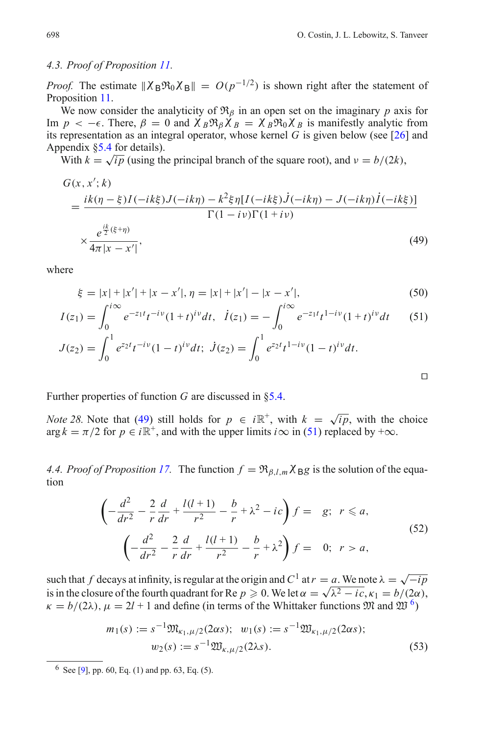#### <span id="page-17-0"></span>*4.3. Proof of Proposition [11.](#page-9-0)*

*Proof.* The estimate  $\|\chi_{\rm B}\Re_0\chi_{\rm B}\| = O(p^{-1/2})$  is shown right after the statement of Proposition [11.](#page-9-0)

We now consider the analyticity of  $\mathfrak{R}_{\beta}$  in an open set on the imaginary *p* axis for Im  $p \le -\epsilon$ . There,  $\beta = 0$  and  $\chi_B \Re \chi_B = \chi_B \Re \chi_B \chi_B$  is manifestly analytic from its representation as an integral operator, whose kernel *G* is given below (see [\[26](#page-56-15)] and Appendix [§5.4](#page-44-1) for details).

<span id="page-17-2"></span>With  $k = \sqrt{ip}$  (using the principal branch of the square root), and  $v = b/(2k)$ ,

$$
G(x, x'; k)
$$
\n
$$
= \frac{ik(\eta - \xi)I(-ik\xi)J(-ik\eta) - k^2\xi\eta[I(-ik\xi)J(-ik\eta) - J(-ik\eta)I(-ik\xi)]}{\Gamma(1 - i\nu)\Gamma(1 + i\nu)}
$$
\n
$$
\times \frac{e^{\frac{ik}{2}(\xi + \eta)}}{4\pi|x - x'|},
$$
\n(49)

<span id="page-17-4"></span>where

$$
\xi = |x| + |x'| + |x - x'|, \eta = |x| + |x'| - |x - x'|,\tag{50}
$$

$$
I(z_1) = \int_0^{i\infty} e^{-z_1 t} t^{-iv} (1+t)^{iv} dt, \quad \dot{I}(z_1) = -\int_0^{i\infty} e^{-z_1 t} t^{1-iv} (1+t)^{iv} dt \tag{51}
$$

$$
J(z_2) = \int_0^1 e^{z_2 t} t^{-iv} (1-t)^{iv} dt; \quad \dot{J}(z_2) = \int_0^1 e^{z_2 t} t^{-iv} (1-t)^{iv} dt.
$$

$$
J(z_2) = \int_0^1 e^{z_2 t} t^{-i\nu} (1-t)^{i\nu} dt; \ \dot{J}(z_2) = \int_0^1 e^{z_2 t} t^{1-i\nu} (1-t)^{i\nu} dt.
$$

<span id="page-17-3"></span>Further properties of function *G* are discussed in [§5.4.](#page-44-1)

*Note 28.* Note that [\(49\)](#page-17-2) still holds for  $p \in i\mathbb{R}^+$ , with  $k = \sqrt{ip}$ , with the choice  $\arg k = \pi/2$  for  $p \in i\mathbb{R}^+$ , and with the upper limits  $i\infty$  in [\(51\)](#page-17-4) replaced by  $+\infty$ .

<span id="page-17-1"></span>*4.4. Proof of Proposition [17.](#page-10-2)* The function  $f = \Re_{\beta, l,m} \chi_{\text{B}} g$  is the solution of the equation

$$
\left(-\frac{d^2}{dr^2} - \frac{2}{r}\frac{d}{dr} + \frac{l(l+1)}{r^2} - \frac{b}{r} + \lambda^2 - ic\right)f = g; \ r \le a,
$$
\n
$$
\left(-\frac{d^2}{dr^2} - \frac{2}{r}\frac{d}{dr} + \frac{l(l+1)}{r^2} - \frac{b}{r} + \lambda^2\right)f = 0; \ r > a,
$$
\n(52)

such that *f* decays at infinity, is regular at the origin and  $C^1$  at  $r = a$ . We note  $\lambda = \sqrt{-ip}$ such that *f* decays at infinity, is regular at the origin and  $C \cdot$  at  $r = a$ . We note  $\lambda = \sqrt{-p}$  *is* in the closure of the fourth quadrant for Re  $p \ge 0$ . We let  $\alpha = \sqrt{\lambda^2 - ic}$ ,  $\kappa_1 = b/(2\alpha)$ ,  $\kappa = b/(2\lambda)$ ,  $\mu = 2l + 1$  and define (in terms of the Whittaker functions  $\mathfrak{M}$  and  $\mathfrak{W}^6$  $\mathfrak{W}^6$ )

$$
m_1(s) := s^{-1} \mathfrak{M}_{\kappa_1, \mu/2}(2\alpha s); \quad w_1(s) := s^{-1} \mathfrak{W}_{\kappa_1, \mu/2}(2\alpha s);
$$

$$
w_2(s) := s^{-1} \mathfrak{W}_{\kappa, \mu/2}(2\lambda s).
$$
 (53)

<span id="page-17-5"></span> $6$  See [\[9](#page-56-16)], pp. 60, Eq. (1) and pp. 63, Eq. (5).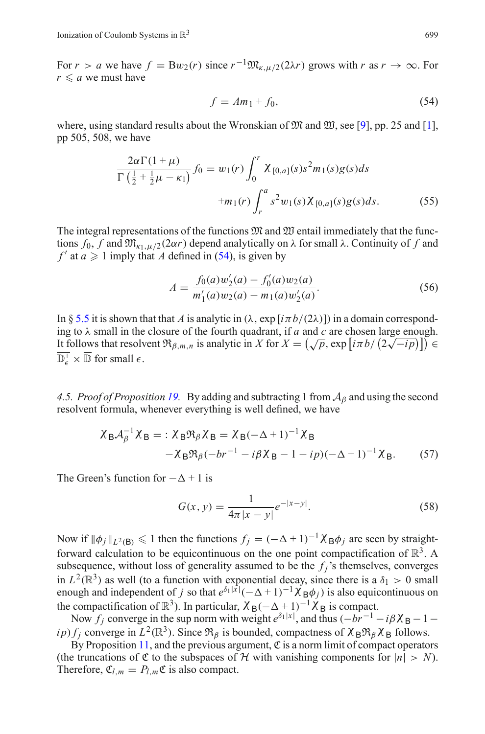For *r* > *a* we have  $f = Bw_2(r)$  since  $r^{-1} \mathfrak{M}_{\kappa, u/2}(2\lambda r)$  grows with *r* as  $r \to \infty$ . For  $r \leq a$  we must have

$$
f = Am_1 + f_0,\tag{54}
$$

<span id="page-18-3"></span>where, using standard results about the Wronskian of  $\mathfrak{M}$  and  $\mathfrak{W}$ , see [\[9\]](#page-56-16), pp. 25 and [\[1](#page-56-17)], pp 505, 508, we have

<span id="page-18-2"></span>
$$
\frac{2\alpha\Gamma(1+\mu)}{\Gamma(\frac{1}{2}+\frac{1}{2}\mu-\kappa_{1})}f_{0} = w_{1}(r)\int_{0}^{r} \chi_{[0,a]}(s)s^{2}m_{1}(s)g(s)ds
$$

$$
+m_{1}(r)\int_{r}^{a} s^{2}w_{1}(s)\chi_{[0,a]}(s)g(s)ds.
$$
(55)

The integral representations of the functions  $\mathfrak{M}$  and  $\mathfrak{W}$  entail immediately that the functions  $f_0$ ,  $f$  and  $\mathfrak{M}_{\kappa_1,\mu/2}(2\alpha r)$  depend analytically on  $\lambda$  for small  $\lambda$ . Continuity of  $f$  and  $f'$  at  $a \ge 1$  imply that *A* defined in [\(54\)](#page-18-2), is given by

$$
A = \frac{f_0(a)w_2'(a) - f_0'(a)w_2(a)}{m_1'(a)w_2(a) - m_1(a)w_2'(a)}.
$$
\n(56)

<span id="page-18-1"></span>In § [5.5](#page-46-0) it is shown that that *A* is analytic in ( $\lambda$ , exp [ $i\pi b/(2\lambda)$ ]) in a domain corresponding to  $\lambda$  small in the closure of the fourth quadrant, if *a* and *c* are chosen large enough. It follows that resolvent  $\Re_{\beta,m,n}$  is analytic in *X* for  $X = (\sqrt{p}, \exp[i\pi b/(2\sqrt{-ip})]) \in$  $\overline{\mathbb{D}^+_{\epsilon}} \times \overline{\mathbb{D}}$  for small  $\epsilon$ .

<span id="page-18-0"></span>*4.5. Proof of Proposition [19.](#page-11-0)* By adding and subtracting 1 from  $A_\beta$  and using the second resolvent formula, whenever everything is well defined, we have

$$
\chi_{\mathbf{B}}\mathcal{A}_{\beta}^{-1}\chi_{\mathbf{B}} =: \chi_{\mathbf{B}}\mathfrak{R}_{\beta}\chi_{\mathbf{B}} = \chi_{\mathbf{B}}(-\Delta+1)^{-1}\chi_{\mathbf{B}}
$$

$$
-\chi_{\mathbf{B}}\mathfrak{R}_{\beta}(-br^{-1} - i\beta\chi_{\mathbf{B}} - 1 - ip)(-\Delta+1)^{-1}\chi_{\mathbf{B}}.
$$
 (57)

The Green's function for  $-\Delta + 1$  is

$$
G(x, y) = \frac{1}{4\pi |x - y|} e^{-|x - y|}.
$$
 (58)

Now if  $\|\phi_j\|_{L^2(B)} \leq 1$  then the functions  $f_j = (-\Delta + 1)^{-1} \chi_B \phi_j$  are seen by straightforward calculation to be equicontinuous on the one point compactification of  $\mathbb{R}^3$ . A subsequence, without loss of generality assumed to be the  $f_j$ 's themselves, converges in  $L^2(\mathbb{R}^3)$  as well (to a function with exponential decay, since there is a  $\delta_1 > 0$  small enough and independent of *j* so that  $e^{\delta_1|x|}(-\Delta+1)^{-1}\chi_{B}^{\prime}\phi_j$  is also equicontinuous on the compactification of  $\mathbb{R}^3$ ). In particular,  $\chi_B(-\Delta + 1)^{-1}\chi_B$  is compact.

Now  $f_j$  converge in the sup norm with weight  $e^{\delta_1|x|}$ , and thus  $(-br^{-1} - i\beta X_B - 1 - i\beta Y_B)$ *ip*)  $f_i$  converge in  $L^2(\mathbb{R}^3)$ . Since  $\mathfrak{R}_\beta$  is bounded, compactness of  $\chi_B \mathfrak{R}_\beta \chi_B$  follows.

By Proposition [11,](#page-9-0) and the previous argument,  $\mathfrak C$  is a norm limit of compact operators (the truncations of  $\mathfrak C$  to the subspaces of  $\mathcal H$  with vanishing components for  $|n| > N$ ). Therefore,  $\mathfrak{C}_{l,m} = P_{l,m} \mathfrak{C}$  is also compact.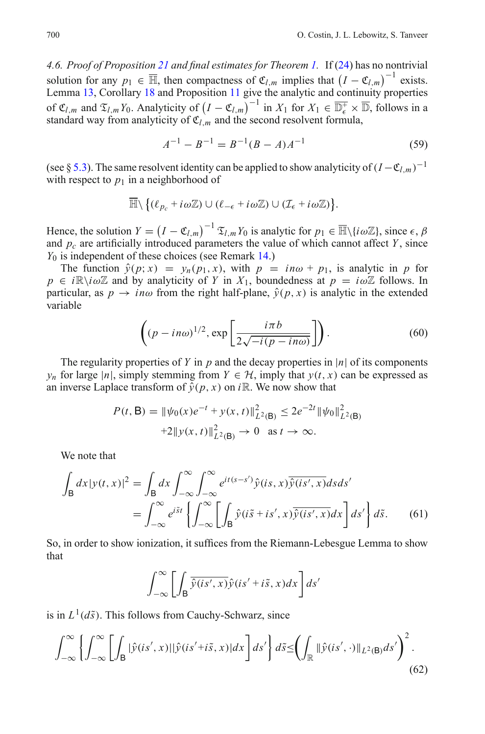<span id="page-19-0"></span>*4.6. Proof of Proposition [21](#page-12-4) and final estimates for Theorem [1.](#page-5-4)* If [\(24\)](#page-9-2) has no nontrivial solution for any  $p_1 \in \overline{\mathbb{H}}$ , then compactness of  $\mathfrak{C}_{l,m}$  implies that  $(I - \mathfrak{C}_{l,m})^{-1}$  exists. Lemma [13,](#page-10-3) Corollary [18](#page-11-3) and Proposition [11](#page-9-0) give the analytic and continuity properties of  $\mathfrak{C}_{l,m}$  and  $\mathfrak{T}_{l,m}Y_0$ . Analyticity of  $(I - \mathfrak{C}_{l,m})^{-1}$  in  $X_1$  for  $X_1 \in \overline{\mathbb{D}_{\epsilon}^+} \times \overline{\mathbb{D}}$ , follows in a standard way from analyticity of  $\mathfrak{C}_l$  *m* and the second resolvent formula,

$$
A^{-1} - B^{-1} = B^{-1}(B - A)A^{-1}
$$
\n(59)

(see § [5.3\)](#page-44-0). The same resolvent identity can be applied to show analyticity of  $(I - \mathfrak{C}_{l,m})^{-1}$ with respect to  $p_1$  in a neighborhood of

$$
\overline{\mathbb{H}}\setminus \big\{(\ell_{p_c}+i\omega\mathbb{Z})\cup(\ell_{-\epsilon}+i\omega\mathbb{Z})\cup(\mathcal{I}_{\epsilon}+i\omega\mathbb{Z})\big\}.
$$

Hence, the solution  $Y = (I - \mathfrak{C}_{l,m})^{-1} \mathfrak{T}_{l,m} Y_0$  is analytic for  $p_1 \in \overline{\mathbb{H}} \setminus \{i\omega \mathbb{Z}\}\,$ , since  $\epsilon, \beta$ and  $p_c$  are artificially introduced parameters the value of which cannot affect *Y*, since *Y*<sup>0</sup> is independent of these choices (see Remark [14.](#page-10-4))

The function  $\hat{y}(p; x) = y_n(p_1, x)$ , with  $p = in\omega + p_1$ , is analytic in p for  $p \in i\mathbb{R} \setminus i\omega\mathbb{Z}$  and by analyticity of *Y* in  $X_1$ , boundedness at  $p = i\omega\mathbb{Z}$  follows. In particular, as  $p \rightarrow in\omega$  from the right half-plane,  $\hat{y}(p, x)$  is analytic in the extended variable

$$
\left( (p - in\omega)^{1/2}, \exp\left[\frac{i\pi b}{2\sqrt{-i(p - in\omega)}}\right] \right). \tag{60}
$$

<span id="page-19-1"></span>The regularity properties of *Y* in *p* and the decay properties in |*n*| of its components *y<sub>n</sub>* for large |*n*|, simply stemming from  $Y \in H$ , imply that  $y(t, x)$  can be expressed as an inverse Laplace transform of  $\hat{v}(p, x)$  on *i*R. We now show that

$$
P(t, \mathsf{B}) = \|\psi_0(x)e^{-t} + y(x, t)\|_{L^2(\mathsf{B})}^2 \le 2e^{-2t} \|\psi_0\|_{L^2(\mathsf{B})}^2
$$
  
+2 $\|y(x, t)\|_{L^2(\mathsf{B})}^2 \to 0$  as  $t \to \infty$ .

We note that

$$
\int_{\mathsf{B}} dx |y(t,x)|^2 = \int_{\mathsf{B}} dx \int_{-\infty}^{\infty} \int_{-\infty}^{\infty} e^{it(s-s')} \hat{y}(is,x) \overline{\hat{y}(is',x)} ds ds'
$$

$$
= \int_{-\infty}^{\infty} e^{i\tilde{s}t} \left\{ \int_{-\infty}^{\infty} \left[ \int_{\mathsf{B}} \hat{y}(i\tilde{s}+is',x) \overline{\hat{y}(is',x)} dx \right] ds' \right\} d\tilde{s}.
$$
(61)

So, in order to show ionization, it suffices from the Riemann-Lebesgue Lemma to show that

$$
\int_{-\infty}^{\infty} \left[ \int_{\mathsf{B}} \overline{\hat{y}(is',x)} \hat{y}(is'+i\tilde{s},x) dx \right] ds'
$$

is in  $L^1(d\tilde{s})$ . This follows from Cauchy-Schwarz, since

$$
\int_{-\infty}^{\infty} \left\{ \int_{-\infty}^{\infty} \left[ \int_{\mathsf{B}} |\hat{y}(is',x)| |\hat{y}(is'+i\tilde{s},x)| dx \right] ds' \right\} d\tilde{s} \leq \left( \int_{\mathbb{R}} |\hat{y}(is',\cdot)| |_{L^{2}(\mathsf{B})} ds' \right)^{2}.
$$
\n(62)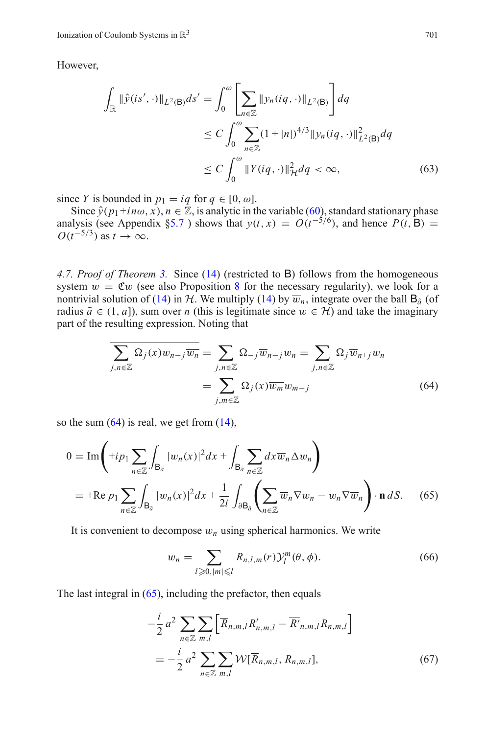However,

$$
\int_{\mathbb{R}} \|\hat{y}(is', \cdot)\|_{L^{2}(\mathsf{B})} ds' = \int_{0}^{\omega} \left[ \sum_{n \in \mathbb{Z}} \|y_{n}(iq, \cdot)\|_{L^{2}(\mathsf{B})} \right] dq
$$
\n
$$
\leq C \int_{0}^{\omega} \sum_{n \in \mathbb{Z}} (1 + |n|)^{4/3} \|y_{n}(iq, \cdot)\|_{L^{2}(\mathsf{B})}^{2} dq
$$
\n
$$
\leq C \int_{0}^{\omega} \|Y(iq, \cdot)\|_{\mathcal{H}}^{2} dq < \infty, \tag{63}
$$

since *Y* is bounded in  $p_1 = iq$  for  $q \in [0, \omega]$ .

Since  $\hat{y}(p_1+in\omega, x), n \in \mathbb{Z}$ , is analytic in the variable [\(60\)](#page-19-1), standard stationary phase analysis (see Appendix [§5.7](#page-51-0)) shows that  $y(t, x) = O(t^{-5/6})$ , and hence  $P(t, B) =$  $O(t^{-5/3})$  as  $t \to \infty$ .

<span id="page-20-0"></span>*4.7. Proof of Theorem [3.](#page-5-3)* Since [\(14\)](#page-4-4) (restricted to B) follows from the homogeneous system  $w = \mathfrak{C}w$  (see also Proposition [8](#page-8-1) for the necessary regularity), we look for a nontrivial solution of [\(14\)](#page-4-4) in *H*. We multiply (14) by  $\overline{w}_n$ , integrate over the ball  $B_{\tilde{a}}$  (of radius  $\tilde{a} \in (1, a]$ , sum over *n* (this is legitimate since  $w \in H$ ) and take the imaginary part of the resulting expression. Noting that

$$
\sum_{j,n\in\mathbb{Z}} \Omega_j(x) w_{n-j} \overline{w_n} = \sum_{j,n\in\mathbb{Z}} \Omega_{-j} \overline{w}_{n-j} w_n = \sum_{j,n\in\mathbb{Z}} \Omega_j \overline{w}_{n+j} w_n
$$

$$
= \sum_{j,m\in\mathbb{Z}} \Omega_j(x) \overline{w_m} w_{m-j}
$$
(64)

<span id="page-20-2"></span><span id="page-20-1"></span>so the sum  $(64)$  is real, we get from  $(14)$ ,

$$
0 = \operatorname{Im}\left(\pm i p_1 \sum_{n \in \mathbb{Z}} \int_{\mathsf{B}_{\tilde{a}}} |w_n(x)|^2 dx + \int_{\mathsf{B}_{\tilde{a}}} \sum_{n \in \mathbb{Z}} dx \overline{w}_n \Delta w_n\right)
$$
  
= + \operatorname{Re} p\_1 \sum\_{n \in \mathbb{Z}} \int\_{\mathsf{B}\_{\tilde{a}}} |w\_n(x)|^2 dx + \frac{1}{2i} \int\_{\partial \mathsf{B}\_{\tilde{a}}} \left(\sum\_{n \in \mathbb{Z}} \overline{w}\_n \nabla w\_n - w\_n \nabla \overline{w}\_n\right) \cdot \mathbf{n} \, dS. \quad (65)

<span id="page-20-3"></span>It is convenient to decompose  $w_n$  using spherical harmonics. We write

$$
w_n = \sum_{l \ge 0, |m| \le l} R_{n,l,m}(r) \mathcal{Y}_l^m(\theta, \phi).
$$
 (66)

The last integral in  $(65)$ , including the prefactor, then equals

$$
-\frac{i}{2} a^2 \sum_{n \in \mathbb{Z}} \sum_{m,l} \left[ \overline{R}_{n,m,l} R'_{n,m,l} - \overline{R'}_{n,m,l} R_{n,m,l} \right]
$$
  
= 
$$
-\frac{i}{2} a^2 \sum_{n \in \mathbb{Z}} \sum_{m,l} \mathcal{W}[\overline{R}_{n,m,l}, R_{n,m,l}],
$$
 (67)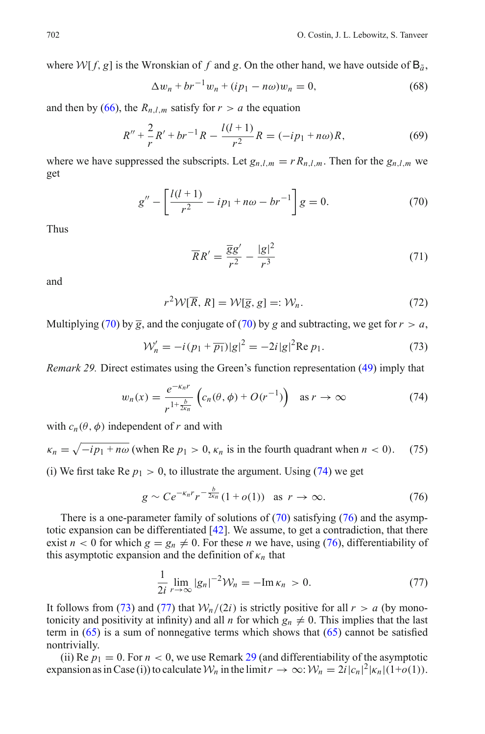where *W*[  $f$ ,  $g$ ] is the Wronskian of  $f$  and  $g$ . On the other hand, we have outside of  $B_{\tilde{a}}$ ,

$$
\Delta w_n + br^{-1} w_n + (ip_1 - n\omega) w_n = 0,
$$
\n(68)

and then by [\(66\)](#page-20-3), the  $R_{n,l,m}$  satisfy for  $r > a$  the equation

$$
R'' + \frac{2}{r}R' + br^{-1}R - \frac{l(l+1)}{r^2}R = (-ip_1 + n\omega)R, \tag{69}
$$

where we have suppressed the subscripts. Let  $g_{n,l,m} = r R_{n,l,m}$ . Then for the  $g_{n,l,m}$  we get

$$
g'' - \left[\frac{l(l+1)}{r^2} - ip_1 + n\omega - br^{-1}\right]g = 0.
$$
 (70)

<span id="page-21-0"></span>Thus

$$
\overline{R}R' = \frac{\overline{g}g'}{r^2} - \frac{|g|^2}{r^3} \tag{71}
$$

and

$$
r^2 \mathcal{W}[\overline{R}, R] = \mathcal{W}[\overline{g}, g] =: \mathcal{W}_n. \tag{72}
$$

Multiplying [\(70\)](#page-21-0) by  $\overline{g}$ , and the conjugate of (70) by *g* and subtracting, we get for  $r > a$ ,

$$
\mathcal{W}'_n = -i(p_1 + \overline{p_1})|g|^2 = -2i|g|^2 \text{Re } p_1. \tag{73}
$$

<span id="page-21-5"></span><span id="page-21-3"></span><span id="page-21-1"></span>*Remark 29.* Direct estimates using the Green's function representation [\(49\)](#page-17-2) imply that

$$
w_n(x) = \frac{e^{-\kappa_n r}}{r^{1 + \frac{b}{2\kappa_n}}} \left( c_n(\theta, \phi) + O(r^{-1}) \right) \quad \text{as } r \to \infty \tag{74}
$$

with  $c_n(\theta, \phi)$  independent of *r* and with

 $\kappa_n = \sqrt{-i p_1 + n \omega}$  (when Re  $p_1 > 0$ ,  $\kappa_n$  is in the fourth quadrant when  $n < 0$ ). (75)

(i) We first take Re  $p_1 > 0$ , to illustrate the argument. Using [\(74\)](#page-21-1) we get

$$
g \sim Ce^{-\kappa_n r} r^{-\frac{b}{2\kappa_n}} (1 + o(1)) \quad \text{as } r \to \infty.
$$
 (76)

<span id="page-21-2"></span>There is a one-parameter family of solutions of  $(70)$  satisfying  $(76)$  and the asymptotic expansion can be differentiated  $[42]$ . We assume, to get a contradiction, that there exist  $n < 0$  for which  $g = g_n \neq 0$ . For these *n* we have, using [\(76\)](#page-21-2), differentiability of this asymptotic expansion and the definition of  $\kappa_n$  that

$$
\frac{1}{2i}\lim_{r\to\infty}|g_n|^{-2}\mathcal{W}_n=-\mathrm{Im}\,\kappa_n\,>0.\tag{77}
$$

<span id="page-21-4"></span>It follows from [\(73\)](#page-21-3) and [\(77\)](#page-21-4) that  $W_n/(2i)$  is strictly positive for all  $r > a$  (by monotonicity and positivity at infinity) and all *n* for which  $g_n \neq 0$ . This implies that the last term in  $(65)$  is a sum of nonnegative terms which shows that  $(65)$  cannot be satisfied nontrivially.

(ii) Re  $p_1 = 0$ . For  $n < 0$ , we use Remark [29](#page-21-5) (and differentiability of the asymptotic expansion as in Case (i)) to calculate  $W_n$  in the limit  $r \to \infty$ :  $W_n = 2i |c_n|^2 |k_n| (1+o(1))$ .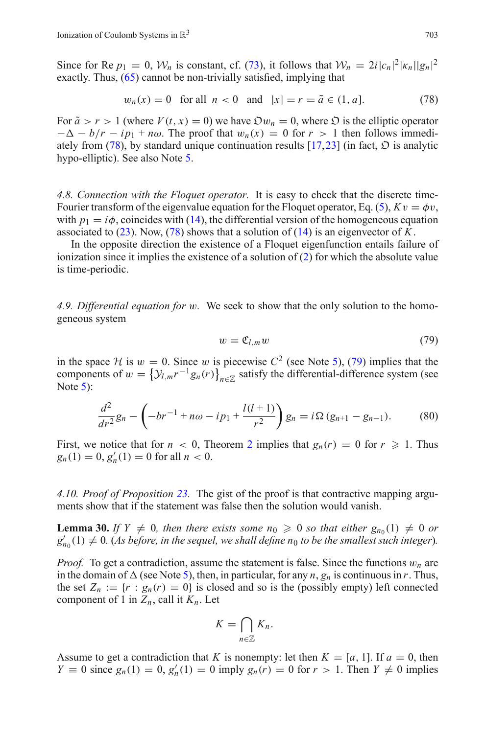Since for Re  $p_1 = 0$ ,  $W_n$  is constant, cf. [\(73\)](#page-21-3), it follows that  $W_n = 2i|c_n|^2 |\kappa_n||g_n|^2$ exactly. Thus, [\(65\)](#page-20-2) cannot be non-trivially satisfied, implying that

$$
w_n(x) = 0 \text{ for all } n < 0 \text{ and } |x| = r = \tilde{a} \in (1, a]. \tag{78}
$$

<span id="page-22-3"></span>For  $\tilde{a} > r > 1$  (where  $V(t, x) = 0$ ) we have  $\mathfrak{D}w_n = 0$ , where  $\mathfrak{D}$  is the elliptic operator  $-\Delta - b/r - ip_1 + n\omega$ . The proof that  $w_n(x) = 0$  for  $r > 1$  then follows immedi-ately from [\(78\)](#page-22-3), by standard unique continuation results  $[17,23]$  $[17,23]$  $[17,23]$  (in fact,  $\mathcal{D}$  is analytic hypo-elliptic). See also Note [5.](#page-5-7)

<span id="page-22-0"></span>*4.8. Connection with the Floquet operator.* It is easy to check that the discrete time-Fourier transform of the eigenvalue equation for the Floquet operator, Eq. [\(5\)](#page-3-4),  $Kv = \phi v$ , with  $p_1 = i\phi$ , coincides with [\(14\)](#page-4-4), the differential version of the homogeneous equation associated to [\(23\)](#page-8-5). Now, [\(78\)](#page-22-3) shows that a solution of [\(14\)](#page-4-4) is an eigenvector of *K*.

In the opposite direction the existence of a Floquet eigenfunction entails failure of ionization since it implies the existence of a solution of [\(2\)](#page-2-2) for which the absolute value is time-periodic.

<span id="page-22-1"></span>*4.9. Differential equation for* w*.* We seek to show that the only solution to the homogeneous system

$$
w = \mathfrak{C}_{l,m} w \tag{79}
$$

in the space *H* is  $w = 0$ . Since *w* is piecewise  $C^2$  (see Note [5\)](#page-5-7), [\(79\)](#page-22-4) implies that the components of  $w = \{ \mathcal{Y}_{l,m} r^{-1} g_n(r) \}_{n \in \mathbb{Z}}$  satisfy the differential-difference system (see Note [5\)](#page-5-7):

<span id="page-22-4"></span>
$$
\frac{d^2}{dr^2}g_n - \left(-br^{-1} + n\omega - ip_1 + \frac{l(l+1)}{r^2}\right)g_n = i\Omega\left(g_{n+1} - g_{n-1}\right). \tag{80}
$$

<span id="page-22-5"></span>First, we notice that for  $n < 0$ , Theorem [2](#page-5-2) implies that  $g_n(r) = 0$  for  $r \ge 1$ . Thus  $g_n(1) = 0, g'_n(1) = 0$  for all  $n < 0$ .

<span id="page-22-2"></span>*4.10. Proof of Proposition [23.](#page-13-1)* The gist of the proof is that contractive mapping arguments show that if the statement was false then the solution would vanish.

**Lemma 30.** If  $Y \neq 0$ , then there exists some  $n_0 \geq 0$  so that either  $g_{n_0}(1) \neq 0$  or  $g'_{n_0}(1) \neq 0$ . (As before, in the sequel, we shall define  $n_0$  to be the smallest such integer).

*Proof.* To get a contradiction, assume the statement is false. Since the functions  $w_n$  are in the domain of  $\Delta$  (see Note [5\)](#page-5-7), then, in particular, for any *n*,  $g_n$  is continuous in *r*. Thus, the set  $Z_n := \{r : g_n(r) = 0\}$  is closed and so is the (possibly empty) left connected component of 1 in  $Z_n$ , call it  $K_n$ . Let

$$
K=\bigcap_{n\in\mathbb{Z}}K_n.
$$

Assume to get a contradiction that *K* is nonempty: let then  $K = [a, 1]$ . If  $a = 0$ , then *Y*  $\equiv$  0 since *g<sub>n</sub>*(1) = 0, *g<sub>n</sub>*(1) = 0 imply *g<sub>n</sub>*(*r*) = 0 for *r* > 1. Then *Y*  $\neq$  0 implies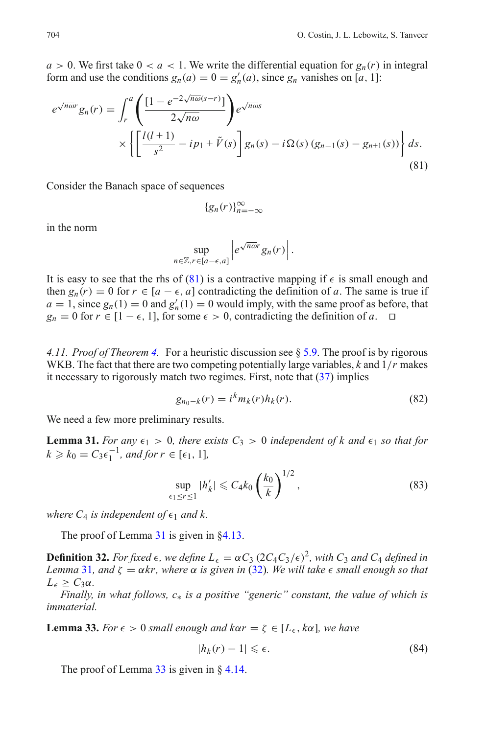$a > 0$ . We first take  $0 < a < 1$ . We write the differential equation for  $g_n(r)$  in integral form and use the conditions  $g_n(a) = 0 = g'_n(a)$ , since  $g_n$  vanishes on [*a*, 1]:

<span id="page-23-3"></span>
$$
e^{\sqrt{n\omega}r}g_n(r) = \int_r^a \left(\frac{[1 - e^{-2\sqrt{n\omega}(s-r)}]}{2\sqrt{n\omega}}\right) e^{\sqrt{n\omega}s}
$$
  
 
$$
\times \left\{ \left[\frac{l(l+1)}{s^2} - ip_1 + \tilde{V}(s) \right] g_n(s) - i\Omega(s) (g_{n-1}(s) - g_{n+1}(s)) \right\} ds.
$$
(81)

Consider the Banach space of sequences

$$
\left\{g_n(r)\right\}_{n=-\infty}^\infty
$$

in the norm

$$
\sup_{n\in\mathbb{Z},r\in[a-\epsilon,a]}\left|e^{\sqrt{n\omega}r}g_n(r)\right|.
$$

It is easy to see that the rhs of [\(81\)](#page-23-3) is a contractive mapping if  $\epsilon$  is small enough and then  $g_n(r) = 0$  for  $r \in [a - \epsilon, a]$  contradicting the definition of a. The same is true if  $a = 1$ , since  $g_n(1) = 0$  and  $g'_n(1) = 0$  would imply, with the same proof as before, that  $g_n = 0$  for  $r \in [1 - \epsilon, 1]$ , for some  $\epsilon > 0$ , contradicting the definition of *a*.  $\Box$ 

<span id="page-23-0"></span>*4.11. Proof of Theorem [4.](#page-14-0)* For a heuristic discussion see § [5.9.](#page-54-0) The proof is by rigorous WKB. The fact that there are two competing potentially large variables, *k* and 1/*r* makes it necessary to rigorously match two regimes. First, note that  $(37)$  implies

$$
g_{n_0-k}(r) = i^k m_k(r) h_k(r).
$$
 (82)

<span id="page-23-4"></span><span id="page-23-1"></span>We need a few more preliminary results.

**Lemma 31.** *For any*  $\epsilon_1 > 0$ , *there exists*  $C_3 > 0$  *independent of k and*  $\epsilon_1$  *so that for*  $k \geq k_0 = C_3 \epsilon_1^{-1}$ , and for  $r \in [\epsilon_1, 1]$ ,

$$
\sup_{\epsilon_1 \le r \le 1} |h'_k| \le C_4 k_0 \left(\frac{k_0}{k}\right)^{1/2},\tag{83}
$$

*where*  $C_4$  *is independent of*  $\epsilon_1$  *and k.* 

The proof of Lemma [31](#page-23-1) is given in [§4.13.](#page-37-0)

**Definition 32.** *For fixed*  $\epsilon$ , we define  $L_{\epsilon} = \alpha C_3 (2C_4 C_3/\epsilon)^2$ , with  $C_3$  and  $C_4$  defined in *Lemma* [31](#page-23-1), and  $\zeta = \alpha k r$ , where  $\alpha$  *is given in* [\(32\)](#page-13-3). We will take  $\epsilon$  small enough so that *L*<sub>*ε*</sub>  $≥ C_3α$ *.* 

*Finally, in what follows, c*∗ *is a positive "generic" constant, the value of which is immaterial.*

<span id="page-23-2"></span>**Lemma 33.** *For*  $\epsilon > 0$  *small enough and kor* =  $\zeta \in [L_{\epsilon}, k\alpha]$ *, we have* 

$$
|h_k(r) - 1| \leqslant \epsilon. \tag{84}
$$

The proof of Lemma  $33$  is given in § [4.14.](#page-39-0)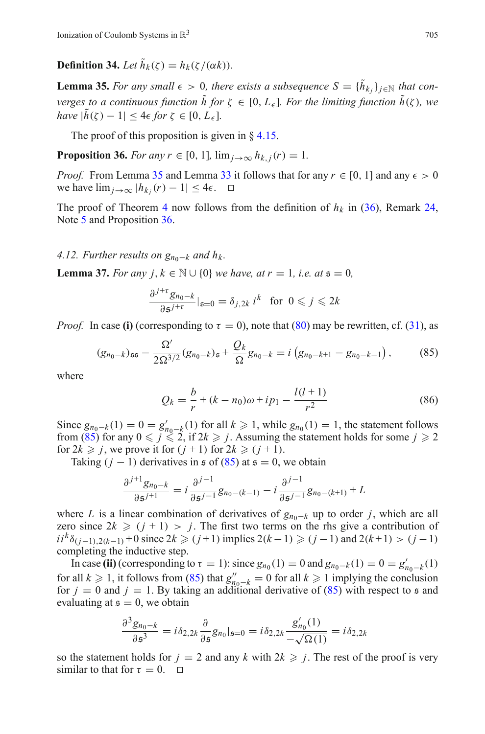**Definition 34.** *Let*  $\tilde{h}_k(\zeta) = h_k(\zeta/(\alpha k))$ .

<span id="page-24-1"></span>**Lemma 35.** *For any small*  $\epsilon > 0$ *, there exists a subsequence*  $S = \{\tilde{h}_k\}$  *j*∈N *that converges to a continuous function*  $\tilde{h}$  *for*  $\zeta \in [0, L_{\epsilon}]$ *. For the limiting function*  $\tilde{h}(\zeta)$ *, we have*  $|\tilde{h}(\zeta) - 1| < 4\epsilon$  *for*  $\zeta \in [0, L_{\epsilon}]$ *.* 

The proof of this proposition is given in  $\frac{84.15}{8}$ .

<span id="page-24-2"></span>**Proposition 36.** *For any r*  $\in$  [0, 1],  $\lim_{i \to \infty} h_{k,i}(r) = 1$ *.* 

*Proof.* From Lemma [35](#page-24-1) and Lemma [33](#page-23-2) it follows that for any  $r \in [0, 1]$  and any  $\epsilon > 0$ we have  $\lim_{j\to\infty}$   $|h_{k_j}(r) - 1| \leq 4\epsilon$ .  $\Box$ 

The proof of Theorem [4](#page-14-0) now follows from the definition of  $h_k$  in [\(36\)](#page-14-4), Remark [24,](#page-14-5) Note [5](#page-5-7) and Proposition [36.](#page-24-2)

#### <span id="page-24-0"></span>*4.12. Further results on*  $g_{n_0-k}$  *and*  $h_k$ *.*

**Lemma 37.** *For any j*,  $k \in \mathbb{N} \cup \{0\}$  *we have, at*  $r = 1$ *, i.e. at*  $s = 0$ *,* 

$$
\frac{\partial^{j+\tau} g_{n_0-k}}{\partial \mathfrak{s}^{j+\tau}}|_{\mathfrak{s}=0} = \delta_{j,2k} i^k \text{ for } 0 \leqslant j \leqslant 2k
$$

*Proof.* In case (i) (corresponding to  $\tau = 0$ ), note that [\(80\)](#page-22-5) may be rewritten, cf. [\(31\)](#page-13-4), as

$$
(g_{n_0-k})_{\mathfrak{ss}} - \frac{\Omega'}{2\Omega^{3/2}} (g_{n_0-k})_{\mathfrak{s}} + \frac{Q_k}{\Omega} g_{n_0-k} = i \left( g_{n_0-k+1} - g_{n_0-k-1} \right), \tag{85}
$$

<span id="page-24-4"></span><span id="page-24-3"></span>where

$$
Q_k = \frac{b}{r} + (k - n_0)\omega + ip_1 - \frac{l(l+1)}{r^2}
$$
 (86)

Since  $g_{n_0-k}(1) = 0 = g'_{n_0-k}(1)$  for all  $k \ge 1$ , while  $g_{n_0}(1) = 1$ , the statement follows from [\(85\)](#page-24-3) for any  $0 \le j \le 2$ , if  $2k \ge j$ . Assuming the statement holds for some  $j \ge 2$ for  $2k \ge j$ , we prove it for  $(j + 1)$  for  $2k \ge (j + 1)$ .

Taking  $(j - 1)$  derivatives in  $\epsilon$  of  $(85)$  at  $\epsilon = 0$ , we obtain

$$
\frac{\partial^{j+1}g_{n_0-k}}{\partial \mathfrak{s}^{j+1}} = i \frac{\partial^{j-1}}{\partial \mathfrak{s}^{j-1}} g_{n_0-(k-1)} - i \frac{\partial^{j-1}}{\partial \mathfrak{s}^{j-1}} g_{n_0-(k+1)} + L
$$

where *L* is a linear combination of derivatives of  $g_{n_0-k}$  up to order *j*, which are all zero since  $2k \geq (j + 1) > j$ . The first two terms on the rhs give a contribution of *i*<sub>*i*</sub><sup>*k*</sup> $\delta$ <sub>(*j*−1),2(*k*−1) + 0 since 2*k*  $\geq$  (*j* + 1) implies 2(*k*−1)  $\geq$  (*j*−1) and 2(*k*+1) > (*j*−1)</sub> completing the inductive step.

In case (ii) (corresponding to  $\tau = 1$ ): since  $g_{n_0}(1) = 0$  and  $g_{n_0-k}(1) = 0 = g'_{n_0-k}(1)$ for all  $k \ge 1$ , it follows from [\(85\)](#page-24-3) that  $g_{n_0-k}'' = 0$  for all  $k \ge 1$  implying the conclusion for  $j = 0$  and  $j = 1$ . By taking an additional derivative of [\(85\)](#page-24-3) with respect to s and evaluating at  $s = 0$ , we obtain

$$
\frac{\partial^3 g_{n_0-k}}{\partial \mathfrak{s}^3} = i \delta_{2,2k} \frac{\partial}{\partial \mathfrak{s}} g_{n_0}|_{\mathfrak{s}=0} = i \delta_{2,2k} \frac{g'_{n_0}(1)}{-\sqrt{\Omega(1)}} = i \delta_{2,2k}
$$

so the statement holds for  $j = 2$  and any  $k$  with  $2k \geq j$ . The rest of the proof is very similar to that for  $\tau = 0$ .  $\Box$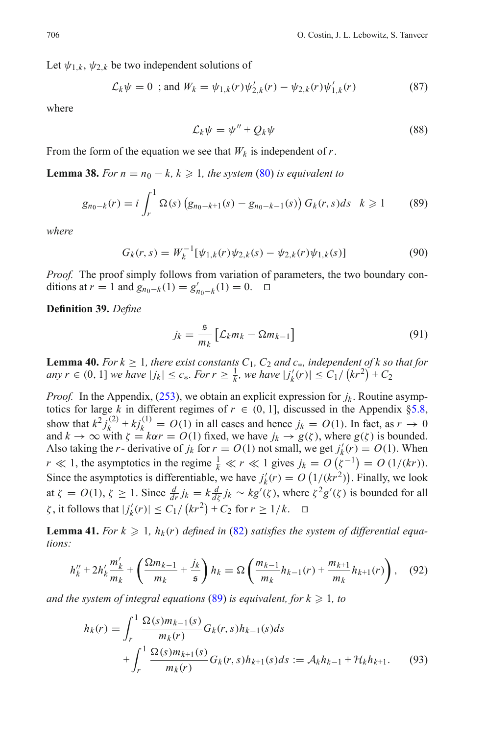<span id="page-25-3"></span>Let  $\psi_{1,k}, \psi_{2,k}$  be two independent solutions of

<span id="page-25-5"></span>
$$
\mathcal{L}_k \psi = 0 \text{ ; and } W_k = \psi_{1,k}(r) \psi'_{2,k}(r) - \psi_{2,k}(r) \psi'_{1,k}(r) \tag{87}
$$

where

$$
\mathcal{L}_k \psi = \psi'' + Q_k \psi \tag{88}
$$

<span id="page-25-7"></span>From the form of the equation we see that  $W_k$  is independent of  $r$ .

**Lemma 38.** *For*  $n = n_0 - k$ ,  $k \ge 1$ , the system [\(80\)](#page-22-5) is equivalent to

$$
g_{n_0-k}(r) = i \int_r^1 \Omega(s) \left( g_{n_0-k+1}(s) - g_{n_0-k-1}(s) \right) G_k(r,s) ds \quad k \geq 1 \tag{89}
$$

<span id="page-25-4"></span><span id="page-25-0"></span>*where*

$$
G_k(r,s) = W_k^{-1}[\psi_{1,k}(r)\psi_{2,k}(s) - \psi_{2,k}(r)\psi_{1,k}(s)]
$$
\n(90)

*Proof.* The proof simply follows from variation of parameters, the two boundary conditions at *r* = 1 and  $g_{n_0-k}(1) = g'_{n_0-k}(1) = 0$ . □

<span id="page-25-6"></span>**Definition 39.** *Define*

$$
j_k = \frac{5}{m_k} \left[ \mathcal{L}_k m_k - \Omega m_{k-1} \right] \tag{91}
$$

<span id="page-25-1"></span>**Lemma 40.** *For k*  $\geq 1$ *, there exist constants*  $C_1$ *,*  $C_2$  *and*  $c_*$ *, independent of k so that for any*  $r \in (0, 1]$  *we have*  $|j_k| \le c_*$ *. For*  $r \ge \frac{1}{k}$ *, we have*  $|j'_k(r)| \le C_1 / (kr^2) + C_2$ 

*Proof.* In the Appendix,  $(253)$ , we obtain an explicit expression for  $j_k$ . Routine asymptotics for large *k* in different regimes of  $r \in (0, 1]$ , discussed in the Appendix [§5.8,](#page-53-0) show that  $k^2 j_k^{(2)} + k j_k^{(1)} = O(1)$  in all cases and hence  $j_k = O(1)$ . In fact, as  $r \to 0$ and  $k \to \infty$  with  $\zeta = k\alpha r = O(1)$  fixed, we have  $j_k \to g(\zeta)$ , where  $g(\zeta)$  is bounded. Also taking the *r*- derivative of *j<sub>k</sub>* for  $r = O(1)$  not small, we get  $j'_k(r) = O(1)$ . When *r*  $\ll$  1, the asymptotics in the regime  $\frac{1}{k} \ll r \ll 1$  gives  $j_k = O(\zeta^{-1}) = O(1/(kr))$ . Since the asymptotics is differentiable, we have  $j'_k(r) = O(1/(kr^2))$ . Finally, we look at  $\zeta = O(1)$ ,  $\zeta \ge 1$ . Since  $\frac{d}{dr} j_k = k \frac{d}{d\zeta} j_k \sim kg'(\zeta)$ , where  $\zeta^2 g'(\zeta)$  is bounded for all  $|\zeta(x) - \zeta(x)| \le C_1 / (kr^2) + C_2$  for  $r \ge 1/k$ .  $\Box$ 

**Lemma 41.** *For k*  $\geq$  1,  $h_k(r)$  *defined in* [\(82\)](#page-23-4) *satisfies the system of differential equations:*

$$
h_k'' + 2h_k' \frac{m'_k}{m_k} + \left(\frac{\Omega m_{k-1}}{m_k} + \frac{j_k}{\mathfrak{s}}\right) h_k = \Omega \left(\frac{m_{k-1}}{m_k} h_{k-1}(r) + \frac{m_{k+1}}{m_k} h_{k+1}(r)\right), \quad (92)
$$

<span id="page-25-2"></span>and the system of integral equations  $(89)$  is equivalent, for  $k\geqslant 1$ , to

$$
h_k(r) = \int_r^1 \frac{\Omega(s)m_{k-1}(s)}{m_k(r)} G_k(r,s)h_{k-1}(s)ds
$$
  
+ 
$$
\int_r^1 \frac{\Omega(s)m_{k+1}(s)}{m_k(r)} G_k(r,s)h_{k+1}(s)ds := \mathcal{A}_k h_{k-1} + \mathcal{H}_k h_{k+1}.
$$
 (93)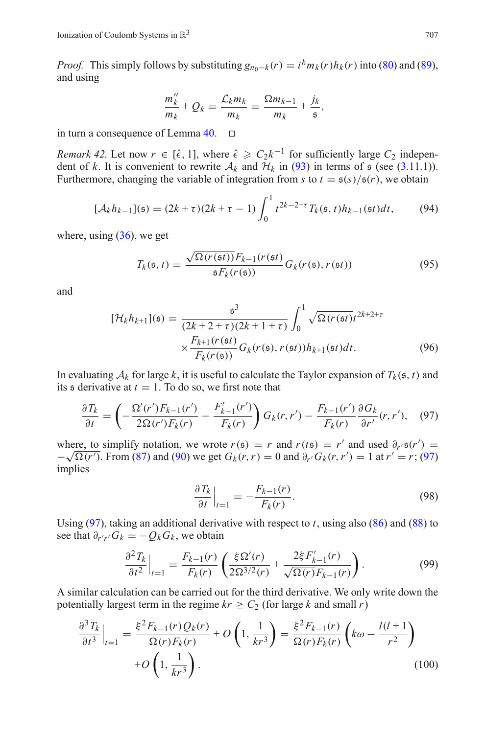*Proof.* This simply follows by substituting  $g_{n_0-k}(r) = i^k m_k(r) h_k(r)$  into [\(80\)](#page-22-5) and [\(89\)](#page-25-0), and using

$$
\frac{m''_k}{m_k} + Q_k = \frac{\mathcal{L}_k m_k}{m_k} = \frac{\Omega m_{k-1}}{m_k} + \frac{j_k}{\mathfrak{s}},
$$

in turn a consequence of Lemma  $40.$   $\Box$ 

*Remark 42.* Let now  $r \in [\hat{\epsilon}, 1]$ , where  $\hat{\epsilon} \geq C_2 k^{-1}$  for sufficiently large  $C_2$  independent of *k*. It is convenient to rewrite  $A_k$  and  $H_k$  in [\(93\)](#page-25-2) in terms of  $\epsilon$  (see [\(3.11.1\)](#page-13-5)). Furthermore, changing the variable of integration from *s* to  $t = \frac{\epsilon(s)}{\epsilon(r)}$ , we obtain

$$
[\mathcal{A}_k h_{k-1}](\mathfrak{s}) = (2k + \tau)(2k + \tau - 1) \int_0^1 t^{2k - 2 + \tau} T_k(\mathfrak{s}, t) h_{k-1}(\mathfrak{s}t) dt, \tag{94}
$$

where, using  $(36)$ , we get

$$
T_k(\mathfrak{s},t) = \frac{\sqrt{\Omega(r(\mathfrak{s}t))} F_{k-1}(r(\mathfrak{s}t))}{\mathfrak{s} F_k(r(\mathfrak{s}))} G_k(r(\mathfrak{s}),r(\mathfrak{s}t))
$$
\n(95)

<span id="page-26-1"></span>and

$$
[\mathcal{H}_k h_{k+1}](\mathfrak{s}) = \frac{\mathfrak{s}^3}{(2k+2+\tau)(2k+1+\tau)} \int_0^1 \sqrt{\Omega(r(\mathfrak{s}t)t^{2k+2+\tau}} \times \frac{F_{k+1}(r(\mathfrak{s}t))}{F_k(r(\mathfrak{s}))} G_k(r(\mathfrak{s}), r(\mathfrak{s}t)) h_{k+1}(\mathfrak{s}t) dt.
$$
 (96)

In evaluating  $A_k$  for large k, it is useful to calculate the Taylor expansion of  $T_k(s, t)$  and its  $\epsilon$  derivative at  $t = 1$ . To do so, we first note that

$$
\frac{\partial T_k}{\partial t} = \left(-\frac{\Omega'(r')F_{k-1}(r')}{2\Omega(r')F_k(r)} - \frac{F'_{k-1}(r')}{F_k(r)}\right)G_k(r,r') - \frac{F_{k-1}(r')}{F_k(r)}\frac{\partial G_k}{\partial r'}(r,r'),\tag{97}
$$

<span id="page-26-0"></span>where, to simplify notation, we wrote  $r(s) = r$  and  $r(ts) = r'$  and used  $\partial_{r'} s(r') =$ where, to simplify notation, we wrote  $r(s) = r$  and  $r(ts) = r^r$  and used  $\sigma_r s(r^r) = -\sqrt{\Omega(r^r)}$ . From [\(87\)](#page-25-3) and [\(90\)](#page-25-4) we get  $G_k(r, r) = 0$  and  $\partial_{r'} G_k(r, r') = 1$  at  $r' = r$ ; [\(97\)](#page-26-0) implies

$$
\left. \frac{\partial T_k}{\partial t} \right|_{t=1} = -\frac{F_{k-1}(r)}{F_k(r)}.\tag{98}
$$

Using [\(97\)](#page-26-0), taking an additional derivative with respect to *t*, using also [\(86\)](#page-24-4) and [\(88\)](#page-25-5) to see that  $\partial_{r'r'} G_k = -Q_k G_k$ , we obtain

$$
\frac{\partial^2 T_k}{\partial t^2}\Big|_{t=1} = \frac{F_{k-1}(r)}{F_k(r)} \left(\frac{\xi \Omega'(r)}{2\Omega^{3/2}(r)} + \frac{2\xi F'_{k-1}(r)}{\sqrt{\Omega(r)}F_{k-1}(r)}\right). \tag{99}
$$

A similar calculation can be carried out for the third derivative. We only write down the potentially largest term in the regime  $kr \geq C_2$  (for large *k* and small *r*)

$$
\frac{\partial^3 T_k}{\partial t^3}\Big|_{t=1} = \frac{\xi^2 F_{k-1}(r) Q_k(r)}{\Omega(r) F_k(r)} + O\left(1, \frac{1}{kr^3}\right) = \frac{\xi^2 F_{k-1}(r)}{\Omega(r) F_k(r)} \left(k\omega - \frac{l(l+1)}{r^2}\right) + O\left(1, \frac{1}{kr^3}\right).
$$
\n(100)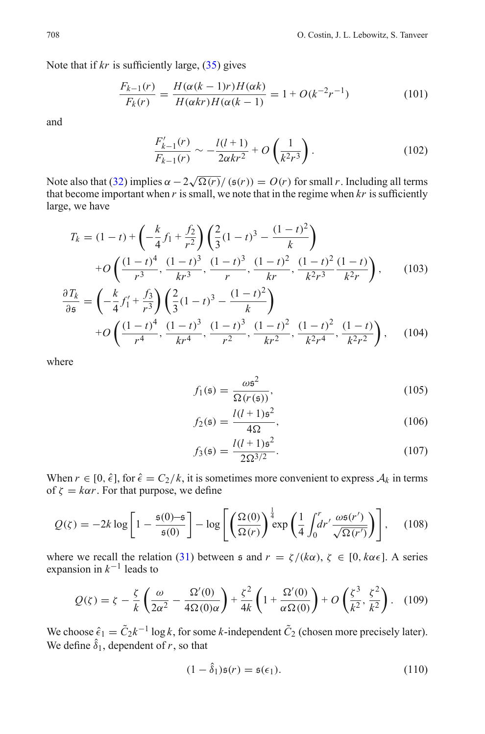Note that if  $kr$  is sufficiently large,  $(35)$  gives

$$
\frac{F_{k-1}(r)}{F_k(r)} = \frac{H(\alpha(k-1)r)H(\alpha k)}{H(\alpha kr)H(\alpha(k-1))} = 1 + O(k^{-2}r^{-1})
$$
\n(101)

and

$$
\frac{F'_{k-1}(r)}{F_{k-1}(r)} \sim -\frac{l(l+1)}{2\alpha kr^2} + O\left(\frac{1}{k^2r^3}\right).
$$
\n(102)

Note also that [\(32\)](#page-13-3) implies  $\alpha - 2\sqrt{\Omega(r)} / (\mathfrak{s}(r)) = O(r)$  for small *r*. Including all terms that become important when  $r$  is small, we note that in the regime when  $kr$  is sufficiently large, we have

<span id="page-27-0"></span>
$$
T_k = (1-t) + \left(-\frac{k}{4}f_1 + \frac{f_2}{r^2}\right) \left(\frac{2}{3}(1-t)^3 - \frac{(1-t)^2}{k}\right)
$$
  
+  $O\left(\frac{(1-t)^4}{r^3}, \frac{(1-t)^3}{kr^3}, \frac{(1-t)^3}{r}, \frac{(1-t)^2}{kr}, \frac{(1-t)^2}{k^2r^3}, \frac{(1-t)^2}{k^2r}\right)$ , (103)

$$
\frac{\partial T_k}{\partial \mathfrak{s}} = \left( -\frac{k}{4} f_1' + \frac{f_3}{r^3} \right) \left( \frac{2}{3} (1 - t)^3 - \frac{(1 - t)^2}{k} \right) \n+ O\left( \frac{(1 - t)^4}{r^4}, \frac{(1 - t)^3}{kr^4}, \frac{(1 - t)^3}{r^2}, \frac{(1 - t)^2}{kr^2}, \frac{(1 - t)^2}{k^2 r^4}, \frac{(1 - t)}{k^2 r^2} \right), \quad (104)
$$

where

$$
f_1(\mathfrak{s}) = \frac{\omega \mathfrak{s}^2}{\Omega(r(\mathfrak{s}))},\tag{105}
$$

$$
f_2(\mathfrak{s}) = \frac{l(l+1)\mathfrak{s}^2}{4\Omega},\tag{106}
$$

$$
f_3(\mathfrak{s}) = \frac{l(l+1)\mathfrak{s}^2}{2\Omega^{3/2}}.
$$
 (107)

When  $r \in [0, \hat{\epsilon}]$ , for  $\hat{\epsilon} = C_2/k$ , it is sometimes more convenient to express  $A_k$  in terms of  $\zeta = k\alpha r$ . For that purpose, we define

$$
Q(\zeta) = -2k \log \left[ 1 - \frac{\mathfrak{s}(0) - \mathfrak{s}}{\mathfrak{s}(0)} \right] - \log \left[ \left( \frac{\Omega(0)}{\Omega(r)} \right)^{\frac{1}{4}} \exp \left( \frac{1}{4} \int_0^r dr' \frac{\omega \mathfrak{s}(r')}{\sqrt{\Omega(r')}} \right) \right], \quad (108)
$$

where we recall the relation [\(31\)](#page-13-4) between  $\epsilon$  and  $r = \zeta/(k\alpha)$ ,  $\zeta \in [0, k\alpha \epsilon]$ . A series expansion in *k*−<sup>1</sup> leads to

$$
Q(\zeta) = \zeta - \frac{\zeta}{k} \left( \frac{\omega}{2\alpha^2} - \frac{\Omega'(0)}{4\Omega(0)\alpha} \right) + \frac{\zeta^2}{4k} \left( 1 + \frac{\Omega'(0)}{\alpha \Omega(0)} \right) + O\left( \frac{\zeta^3}{k^2}, \frac{\zeta^2}{k^2} \right). \tag{109}
$$

We choose  $\hat{\epsilon}_1 = \tilde{C}_2 k^{-1} \log k$ , for some *k*-independent  $\tilde{C}_2$  (chosen more precisely later). We define  $\hat{\delta}_1$ , dependent of *r*, so that

$$
(1 - \hat{\delta}_1)\mathfrak{s}(r) = \mathfrak{s}(\epsilon_1). \tag{110}
$$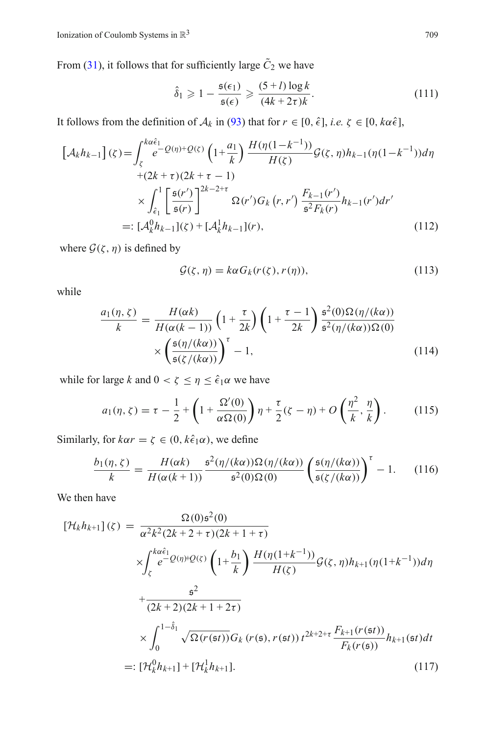From [\(31\)](#page-13-4), it follows that for sufficiently large  $\tilde{C}_2$  we have

$$
\hat{\delta}_1 \geqslant 1 - \frac{\mathfrak{s}(\epsilon_1)}{\mathfrak{s}(\epsilon)} \geqslant \frac{(5+l)\log k}{(4k+2\tau)k}.\tag{111}
$$

<span id="page-28-3"></span>It follows from the definition of  $A_k$  in [\(93\)](#page-25-2) that for  $r \in [0, \hat{\epsilon}]$ , *i.e.*  $\zeta \in [0, k\alpha\hat{\epsilon}]$ ,

<span id="page-28-1"></span>
$$
\begin{split} \left[\mathcal{A}_{k}h_{k-1}\right](\zeta) &= \int_{\zeta}^{k\alpha\hat{\epsilon}_{1}} e^{-\mathcal{Q}(\eta)+\mathcal{Q}(\zeta)} \left(1+\frac{a_{1}}{k}\right) \frac{H(\eta(1-k^{-1}))}{H(\zeta)} \mathcal{G}(\zeta,\eta) h_{k-1}(\eta(1-k^{-1})) d\eta \\ &+ (2k+\tau)(2k+\tau-1) \\ &\times \int_{\hat{\epsilon}_{1}}^{1} \left[\frac{\mathfrak{s}(r')}{\mathfrak{s}(r)}\right]^{2k-2+\tau} \Omega(r') G_{k}\left(r,r'\right) \frac{F_{k-1}(r')}{\mathfrak{s}^{2} F_{k}(r)} h_{k-1}(r') dr' \\ &=: \left[\mathcal{A}_{k}^{0}h_{k-1}\right](\zeta) + \left[\mathcal{A}_{k}^{1}h_{k-1}\right](r), \end{split} \tag{112}
$$

where  $G(\zeta, \eta)$  is defined by

$$
\mathcal{G}(\zeta,\eta) = k\alpha G_k(r(\zeta),r(\eta)),\tag{113}
$$

while

<span id="page-28-0"></span>
$$
\frac{a_1(\eta,\zeta)}{k} = \frac{H(\alpha k)}{H(\alpha(k-1))} \left(1 + \frac{\tau}{2k}\right) \left(1 + \frac{\tau - 1}{2k}\right) \frac{\xi^2(0)\Omega(\eta/(k\alpha))}{\xi^2(\eta/(k\alpha))\Omega(0)} \times \left(\frac{\xi(\eta/(k\alpha))}{\xi(\zeta/(k\alpha))}\right)^{\tau} - 1,\tag{114}
$$

while for large *k* and  $0 < \zeta \le \eta \le \hat{\epsilon}_1 \alpha$  we have

$$
a_1(\eta, \zeta) = \tau - \frac{1}{2} + \left(1 + \frac{\Omega'(0)}{\alpha \Omega(0)}\right) \eta + \frac{\tau}{2} (\zeta - \eta) + O\left(\frac{\eta^2}{k}, \frac{\eta}{k}\right). \tag{115}
$$

Similarly, for  $k\alpha r = \zeta \in (0, k\hat{\epsilon}_1\alpha)$ , we define

$$
\frac{b_1(\eta,\zeta)}{k} = \frac{H(\alpha k)}{H(\alpha(k+1))} \frac{\mathfrak{s}^2(\eta/(k\alpha))\Omega(\eta/(k\alpha))}{\mathfrak{s}^2(0)\Omega(0)} \left(\frac{\mathfrak{s}(\eta/(k\alpha))}{\mathfrak{s}(\zeta/(k\alpha))}\right)^{\tau} - 1. \tag{116}
$$

We then have

<span id="page-28-2"></span>
$$
[\mathcal{H}_{k}h_{k+1}](\zeta) = \frac{\Omega(0)\mathfrak{s}^{2}(0)}{\alpha^{2}k^{2}(2k+2+\tau)(2k+1+\tau)}
$$
  
\n
$$
\times \int_{\zeta}^{k\alpha\hat{\epsilon}_{1}} e^{-Q(\eta)\theta(\zeta)} \left(1+\frac{b_{1}}{k}\right) \frac{H(\eta(1+k^{-1}))}{H(\zeta)} \mathcal{G}(\zeta, \eta)h_{k+1}(\eta(1+k^{-1}))d\eta
$$
  
\n
$$
+\frac{\mathfrak{s}^{2}}{(2k+2)(2k+1+2\tau)}
$$
  
\n
$$
\times \int_{0}^{1-\hat{\delta}_{1}} \sqrt{\Omega(r(\mathfrak{s}t))} G_{k}(r(\mathfrak{s}), r(\mathfrak{s}t)) t^{2k+2+\tau} \frac{F_{k+1}(r(\mathfrak{s}t))}{F_{k}(r(\mathfrak{s}))} h_{k+1}(\mathfrak{s}t)dt
$$
  
\n=:  $[\mathcal{H}_{k}^{0}h_{k+1}] + [\mathcal{H}_{k}^{1}h_{k+1}].$  (117)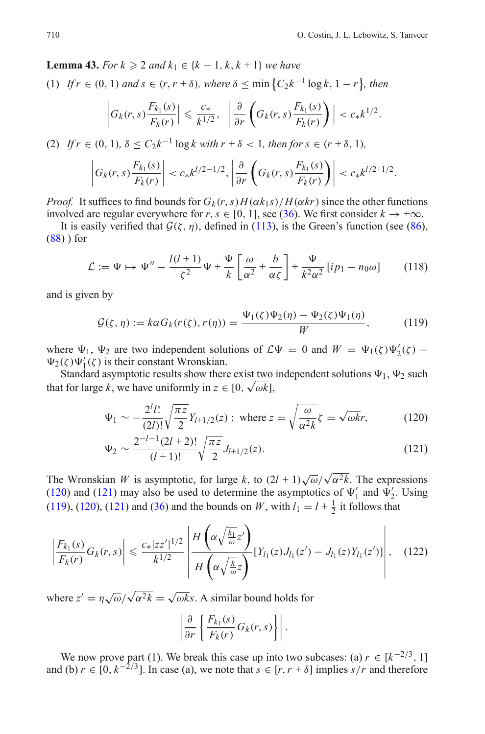**Lemma 43.** *For*  $k \ge 2$  *and*  $k_1 \in \{k-1, k, k+1\}$  *we have* 

 $(1)$  *If*  $r \in (0, 1)$  *and*  $s \in (r, r + \delta)$ *, where*  $\delta \leq \min\left\{C_2k^{-1}\log k, 1 - r\right\}$ *, then* 

$$
\left|G_k(r,s)\frac{F_{k_1}(s)}{F_k(r)}\right|\leqslant \frac{c_*}{k^{1/2}},\ \ \left|\frac{\partial}{\partial r}\left(G_k(r,s)\frac{F_{k_1}(s)}{F_k(r)}\right)\right|< c_*k^{1/2}.
$$

(2) *If*  $r \in (0, 1)$ ,  $\delta \le C_2 k^{-1} \log k$  with  $r + \delta < 1$ , then for  $s \in (r + \delta, 1)$ ,

$$
\left| G_k(r,s) \frac{F_{k_1}(s)}{F_k(r)} \right| < c_* k^{1/2-1/2}, \left| \frac{\partial}{\partial r} \left( G_k(r,s) \frac{F_{k_1}(s)}{F_k(r)} \right) \right| < c_* k^{1/2+1/2}.
$$

*Proof.* It suffices to find bounds for  $G_k(r, s)H(\alpha k_1 s)/H(\alpha k r)$  since the other functions involved are regular everywhere for *r*, *s* ∈ [0, 1], see [\(36\)](#page-14-4). We first consider  $k \to +\infty$ .

It is easily verified that  $G(\zeta, \eta)$ , defined in [\(113\)](#page-28-0), is the Green's function (see [\(86\)](#page-24-4), [\(88\)](#page-25-5) ) for

$$
\mathcal{L} := \Psi \mapsto \Psi'' - \frac{l(l+1)}{\zeta^2} \Psi + \frac{\Psi}{k} \left[ \frac{\omega}{\alpha^2} + \frac{b}{\alpha \zeta} \right] + \frac{\Psi}{k^2 \alpha^2} \left[ i p_1 - n_0 \omega \right] \tag{118}
$$

and is given by

$$
\mathcal{G}(\zeta,\eta) := k\alpha G_k(r(\zeta),r(\eta)) = \frac{\Psi_1(\zeta)\Psi_2(\eta) - \Psi_2(\zeta)\Psi_1(\eta)}{W},\tag{119}
$$

<span id="page-29-1"></span>where  $\Psi_1$ ,  $\Psi_2$  are two independent solutions of  $\mathcal{L}\Psi = 0$  and  $W = \Psi_1(\zeta)\Psi_2'(\zeta)$  $\Psi_2(\zeta)\Psi_1'(\zeta)$  is their constant Wronskian.

<span id="page-29-0"></span>Standard asymptotic results show there exist two independent solutions  $\Psi_1$ ,  $\Psi_2$  such standard asymptotic results show there exist two<br>that for large *k*, we have uniformly in  $z \in [0, \sqrt{\omega k}]$ ,

$$
\Psi_1 \sim -\frac{2^l l!}{(2l)!} \sqrt{\frac{\pi z}{2}} Y_{l+1/2}(z) \; ; \text{ where } z = \sqrt{\frac{\omega}{\alpha^2 k}} \zeta = \sqrt{\omega k} r, \tag{120}
$$

$$
\Psi_2 \sim \frac{2^{-l-1}(2l+2)!}{(l+1)!} \sqrt{\frac{\pi z}{2}} J_{l+1/2}(z). \tag{121}
$$

The Wronskian *W* is asymptotic, for large *k*, to  $(2l + 1)\sqrt{\omega}/\sqrt{\alpha^2 k}$ . The expressions [\(120\)](#page-29-0) and [\(121\)](#page-29-0) may also be used to determine the asymptotics of  $\Psi'_1$  and  $\Psi'_2$ . Using [\(119\)](#page-29-1), [\(120\)](#page-29-0), [\(121\)](#page-29-0) and [\(36\)](#page-14-4) and the bounds on *W*, with  $l_1 = l + \frac{1}{2}$  it follows that

$$
\left| \frac{F_{k_1}(s)}{F_k(r)} G_k(r,s) \right| \leq \frac{c_*|zz'|^{1/2}}{k^{1/2}} \left| \frac{H\left(\alpha \sqrt{\frac{k_1}{\omega}} z'\right)}{H\left(\alpha \sqrt{\frac{k}{\omega}} z\right)} [Y_{l_1}(z) J_{l_1}(z') - J_{l_1}(z) Y_{l_1}(z')] \right|, \quad (122)
$$

<span id="page-29-2"></span>where  $z' = \eta \sqrt{\omega}/\sqrt{\alpha^2 k} = \sqrt{\omega k} s$ . A similar bound holds for

$$
\left|\frac{\partial}{\partial r}\left\{\frac{F_{k_1}(s)}{F_k(r)}G_k(r,s)\right\}\right|.
$$

We now prove part (1). We break this case up into two subcases: (a)  $r \in [k^{-2/3}, 1]$ and (b)  $r \in [0, k^{-2/3}]$ . In case (a), we note that  $s \in [r, r + \delta]$  implies  $s/r$  and therefore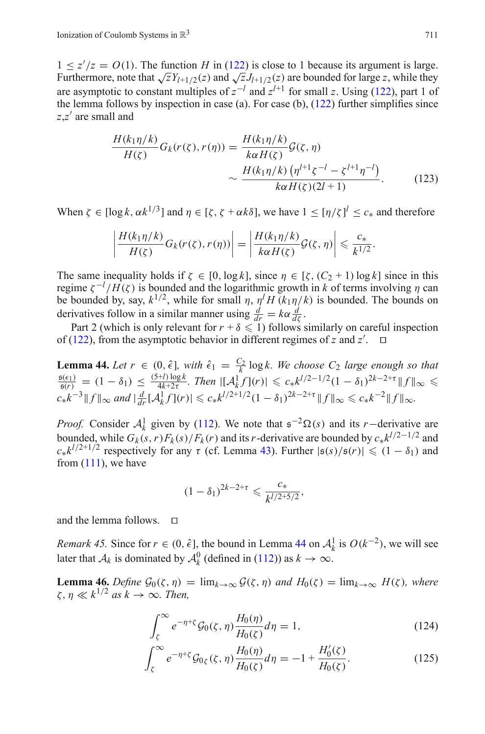$1 \le z'/z = O(1)$ . The function *H* in [\(122\)](#page-29-2) is close to 1 because its argument is large. Furthermore, note that  $\sqrt{z}Y_{l+1/2}(z)$  and  $\sqrt{z}J_{l+1/2}(z)$  are bounded for large *z*, while they are asymptotic to constant multiples of  $z^{-l}$  and  $z^{l+1}$  for small z. Using [\(122\)](#page-29-2), part 1 of the lemma follows by inspection in case (a). For case (b),  $(122)$  further simplifies since *z*,*z* are small and

$$
\frac{H(k_1\eta/k)}{H(\zeta)}G_k(r(\zeta),r(\eta)) = \frac{H(k_1\eta/k)}{k\alpha H(\zeta)}\mathcal{G}(\zeta,\eta)
$$

$$
\sim \frac{H(k_1\eta/k) ( \eta^{l+1}\zeta^{-l} - \zeta^{l+1}\eta^{-l})}{k\alpha H(\zeta)(2l+1)}.
$$
(123)

When  $\zeta \in [\log k, \alpha k^{1/3}]$  and  $\eta \in [\zeta, \zeta + \alpha k \delta]$ , we have  $1 \leq [\eta/\zeta]^l \leq c_*$  and therefore

$$
\left|\frac{H(k_1\eta/k)}{H(\zeta)}G_k(r(\zeta),r(\eta))\right|=\left|\frac{H(k_1\eta/k)}{k\alpha H(\zeta)}\mathcal{G}(\zeta,\eta)\right|\leqslant \frac{c_*}{k^{1/2}}.
$$

The same inequality holds if  $\zeta \in [0, \log k]$ , since  $\eta \in [\zeta, (C_2 + 1) \log k]$  since in this regime  $\zeta^{-1}/H(\zeta)$  is bounded and the logarithmic growth in *k* of terms involving *η* can be bounded by, say,  $k^{1/2}$ , while for small  $\eta$ ,  $\eta^l H(k_1 \eta / k)$  is bounded. The bounds on derivatives follow in a similar manner using  $\frac{d}{dr} = k\alpha \frac{d}{d\zeta}$ .

Part 2 (which is only relevant for  $r + \delta \leq 1$ ) follows similarly on careful inspection of [\(122\)](#page-29-2), from the asymptotic behavior in different regimes of *z* and  $z'$ .  $\Box$ 

<span id="page-30-0"></span>**Lemma 44.** Let  $r \in (0, \hat{\epsilon})$ , with  $\hat{\epsilon}_1 = \frac{C_2}{k} \log k$ . We choose  $C_2$  large enough so that  $\frac{\mathfrak{s}(\epsilon_1)}{\mathfrak{s}(r)} = (1 - \delta_1) \le \frac{(5+l)\log k}{4k+2\tau}$ . Then  $|[\mathcal{A}_k^1 f](r)| \le c_* k^{l/2-1/2} (1 - \delta_1)^{2k-2+\tau} ||f||_{\infty} \le$  $c_* k^{-3} \|f\|_{\infty}$  and  $\left|\frac{d}{dr}[A_k^1 f](r)\right| \leqslant c_* k^{1/2+1/2}(1-\delta_1)^{2k-2+\tau} \|f\|_{\infty} \leqslant c_* k^{-2} \|f\|_{\infty}$ .

*Proof.* Consider  $A_k^1$  given by [\(112\)](#page-28-1). We note that  $\epsilon^{-2} \Omega(s)$  and its *r*−derivative are bounded, while  $G_k(s, r)F_k(s)/F_k(r)$  and its *r*-derivative are bounded by  $c_* k^{l/2-1/2}$  and  $c_* k^{l/2+1/2}$  respectively for any  $\tau$  (cf. Lemma [43\)](#page-28-2). Further  $|s(s)/s(r)| \leq (1 - \delta_1)$  and from  $(111)$ , we have

$$
(1-\delta_1)^{2k-2+\tau} \leq \frac{c_*}{k^{l/2+5/2}},
$$

and the lemma follows.  $\Box$ 

*Remark 45.* Since for  $r \in (0, \hat{\epsilon})$ , the bound in Lemma [44](#page-30-0) on  $\mathcal{A}_{k}^{1}$  is  $O(k^{-2})$ , we will see later that *A<sub>k</sub>* is dominated by  $A_k^0$  (defined in [\(112\)](#page-28-1)) as  $k \to \infty$ .

<span id="page-30-1"></span>**Lemma 46.** *Define*  $G_0(\zeta, \eta) = \lim_{k \to \infty} G(\zeta, \eta)$  *and*  $H_0(\zeta) = \lim_{k \to \infty} H(\zeta)$ *, where*  $\zeta, \eta \ll k^{1/2}$  *as*  $k \to \infty$ *. Then,* 

$$
\int_{\zeta}^{\infty} e^{-\eta + \zeta} \mathcal{G}_0(\zeta, \eta) \frac{H_0(\eta)}{H_0(\zeta)} d\eta = 1,
$$
\n(124)

$$
\int_{\zeta}^{\infty} e^{-\eta + \zeta} \mathcal{G}_{0\zeta}(\zeta, \eta) \frac{H_0(\eta)}{H_0(\zeta)} d\eta = -1 + \frac{H_0'(\zeta)}{H_0(\zeta)}.
$$
 (125)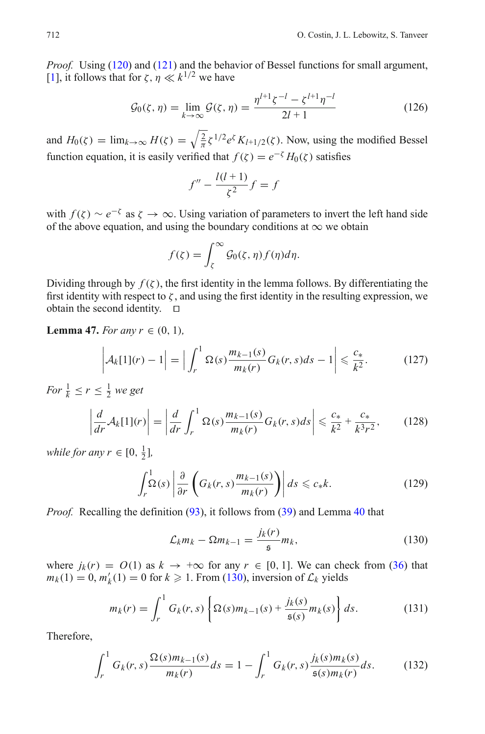*Proof.* Using [\(120\)](#page-29-0) and [\(121\)](#page-29-0) and the behavior of Bessel functions for small argument, [\[1](#page-56-17)], it follows that for  $\zeta$ ,  $n \ll k^{1/2}$  we have

$$
\mathcal{G}_0(\zeta, \eta) = \lim_{k \to \infty} \mathcal{G}(\zeta, \eta) = \frac{\eta^{l+1} \zeta^{-l} - \zeta^{l+1} \eta^{-l}}{2l+1}
$$
(126)

<span id="page-31-4"></span>and  $H_0(\zeta) = \lim_{k \to \infty} H(\zeta) = \sqrt{\frac{2}{\pi}} \zeta^{1/2} e^{\zeta} K_{l+1/2}(\zeta)$ . Now, using the modified Bessel function equation, it is easily verified that  $f(\zeta) = e^{-\zeta} H_0(\zeta)$  satisfies

$$
f'' - \frac{l(l+1)}{\zeta^2}f = f
$$

with  $f(\zeta) \sim e^{-\zeta}$  as  $\zeta \to \infty$ . Using variation of parameters to invert the left hand side of the above equation, and using the boundary conditions at  $\infty$  we obtain

$$
f(\zeta) = \int_{\zeta}^{\infty} \mathcal{G}_0(\zeta, \eta) f(\eta) d\eta.
$$

Dividing through by  $f(\zeta)$ , the first identity in the lemma follows. By differentiating the first identity with respect to  $\zeta$ , and using the first identity in the resulting expression, we obtain the second identity.  $\square$ 

## <span id="page-31-5"></span>**Lemma 47.** *For any*  $r \in (0, 1)$ *,*

$$
\left| \mathcal{A}_k[1](r) - 1 \right| = \left| \int_r^1 \Omega(s) \frac{m_{k-1}(s)}{m_k(r)} G_k(r, s) ds - 1 \right| \leqslant \frac{c_*}{k^2}.
$$
 (127)

*For*  $\frac{1}{k} \leq r \leq \frac{1}{2}$  *we get* 

$$
\left|\frac{d}{dr}\mathcal{A}_k[1](r)\right| = \left|\frac{d}{dr}\int_r^1 \Omega(s)\frac{m_{k-1}(s)}{m_k(r)}G_k(r,s)ds\right| \leqslant \frac{c_*}{k^2} + \frac{c_*}{k^3r^2},\qquad(128)
$$

<span id="page-31-2"></span>*while for any*  $r \in [0, \frac{1}{2}]$ ,

$$
\int_{r}^{1} \Omega(s) \left| \frac{\partial}{\partial r} \left( G_k(r, s) \frac{m_{k-1}(s)}{m_k(r)} \right) \right| ds \leq c_* k. \tag{129}
$$

<span id="page-31-3"></span>*Proof.* Recalling the definition [\(93\)](#page-25-2), it follows from [\(39\)](#page-25-6) and Lemma [40](#page-25-1) that

$$
\mathcal{L}_k m_k - \Omega m_{k-1} = \frac{j_k(r)}{\mathfrak{s}} m_k,\tag{130}
$$

<span id="page-31-0"></span>where  $j_k(r) = O(1)$  as  $k \to +\infty$  for any  $r \in [0, 1]$ . We can check from [\(36\)](#page-14-4) that  $m_k(1) = 0$ ,  $m'_k(1) = 0$  for  $k \ge 1$ . From [\(130\)](#page-31-0), inversion of  $\mathcal{L}_k$  yields

$$
m_k(r) = \int_r^1 G_k(r,s) \left\{ \Omega(s) m_{k-1}(s) + \frac{j_k(s)}{\mathfrak{s}(s)} m_k(s) \right\} ds.
$$
 (131)

<span id="page-31-1"></span>Therefore,

$$
\int_{r}^{1} G_{k}(r,s) \frac{\Omega(s) m_{k-1}(s)}{m_{k}(r)} ds = 1 - \int_{r}^{1} G_{k}(r,s) \frac{j_{k}(s) m_{k}(s)}{\mathfrak{s}(s) m_{k}(r)} ds.
$$
 (132)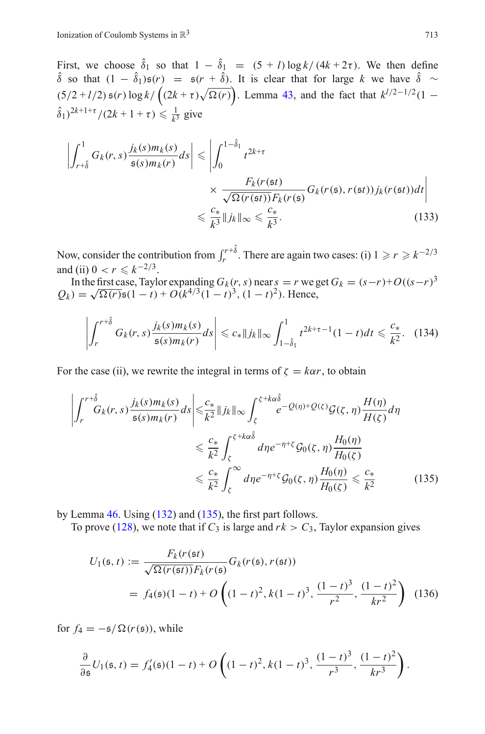First, we choose  $\hat{\delta}_1$  so that  $1 - \hat{\delta}_1 = (5 + l) \log k / (4k + 2\tau)$ . We then define δ so that  $(1 - \delta_1)$ **s**(*r*) = **s**(*r* + δ). It is clear that for large *k* we have δ ∼  $(5/2 + l/2)$   $\mathfrak{s}(r)$  log  $k / ((2k + \tau) \sqrt{\Omega(r)})$ . Lemma [43,](#page-28-2) and the fact that  $k^{l/2-1/2}(1 (\hat{\delta}_1)^{2k+1+\tau}/(2k+1+\tau) \le \frac{1}{k^3}$  give

$$
\left| \int_{r+\hat{\delta}}^{1} G_k(r,s) \frac{j_k(s) m_k(s)}{\mathfrak{s}(s) m_k(r)} ds \right| \leq \left| \int_0^{1-\hat{\delta}_1} t^{2k+\tau} \times \frac{F_k(r(\mathfrak{s}t))}{\sqrt{\Omega(r(\mathfrak{s}t))} F_k(r(\mathfrak{s}))} G_k(r(\mathfrak{s}), r(\mathfrak{s}t)) j_k(r(\mathfrak{s}t)) dt \right|
$$
  

$$
\leq \frac{c_*}{k^3} ||j_k||_{\infty} \leq \frac{c_*}{k^3}.
$$
 (133)

Now, consider the contribution from  $\int_r^{r+\hat{\delta}}$ . There are again two cases: (i)  $1 \ge r \ge k^{-2/3}$ and (ii)  $0 < r \leq k^{-2/3}$ .

In the first case, Taylor expanding  $G_k(r, s)$  near  $s = r$  we get  $G_k = (s-r)+O((s-r)^3)Q_k = \sqrt{\Omega(r)}s(1-t) + O(k^{4/3}(1-t)^3)$ . Hence,

$$
\left| \int_{r}^{r+\hat{\delta}} G_k(r,s) \frac{j_k(s) m_k(s)}{\mathfrak{s}(s) m_k(r)} ds \right| \leq c_* \| j_k \|_{\infty} \int_{1-\hat{\delta}_1}^{1} t^{2k+\tau-1} (1-t) dt \leq \frac{c_*}{k^2}.
$$
 (134)

<span id="page-32-0"></span>For the case (ii), we rewrite the integral in terms of  $\zeta = k\alpha r$ , to obtain

$$
\left| \int_{r}^{r+\hat{\delta}} G_{k}(r,s) \frac{j_{k}(s)m_{k}(s)}{\mathfrak{s}(s)m_{k}(r)} ds \right| \leq \frac{c_{*}}{k^{2}} \|j_{k}\|_{\infty} \int_{\zeta}^{\zeta+k\alpha\hat{\delta}} e^{-Q(\eta)+Q(\zeta)} \mathcal{G}(\zeta,\eta) \frac{H(\eta)}{H(\zeta)} d\eta
$$
  

$$
\leq \frac{c_{*}}{k^{2}} \int_{\zeta}^{\zeta+k\alpha\hat{\delta}} d\eta e^{-\eta+\zeta} \mathcal{G}_{0}(\zeta,\eta) \frac{H_{0}(\eta)}{H_{0}(\zeta)}
$$
  

$$
\leq \frac{c_{*}}{k^{2}} \int_{\zeta}^{\infty} d\eta e^{-\eta+\zeta} \mathcal{G}_{0}(\zeta,\eta) \frac{H_{0}(\eta)}{H_{0}(\zeta)} \leq \frac{c_{*}}{k^{2}} \qquad (135)
$$

by Lemma [46.](#page-30-1) Using [\(132\)](#page-31-1) and [\(135\)](#page-32-0), the first part follows.

To prove [\(128\)](#page-31-2), we note that if  $C_3$  is large and  $rk > C_3$ , Taylor expansion gives

$$
U_1(\mathfrak{s}, t) := \frac{F_k(r(\mathfrak{s}t))}{\sqrt{\Omega(r(\mathfrak{s}t))} F_k(r(\mathfrak{s}))} G_k(r(\mathfrak{s}), r(\mathfrak{s}t))
$$
  
=  $f_4(\mathfrak{s})(1-t) + O\left((1-t)^2, k(1-t)^3, \frac{(1-t)^3}{r^2}, \frac{(1-t)^2}{kr^2}\right)$  (136)

for  $f_4 = -\frac{1}{2}(\Omega(r(s)))$ , while

$$
\frac{\partial}{\partial \mathfrak{s}} U_1(\mathfrak{s},t) = f'_4(\mathfrak{s})(1-t) + O\left((1-t)^2, k(1-t)^3, \frac{(1-t)^3}{r^3}, \frac{(1-t)^2}{kr^3}\right).
$$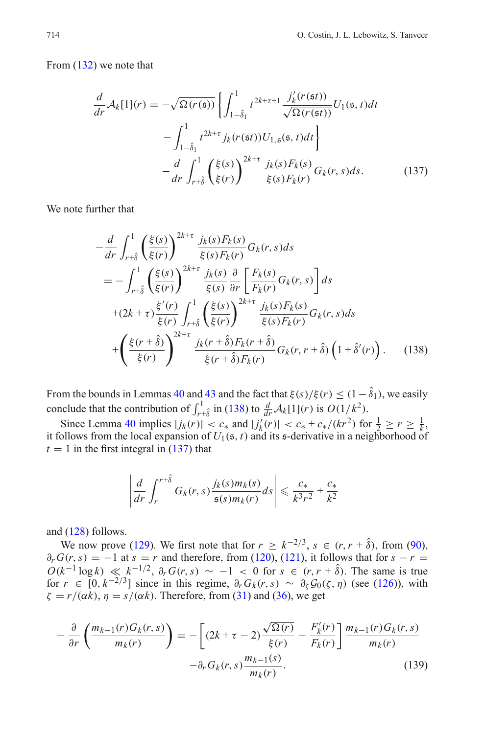<span id="page-33-1"></span>From [\(132\)](#page-31-1) we note that

$$
\frac{d}{dr}\mathcal{A}_k[1](r) = -\sqrt{\Omega(r(\mathfrak{s}))} \left\{ \int_{1-\hat{\delta}_1}^1 t^{2k+\tau+1} \frac{j'_k(r(\mathfrak{s}t))}{\sqrt{\Omega(r(\mathfrak{s}t))}} U_1(\mathfrak{s},t) dt - \int_{1-\hat{\delta}_1}^1 t^{2k+\tau} j_k(r(\mathfrak{s}t)) U_{1,\mathfrak{s}}(\mathfrak{s},t) dt \right\}
$$

$$
- \frac{d}{dr} \int_{r+\hat{\delta}}^1 \left( \frac{\xi(s)}{\xi(r)} \right)^{2k+\tau} \frac{j_k(s) F_k(s)}{\xi(s) F_k(r)} G_k(r,s) ds. \tag{137}
$$

<span id="page-33-0"></span>We note further that

$$
-\frac{d}{dr} \int_{r+\hat{\delta}}^{1} \left(\frac{\xi(s)}{\xi(r)}\right)^{2k+\tau} \frac{j_k(s)F_k(s)}{\xi(s)F_k(r)} G_k(r, s) ds
$$
  
\n
$$
= -\int_{r+\hat{\delta}}^{1} \left(\frac{\xi(s)}{\xi(r)}\right)^{2k+\tau} \frac{j_k(s)}{\xi(s)} \frac{\partial}{\partial r} \left[\frac{F_k(s)}{F_k(r)} G_k(r, s)\right] ds
$$
  
\n
$$
+ (2k+\tau) \frac{\xi'(r)}{\xi(r)} \int_{r+\hat{\delta}}^{1} \left(\frac{\xi(s)}{\xi(r)}\right)^{2k+\tau} \frac{j_k(s)F_k(s)}{\xi(s)F_k(r)} G_k(r, s) ds
$$
  
\n
$$
+ \left(\frac{\xi(r+\hat{\delta})}{\xi(r)}\right)^{2k+\tau} \frac{j_k(r+\hat{\delta})F_k(r+\hat{\delta})}{\xi(r+\hat{\delta})F_k(r)} G_k(r, r+\hat{\delta}) \left(1+\hat{\delta}'(r)\right). \quad (138)
$$

From the bounds in Lemmas [40](#page-25-1) and [43](#page-28-2) and the fact that  $\xi(s)/\xi(r) \leq (1-\hat{\delta}_1)$ , we easily conclude that the contribution of  $\int_{r+\delta}^{1}$  in [\(138\)](#page-33-0) to  $\frac{d}{dr}A_k[1](r)$  is  $O(1/k^2)$ .

Since Lemma [40](#page-25-1) implies  $|j_k(r)| < c_*$  and  $|j'_k(r)| < c_* + c_*/(kr^2)$  for  $\frac{1}{2} \ge r \ge \frac{1}{k}$ , it follows from the local expansion of *U*1(s, *t*) and its s-derivative in a neighborhood of  $t = 1$  in the first integral in  $(137)$  that

$$
\left|\frac{d}{dr}\int_r^{r+\hat{\delta}} G_k(r,s)\frac{j_k(s)m_k(s)}{\mathfrak{s}(s)m_k(r)}ds\right| \leq \frac{c_*}{k^3r^2} + \frac{c_*}{k^2}
$$

and [\(128\)](#page-31-2) follows.

We now prove [\(129\)](#page-31-3). We first note that for  $r \geq k^{-2/3}$ ,  $s \in (r, r + \hat{\delta})$ , from [\(90\)](#page-25-4),  $\partial_r G(r, s) = -1$  at  $s = r$  and therefore, from [\(120\)](#page-29-0), [\(121\)](#page-29-0), it follows that for  $s - r =$  $O(k^{-1} \log k) \ll k^{-1/2}$ ,  $\partial_r G(r, s) \sim -1 < 0$  for  $s \in (r, r + \hat{\delta})$ . The same is true for  $r \in [0, k^{-2/3}]$  since in this regime,  $\partial_r G_k(r, s) \sim \partial_\zeta \mathcal{G}_0(\zeta, \eta)$  (see [\(126\)](#page-31-4)), with  $\zeta = r/(\alpha k)$ ,  $\eta = s/(\alpha k)$ . Therefore, from [\(31\)](#page-13-4) and [\(36\)](#page-14-4), we get

<span id="page-33-2"></span>
$$
-\frac{\partial}{\partial r}\left(\frac{m_{k-1}(r)G_k(r,s)}{m_k(r)}\right) = -\left[(2k+\tau-2)\frac{\sqrt{\Omega(r)}}{\xi(r)} - \frac{F'_k(r)}{F_k(r)}\right]\frac{m_{k-1}(r)G_k(r,s)}{m_k(r)} -\partial_r G_k(r,s)\frac{m_{k-1}(s)}{m_k(r)}.
$$
(139)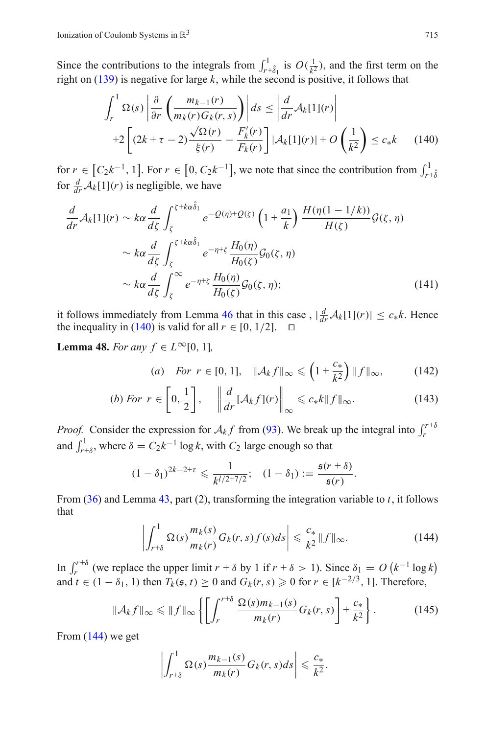<span id="page-34-0"></span>Since the contributions to the integrals from  $\int_{r+\hat{\delta}_1}^{1}$  is  $O(\frac{1}{k^2})$ , and the first term on the right on [\(139\)](#page-33-2) is negative for large *k*, while the second is positive, it follows that

$$
\int_{r}^{1} \Omega(s) \left| \frac{\partial}{\partial r} \left( \frac{m_{k-1}(r)}{m_{k}(r)G_{k}(r,s)} \right) \right| ds \leq \left| \frac{d}{dr} \mathcal{A}_{k}[1](r) \right|
$$
  
+2\left[ \left(2k+\tau-2\right) \frac{\sqrt{\Omega(r)}}{\xi(r)} - \frac{F'\_{k}(r)}{F\_{k}(r)} \right] \left| \mathcal{A}\_{k}[1](r) \right| + O\left(\frac{1}{k^{2}}\right) \leq c\_{\*}k \qquad (140)

for  $r \in [C_2k^{-1}, 1]$ . For  $r \in [0, C_2k^{-1}]$ , we note that since the contribution from  $\int_{r+\delta}^1$ for  $\frac{d}{dr}A_k[1](r)$  is negligible, we have

$$
\frac{d}{dr}\mathcal{A}_k[1](r) \sim k\alpha \frac{d}{d\zeta} \int_{\zeta}^{\zeta + k\alpha \hat{\delta}_1} e^{-\mathcal{Q}(\eta) + \mathcal{Q}(\zeta)} \left(1 + \frac{a_1}{k}\right) \frac{H(\eta(1 - 1/k))}{H(\zeta)} \mathcal{G}(\zeta, \eta) \sim k\alpha \frac{d}{d\zeta} \int_{\zeta}^{\zeta + k\alpha \hat{\delta}_1} e^{-\eta + \zeta} \frac{H_0(\eta)}{H_0(\zeta)} \mathcal{G}_0(\zeta, \eta) \sim k\alpha \frac{d}{d\zeta} \int_{\zeta}^{\infty} e^{-\eta + \zeta} \frac{H_0(\eta)}{H_0(\zeta)} \mathcal{G}_0(\zeta, \eta);
$$
\n(141)

it follows immediately from Lemma [46](#page-30-1) that in this case,  $|\frac{d}{dr}A_k[1](r)| \leq c_* k$ . Hence the inequality in [\(140\)](#page-34-0) is valid for all  $r \in [0, 1/2]$ .  $\Box$ 

<span id="page-34-3"></span><span id="page-34-2"></span>**Lemma 48.** *For any*  $f \in L^{\infty}[0, 1]$ *,* 

(a) For 
$$
r \in [0, 1]
$$
,  $\|\mathcal{A}_k f\|_{\infty} \leq (1 + \frac{c_*}{k^2}) \|f\|_{\infty}$ , (142)

(b) For 
$$
r \in \left[0, \frac{1}{2}\right]
$$
,  $\left\|\frac{d}{dr}[A_k f](r)\right\|_{\infty} \leq c_* k \|f\|_{\infty}$ . (143)

*Proof.* Consider the expression for  $A_k f$  from [\(93\)](#page-25-2). We break up the integral into  $\int_r^{r+\delta}$ and  $\int_{r+\delta}^{1}$ , where  $\delta = C_2 k^{-1} \log k$ , with  $C_2$  large enough so that

$$
(1 - \delta_1)^{2k - 2 + \tau} \leq \frac{1}{k^{l/2 + 7/2}}; \quad (1 - \delta_1) := \frac{\mathfrak{s}(r + \delta)}{\mathfrak{s}(r)}.
$$

From [\(36\)](#page-14-4) and Lemma [43,](#page-28-2) part (2), transforming the integration variable to *t*, it follows that

$$
\left| \int_{r+\delta}^{1} \Omega(s) \frac{m_k(s)}{m_k(r)} G_k(r,s) f(s) ds \right| \leqslant \frac{c_*}{k^2} \|f\|_{\infty}.
$$
 (144)

<span id="page-34-1"></span>In  $\int_r^{r+\delta}$  (we replace the upper limit  $r + \delta$  by 1 if  $r + \delta > 1$ ). Since  $\delta_1 = O(k^{-1} \log k)$ and  $t \in (1 - \delta_1, 1)$  then  $T_k(\mathfrak{s}, t) \ge 0$  and  $G_k(r, s) \ge 0$  for  $r \in [k^{-2/3}, 1]$ . Therefore,

$$
\|\mathcal{A}_k f\|_{\infty} \le \|f\|_{\infty} \left\{ \left[ \int_r^{r+\delta} \frac{\Omega(s) m_{k-1}(s)}{m_k(r)} G_k(r,s) \right] + \frac{c_*}{k^2} \right\}.
$$
 (145)

From [\(144\)](#page-34-1) we get

$$
\left|\int_{r+\delta}^1 \Omega(s) \frac{m_{k-1}(s)}{m_k(r)} G_k(r,s) ds \right| \leqslant \frac{c_*}{k^2}.
$$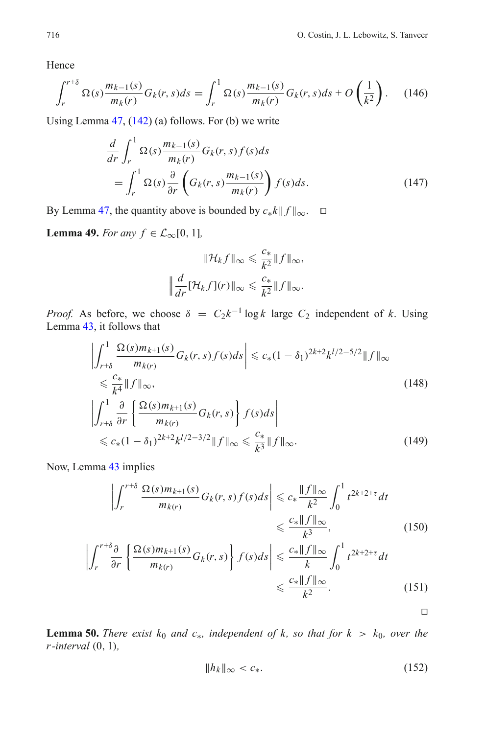Hence

$$
\int_{r}^{r+\delta} \Omega(s) \frac{m_{k-1}(s)}{m_{k}(r)} G_{k}(r,s) ds = \int_{r}^{1} \Omega(s) \frac{m_{k-1}(s)}{m_{k}(r)} G_{k}(r,s) ds + O\left(\frac{1}{k^{2}}\right).
$$
 (146)

Using Lemma [47,](#page-31-5) [\(142\)](#page-34-2) (a) follows. For (b) we write

$$
\frac{d}{dr} \int_{r}^{1} \Omega(s) \frac{m_{k-1}(s)}{m_{k}(r)} G_{k}(r,s) f(s) ds
$$
\n
$$
= \int_{r}^{1} \Omega(s) \frac{\partial}{\partial r} \left( G_{k}(r,s) \frac{m_{k-1}(s)}{m_{k}(r)} \right) f(s) ds.
$$
\n(147)

By Lemma [47,](#page-31-5) the quantity above is bounded by  $c_* k \| f \|_{\infty}$ .  $\square$ 

<span id="page-35-0"></span>**Lemma 49.** *For any*  $f \in \mathcal{L}_{\infty}[0, 1]$ *,* 

$$
\|\mathcal{H}_k f\|_{\infty} \leq \frac{c_*}{k^2} \|f\|_{\infty},
$$

$$
\left\|\frac{d}{dr}[\mathcal{H}_k f](r)\right\|_{\infty} \leq \frac{c_*}{k^2} \|f\|_{\infty}.
$$

*Proof.* As before, we choose  $\delta = C_2 k^{-1} \log k$  large  $C_2$  independent of k. Using Lemma [43,](#page-28-2) it follows that

$$
\left| \int_{r+\delta}^{1} \frac{\Omega(s)m_{k+1}(s)}{m_{k(r)}} G_k(r,s) f(s) ds \right| \leq c_*(1-\delta_1)^{2k+2} k^{1/2-5/2} \|f\|_{\infty}
$$
  
\n
$$
\leq \frac{c_*}{k^4} \|f\|_{\infty},
$$
  
\n
$$
\left| \int_{r+\delta}^{1} \frac{\partial}{\partial r} \left\{ \frac{\Omega(s)m_{k+1}(s)}{m_{k(r)}} G_k(r,s) \right\} f(s) ds \right|
$$
  
\n
$$
\leq c_*(1-\delta_1)^{2k+2} k^{1/2-3/2} \|f\|_{\infty} \leq \frac{c_*}{k^3} \|f\|_{\infty}.
$$
\n(149)

Now, Lemma [43](#page-28-2) implies

$$
\left| \int_{r}^{r+\delta} \frac{\Omega(s)m_{k+1}(s)}{m_{k(r)}} G_{k}(r,s) f(s) ds \right| \leqslant c_{*} \frac{\|f\|_{\infty}}{k^{2}} \int_{0}^{1} t^{2k+2+\tau} dt
$$
  

$$
\leqslant \frac{c_{*} \|f\|_{\infty}}{k^{3}},
$$
 (150)

$$
\left| \int_{r}^{r+\delta} \frac{\partial}{\partial r} \left\{ \frac{\Omega(s) m_{k+1}(s)}{m_{k}(r)} G_k(r,s) \right\} f(s) ds \right| \leq \frac{c_* \|f\|_{\infty}}{k} \int_{0}^{1} t^{2k+2+\tau} dt
$$
  

$$
\leq \frac{c_* \|f\|_{\infty}}{k^2}.
$$
 (151)

 $\Box$ 

<span id="page-35-1"></span>**Lemma 50.** *There exist*  $k_0$  *and*  $c_*,$  *independent* of  $k$ *, so that for*  $k > k_0$ *, over the r -interval* (0, 1)*,*

$$
||h_k||_{\infty} < c_*.\tag{152}
$$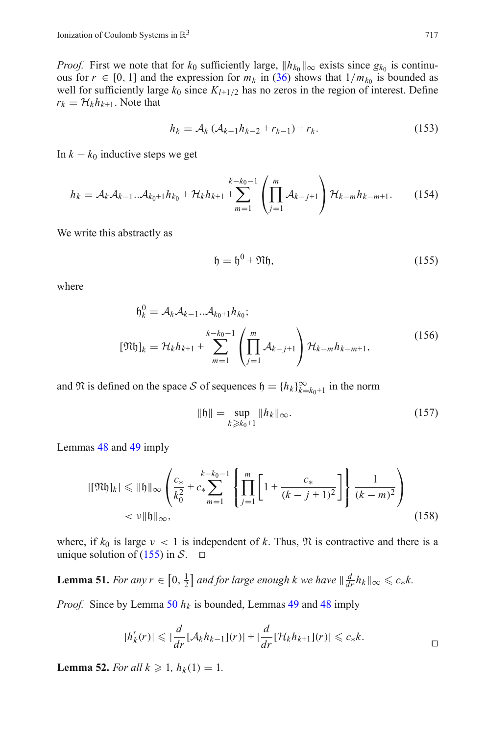*Proof.* First we note that for  $k_0$  sufficiently large,  $||h_{k_0}||_{\infty}$  exists since  $g_{k_0}$  is continuous for  $r \in [0, 1]$  and the expression for  $m_k$  in [\(36\)](#page-14-4) shows that  $1/m_{k_0}$  is bounded as well for sufficiently large  $k_0$  since  $K_{l+1/2}$  has no zeros in the region of interest. Define  $r_k = \mathcal{H}_k h_{k+1}$ . Note that

$$
h_k = A_k (A_{k-1}h_{k-2} + r_{k-1}) + r_k.
$$
 (153)

In  $k - k_0$  inductive steps we get

$$
h_k = \mathcal{A}_k \mathcal{A}_{k-1} \dots \mathcal{A}_{k_0+1} h_{k_0} + \mathcal{H}_k h_{k+1} + \sum_{m=1}^{k-k_0-1} \left( \prod_{j=1}^m \mathcal{A}_{k-j+1} \right) \mathcal{H}_{k-m} h_{k-m+1}.
$$
 (154)

We write this abstractly as

$$
\mathfrak{h} = \mathfrak{h}^0 + \mathfrak{N}\mathfrak{h},\tag{155}
$$

where

<span id="page-36-0"></span>
$$
\mathfrak{h}_k^0 = \mathcal{A}_k \mathcal{A}_{k-1} \dots \mathcal{A}_{k_0+1} h_{k_0};
$$
  
\n
$$
[\mathfrak{N}\mathfrak{h}]_k = \mathcal{H}_k h_{k+1} + \sum_{m=1}^{k-k_0-1} \left( \prod_{j=1}^m \mathcal{A}_{k-j+1} \right) \mathcal{H}_{k-m} h_{k-m+1},
$$
\n(156)

and  $\mathfrak{N}$  is defined on the space  $S$  of sequences  $\mathfrak{h} = \{h_k\}_{k=k_0+1}^{\infty}$  in the norm

$$
\|\mathfrak{h}\| = \sup_{k \ge k_0 + 1} \|h_k\|_{\infty}.
$$
 (157)

Lemmas [48](#page-34-3) and [49](#page-35-0) imply

$$
|[\mathfrak{R}\mathfrak{h}]_k| \leq \| \mathfrak{h} \|_{\infty} \left( \frac{c_*}{k_0^2} + c_* \sum_{m=1}^{k-k_0-1} \left\{ \prod_{j=1}^m \left[ 1 + \frac{c_*}{(k-j+1)^2} \right] \right\} \frac{1}{(k-m)^2} \right)
$$
  
<  $\nu \| \mathfrak{h} \|_{\infty},$  (158)

where, if  $k_0$  is large  $\nu < 1$  is independent of k. Thus,  $\mathfrak{N}$  is contractive and there is a unique solution of [\(155\)](#page-36-0) in  $S$ .  $\Box$ 

<span id="page-36-1"></span>**Lemma 51.** *For any*  $r \in [0, \frac{1}{2}]$  *and for large enough k we have*  $\|\frac{d}{dr}h_k\|_{\infty} \leq c_* k$ .

*Proof.* Since by Lemma [50](#page-35-1)  $h_k$  is bounded, Lemmas [49](#page-35-0) and [48](#page-34-3) imply

$$
|h'_{k}(r)| \leqslant |\frac{d}{dr}[\mathcal{A}_{k}h_{k-1}](r)| + |\frac{d}{dr}[\mathcal{H}_{k}h_{k+1}](r)| \leqslant c_{*}k.
$$

**Lemma 52.** *For all*  $k \ge 1$ ,  $h_k(1) = 1$ .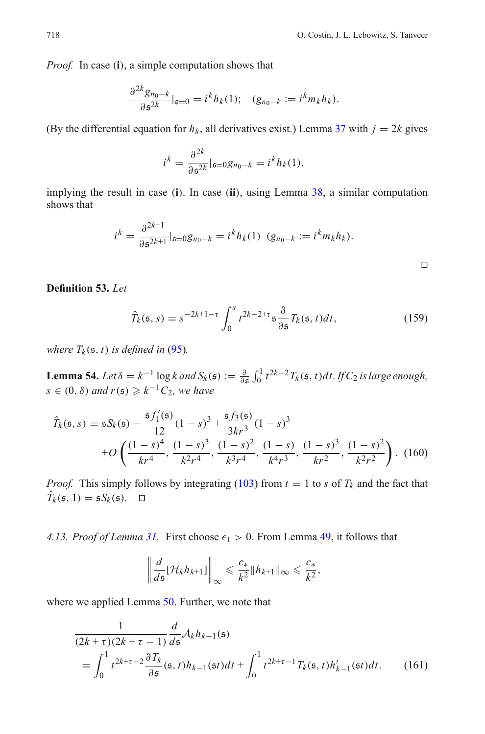$\Box$ 

*Proof.* In case (**i**), a simple computation shows that

$$
\frac{\partial^{2k} g_{n_0-k}}{\partial \mathfrak{s}^{2k}}|_{\mathfrak{s}=0} = i^k h_k(1); \quad (g_{n_0-k} := i^k m_k h_k).
$$

(By the differential equation for  $h_k$ , all derivatives exist.) Lemma [37](#page-24-0) with  $j = 2k$  gives

$$
i^k = \frac{\partial^{2k}}{\partial \mathfrak{s}^{2k}}|_{\mathfrak{s}=0}g_{n_0-k} = i^k h_k(1),
$$

implying the result in case (**i**). In case (**ii**), using Lemma [38,](#page-25-7) a similar computation shows that

$$
i^{k} = \frac{\partial^{2k+1}}{\partial \mathfrak{s}^{2k+1}}|_{\mathfrak{s}=0}g_{n_{0}-k} = i^{k}h_{k}(1) \quad (g_{n_{0}-k} := i^{k}m_{k}h_{k}).
$$

**Definition 53.** *Let*

$$
\hat{T}_k(\mathfrak{s},s) = s^{-2k+1-\tau} \int_0^s t^{2k-2+\tau} \mathfrak{s} \frac{\partial}{\partial \mathfrak{s}} T_k(\mathfrak{s},t) dt,
$$
\n(159)

<span id="page-37-1"></span>*where*  $T_k$ ( $\mathfrak{s}, t$ ) *is defined in* [\(95\)](#page-26-1)*.* 

**Lemma 54.** *Let*  $\delta = k^{-1} \log k$  *and*  $S_k(\mathfrak{s}) := \frac{\partial}{\partial \mathfrak{s}} \int_0^1 t^{2k-2} T_k(\mathfrak{s}, t) dt$ . If  $C_2$  is large enough,  $s \in (0, \delta)$  and  $r(s) \geq k^{-1}C_2$ , we have

$$
\hat{T}_k(\mathfrak{s}, s) = \mathfrak{s} S_k(\mathfrak{s}) - \frac{\mathfrak{s} f_1'(\mathfrak{s})}{12} (1 - s)^3 + \frac{\mathfrak{s} f_3(\mathfrak{s})}{3kr^3} (1 - s)^3 \n+ O\left(\frac{(1 - s)^4}{kr^4}, \frac{(1 - s)^3}{k^2r^4}, \frac{(1 - s)^2}{k^3r^4}, \frac{(1 - s)}{k^4r^3}, \frac{(1 - s)^3}{kr^2}, \frac{(1 - s)^2}{k^2r^2}\right).
$$
\n(160)

*Proof.* This simply follows by integrating [\(103\)](#page-27-0) from  $t = 1$  to *s* of  $T_k$  and the fact that  $\hat{T}_k(\mathfrak{s}, 1) = \mathfrak{s} S_k(\mathfrak{s}). \quad \Box$ 

<span id="page-37-0"></span>*4.13. Proof of Lemma [31.](#page-23-1)* First choose  $\epsilon_1 > 0$ . From Lemma [49,](#page-35-0) it follows that

$$
\left\|\frac{d}{ds}[\mathcal{H}_k h_{k+1}]\right\|_{\infty} \leqslant \frac{c_*}{k^2} \|h_{k+1}\|_{\infty} \leqslant \frac{c_*}{k^2},
$$

where we applied Lemma [50.](#page-35-1) Further, we note that

$$
\frac{1}{(2k+\tau)(2k+\tau-1)}\frac{d}{ds}\mathcal{A}_{k}h_{k-1}(\mathfrak{s})
$$
\n
$$
=\int_{0}^{1}t^{2k+\tau-2}\frac{\partial T_{k}}{\partial \mathfrak{s}}(\mathfrak{s},t)h_{k-1}(\mathfrak{s}t)dt+\int_{0}^{1}t^{2k+\tau-1}T_{k}(\mathfrak{s},t)h'_{k-1}(\mathfrak{s}t)dt.
$$
 (161)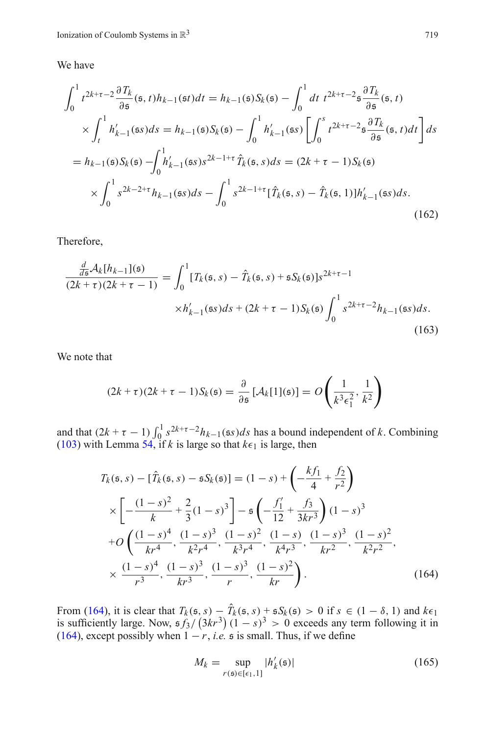We have

$$
\int_{0}^{1} t^{2k+\tau-2} \frac{\partial T_{k}}{\partial s}(\mathfrak{s},t) h_{k-1}(\mathfrak{s}t) dt = h_{k-1}(\mathfrak{s}) S_{k}(\mathfrak{s}) - \int_{0}^{1} dt \ t^{2k+\tau-2} \mathfrak{s} \frac{\partial T_{k}}{\partial s}(\mathfrak{s},t)
$$
  
\n
$$
\times \int_{t}^{1} h'_{k-1}(\mathfrak{s}s) ds = h_{k-1}(\mathfrak{s}) S_{k}(\mathfrak{s}) - \int_{0}^{1} h'_{k-1}(\mathfrak{s}s) \left[ \int_{0}^{s} t^{2k+\tau-2} \mathfrak{s} \frac{\partial T_{k}}{\partial s}(\mathfrak{s},t) dt \right] ds
$$
  
\n
$$
= h_{k-1}(\mathfrak{s}) S_{k}(\mathfrak{s}) - \int_{0}^{1} h'_{k-1}(\mathfrak{s}s) s^{2k-1+\tau} \hat{T}_{k}(\mathfrak{s},s) ds = (2k+\tau-1) S_{k}(\mathfrak{s})
$$
  
\n
$$
\times \int_{0}^{1} s^{2k-2+\tau} h_{k-1}(\mathfrak{s}s) ds - \int_{0}^{1} s^{2k-1+\tau} [\hat{T}_{k}(\mathfrak{s},s) - \hat{T}_{k}(\mathfrak{s},1)] h'_{k-1}(\mathfrak{s}s) ds.
$$
\n(162)

Therefore,

$$
\frac{\frac{d}{ds}\mathcal{A}_k[h_{k-1}](\mathfrak{s})}{(2k+\tau)(2k+\tau-1)} = \int_0^1 [T_k(\mathfrak{s}, s) - \hat{T}_k(\mathfrak{s}, s) + \mathfrak{s}S_k(\mathfrak{s})]s^{2k+\tau-1} \times h'_{k-1}(\mathfrak{s}s)ds + (2k+\tau-1)S_k(\mathfrak{s})\int_0^1 s^{2k+\tau-2}h_{k-1}(\mathfrak{s}s)ds.
$$
\n(163)

We note that

$$
(2k+\tau)(2k+\tau-1)S_k(\mathfrak{s}) = \frac{\partial}{\partial \mathfrak{s}}\left[\mathcal{A}_k[1](\mathfrak{s})\right] = O\left(\frac{1}{k^3\epsilon_1^2},\frac{1}{k^2}\right)
$$

<span id="page-38-0"></span>and that  $(2k + \tau - 1) \int_0^1 s^{2k+\tau-2} h_{k-1}(\xi s) ds$  has a bound independent of *k*. Combining [\(103\)](#page-27-0) with Lemma [54,](#page-37-1) if *k* is large so that  $k\epsilon_1$  is large, then

$$
T_k(\mathfrak{s}, s) - [\hat{T}_k(\mathfrak{s}, s) - \mathfrak{s} S_k(\mathfrak{s})] = (1 - s) + \left( -\frac{k f_1}{4} + \frac{f_2}{r^2} \right)
$$
  
\n
$$
\times \left[ -\frac{(1 - s)^2}{k} + \frac{2}{3} (1 - s)^3 \right] - \mathfrak{s} \left( -\frac{f_1'}{12} + \frac{f_3}{3kr^3} \right) (1 - s)^3
$$
  
\n
$$
+ O \left( \frac{(1 - s)^4}{kr^4}, \frac{(1 - s)^3}{k^2 r^4}, \frac{(1 - s)^2}{k^3 r^4}, \frac{(1 - s)}{k^4 r^3}, \frac{(1 - s)^3}{kr^2}, \frac{(1 - s)^2}{k^2 r^2}, \frac{(1 - s)^4}{k^3 r^3}, \frac{(1 - s)^3}{kr^3}, \frac{(1 - s)^2}{r}, \frac{(1 - s)^2}{kr} \right).
$$
\n(A64)

From [\(164\)](#page-38-0), it is clear that  $T_k$  (s, s) −  $\hat{T}_k$  (s, s) + s $S_k$  (s) > 0 if  $s \in (1 - \delta, 1)$  and  $k \epsilon_1$ is sufficiently large. Now,  $\frac{5f_3}{(3kr^3)(1-s)^3} > 0$  exceeds any term following it in [\(164\)](#page-38-0), except possibly when  $1 - r$ , *i.e.* s is small. Thus, if we define

$$
M_k = \sup_{r(\mathfrak{s}) \in [\epsilon_1, 1]} |h'_k(\mathfrak{s})| \tag{165}
$$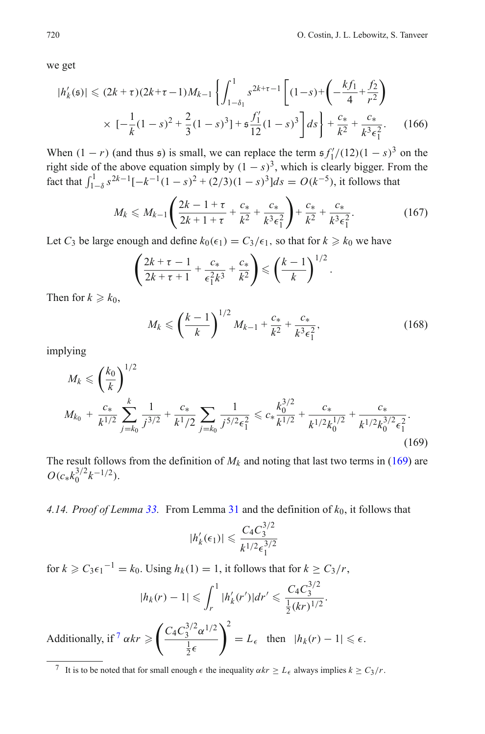we get

$$
|h'_{k}(\mathfrak{s})| \leq (2k + \tau)(2k + \tau - 1)M_{k-1} \left\{ \int_{1-\delta_{1}}^{1} s^{2k+\tau-1} \left[ (1-s) + \left( -\frac{k f_{1}}{4} + \frac{f_{2}}{r^{2}} \right) \right] \right. \\ \times \left. \left[ -\frac{1}{k} (1-s)^{2} + \frac{2}{3} (1-s)^{3} \right] + \frac{g'_{1}}{12} (1-s)^{3} \right] ds \right\} + \frac{c_{*}}{k^{2}} + \frac{c_{*}}{k^{3} \epsilon_{1}^{2}}.
$$
 (166)

When  $(1 - r)$  (and thus  $\mathfrak{s}$ ) is small, we can replace the term  $\mathfrak{s} f'_{1}/(12)(1 - s)^{3}$  on the right side of the above equation simply by  $(1 - s)^3$ , which is clearly bigger. From the fact that  $\int_{1-\delta}^{1} s^{2k-1}[-k^{-1}(1-s)^2 + (2/3)(1-s)^3]ds = O(k^{-5})$ , it follows that

$$
M_k \leq M_{k-1} \left( \frac{2k - 1 + \tau}{2k + 1 + \tau} + \frac{c_*}{k^2} + \frac{c_*}{k^3 \epsilon_1^2} \right) + \frac{c_*}{k^2} + \frac{c_*}{k^3 \epsilon_1^2}.
$$
 (167)

Let *C*<sub>3</sub> be large enough and define  $k_0(\epsilon_1) = C_3/\epsilon_1$ , so that for  $k \ge k_0$  we have

$$
\left(\frac{2k+\tau-1}{2k+\tau+1}+\frac{c_*}{\epsilon_1^2k^3}+\frac{c_*}{k^2}\right)\leqslant \left(\frac{k-1}{k}\right)^{1/2}
$$

Then for  $k \geq k_0$ ,

$$
M_k \leqslant \left(\frac{k-1}{k}\right)^{1/2} M_{k-1} + \frac{c_*}{k^2} + \frac{c_*}{k^3 \epsilon_1^2},\tag{168}
$$

.

<span id="page-39-1"></span>implying

$$
M_k \leq \left(\frac{k_0}{k}\right)^{1/2}
$$
  

$$
M_{k_0} + \frac{c_*}{k^{1/2}} \sum_{j=k_0}^k \frac{1}{j^{3/2}} + \frac{c_*}{k^1/2} \sum_{j=k_0}^{} \frac{1}{j^{5/2} \epsilon_1^2} \leq c_* \frac{k_0^{3/2}}{k^{1/2}} + \frac{c_*}{k^{1/2} k_0^{1/2}} + \frac{c_*}{k^{1/2} k_0^{3/2} \epsilon_1^2}.
$$
\n(169)

The result follows from the definition of  $M_k$  and noting that last two terms in [\(169\)](#page-39-1) are  $O(c_* k_0^{3/2} k^{-1/2}).$ 

<span id="page-39-0"></span>*4.14. Proof of Lemma [33.](#page-23-2)* From Lemma [31](#page-23-1) and the definition of *k*0, it follows that

$$
|h'_{k}(\epsilon_1)| \leqslant \frac{C_4 C_3^{3/2}}{k^{1/2} \epsilon_1^{3/2}}
$$

for  $k \ge C_3 \epsilon_1^{-1} = k_0$ . Using  $h_k(1) = 1$ , it follows that for  $k \ge C_3/r$ ,

$$
|h_k(r)-1| \leqslant \int_r^1 |h'_k(r')| dr' \leqslant \frac{C_4 C_3^{3/2}}{\frac{1}{2}(kr)^{1/2}}.
$$

Additionally, if  $\frac{7}{x} \alpha k r \geq 1$  $\frac{7}{x} \alpha k r \geq 1$  $\frac{7}{x} \alpha k r \geq 1$  $\int C_4 C_3^{3/2} \alpha^{1/2}$  $\frac{1}{2}\epsilon$  $\lambda^2$  $= L_{\epsilon}$  then  $|h_k(r) - 1| \leq \epsilon$ .

<span id="page-39-2"></span><sup>&</sup>lt;sup>7</sup> It is to be noted that for small enough  $\epsilon$  the inequality  $\alpha kr \geq L_{\epsilon}$  always implies  $k \geq C_3/r$ .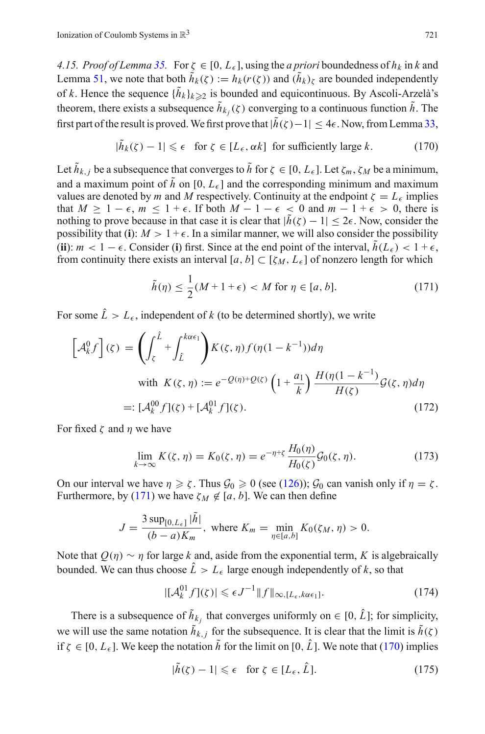<span id="page-40-0"></span>*4.15. Proof of Lemma* [35.](#page-24-1) For  $\zeta \in [0, L_{\epsilon}]$ , using the *a priori* boundedness of  $h_k$  in *k* and Lemma [51,](#page-36-1) we note that both  $\tilde{h}_k(\zeta) := h_k(r(\zeta))$  and  $(\tilde{h}_k)_{\zeta}$  are bounded independently of *k*. Hence the sequence  $\{\tilde{h}_k\}_{k\geq 2}$  is bounded and equicontinuous. By Ascoli-Arzelà's theorem, there exists a subsequence  $\tilde{h}_{k_i}(\zeta)$  converging to a continuous function  $\tilde{h}$ . The first part of the result is proved. We first prove that  $|\tilde{h}(\zeta)-1| \leq 4\epsilon$ . Now, from Lemma [33,](#page-23-2)

$$
|\tilde{h}_k(\zeta) - 1| \le \epsilon \quad \text{for } \zeta \in [L_\epsilon, \alpha k] \text{ for sufficiently large } k. \tag{170}
$$

<span id="page-40-2"></span>Let  $\tilde{h}_{k,j}$  be a subsequence that converges to  $\tilde{h}$  for  $\zeta \in [0, L_{\epsilon}]$ . Let  $\zeta_m$ ,  $\zeta_M$  be a minimum, and a maximum point of  $\tilde{h}$  on [0,  $L_{\epsilon}$ ] and the corresponding minimum and maximum values are denoted by *m* and *M* respectively. Continuity at the endpoint  $\zeta = L_{\epsilon}$  implies that  $M \ge 1 - \epsilon$ ,  $m \le 1 + \epsilon$ . If both  $M - 1 - \epsilon < 0$  and  $m - 1 + \epsilon > 0$ , there is nothing to prove because in that case it is clear that  $|\tilde{h}(\zeta) - 1| \leq 2\epsilon$ . Now, consider the possibility that (**i**):  $M > 1 + \epsilon$ . In a similar manner, we will also consider the possibility (**ii**):  $m < 1 - \epsilon$ . Consider (**i**) first. Since at the end point of the interval,  $h(L_{\epsilon}) < 1 + \epsilon$ , from continuity there exists an interval  $[a, b] \subset [\zeta_M, L_{\epsilon}]$  of nonzero length for which

$$
\tilde{h}(\eta) \le \frac{1}{2}(M+1+\epsilon) < M \text{ for } \eta \in [a, b].\tag{171}
$$

<span id="page-40-3"></span><span id="page-40-1"></span>For some  $\hat{L} > L_{\epsilon}$ , independent of *k* (to be determined shortly), we write

$$
\left[\mathcal{A}_{k}^{0}f\right](\zeta) = \left(\int_{\zeta}^{\hat{L}} + \int_{\hat{L}}^{k\alpha\epsilon_{1}}\right)K(\zeta,\eta)f(\eta(1-k^{-1}))d\eta
$$
\nwith  $K(\zeta,\eta) := e^{-Q(\eta)+Q(\zeta)}\left(1+\frac{a_{1}}{k}\right)\frac{H(\eta(1-k^{-1})}{H(\zeta)}\mathcal{G}(\zeta,\eta)d\eta$ \n
$$
=: [\mathcal{A}_{k}^{00}f](\zeta) + [\mathcal{A}_{k}^{01}f](\zeta).
$$
\n(172)

For fixed  $\zeta$  and  $\eta$  we have

$$
\lim_{k \to \infty} K(\zeta, \eta) = K_0(\zeta, \eta) = e^{-\eta + \zeta} \frac{H_0(\eta)}{H_0(\zeta)} \mathcal{G}_0(\zeta, \eta). \tag{173}
$$

On our interval we have  $\eta \ge \zeta$ . Thus  $\mathcal{G}_0 \ge 0$  (see [\(126\)](#page-31-4));  $\mathcal{G}_0$  can vanish only if  $\eta = \zeta$ . Furthermore, by [\(171\)](#page-40-1) we have  $\zeta_M \notin [a, b]$ . We can then define

$$
J = \frac{3 \sup_{[0, L_{\epsilon}]} |\tilde{h}|}{(b - a) K_m}, \text{ where } K_m = \min_{\eta \in [a, b]} K_0(\zeta_M, \eta) > 0.
$$

Note that  $Q(\eta) \sim \eta$  for large *k* and, aside from the exponential term, *K* is algebraically bounded. We can thus choose  $\hat{L} > L_{\epsilon}$  large enough independently of k, so that

$$
|[\mathcal{A}_k^{01} f](\zeta)| \leqslant \epsilon J^{-1} \|f\|_{\infty, [L_{\epsilon}, k\alpha \epsilon_1]}.
$$
 (174)

<span id="page-40-4"></span>There is a subsequence of  $\tilde{h}_{k}$ , that converges uniformly on  $\in [0, \hat{L}]$ ; for simplicity, we will use the same notation  $\tilde{h}_{k,j}$  for the subsequence. It is clear that the limit is  $\tilde{h}(\zeta)$ if  $\zeta \in [0, L_{\epsilon}]$ . We keep the notation  $\tilde{h}$  for the limit on [0,  $\hat{L}$ ]. We note that [\(170\)](#page-40-2) implies

$$
|\tilde{h}(\zeta) - 1| \leq \epsilon \quad \text{for } \zeta \in [L_{\epsilon}, \hat{L}]. \tag{175}
$$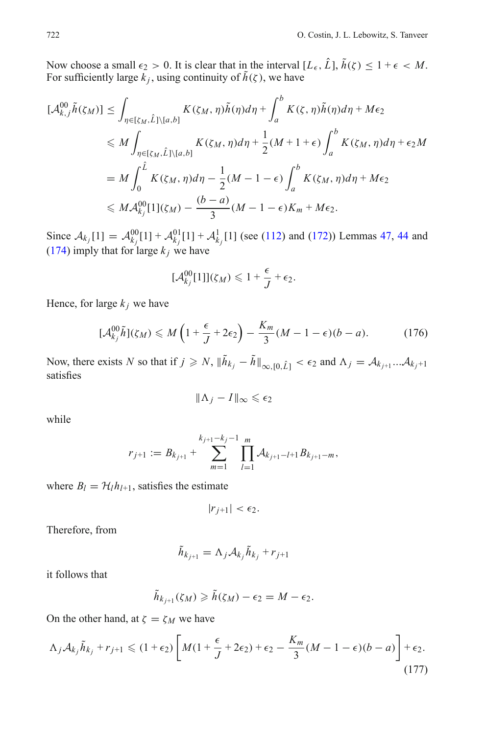Now choose a small  $\epsilon_2 > 0$ . It is clear that in the interval  $[L_{\epsilon}, \hat{L}], \tilde{h}(\zeta) \leq 1 + \epsilon < M$ . For sufficiently large  $\vec{k}_i$ , using continuity of  $\tilde{h}(\zeta)$ , we have

$$
[\mathcal{A}_{k,j}^{00}\tilde{h}(\zeta_M)] \leq \int_{\eta \in [\zeta_M, \hat{L}]\backslash [a,b]} K(\zeta_M, \eta)\tilde{h}(\eta) d\eta + \int_a^b K(\zeta, \eta)\tilde{h}(\eta) d\eta + M\epsilon_2
$$
  
\n
$$
\leq M \int_{\eta \in [\zeta_M, \hat{L}]\backslash [a,b]} K(\zeta_M, \eta) d\eta + \frac{1}{2}(M+1+\epsilon) \int_a^b K(\zeta_M, \eta) d\eta + \epsilon_2 M
$$
  
\n
$$
= M \int_0^{\hat{L}} K(\zeta_M, \eta) d\eta - \frac{1}{2}(M-1-\epsilon) \int_a^b K(\zeta_M, \eta) d\eta + M\epsilon_2
$$
  
\n
$$
\leq M \mathcal{A}_{k_j}^{00}[1](\zeta_M) - \frac{(b-a)}{3}(M-1-\epsilon)K_m + M\epsilon_2.
$$

Since  $A_{k_j}[1] = A_{k_j}^{00}[1] + A_{k_j}^{01}[1] + A_{k_j}^{1}[1]$  (see [\(112\)](#page-28-1) and [\(172\)](#page-40-3)) Lemmas [47,](#page-31-5) [44](#page-30-0) and [\(174\)](#page-40-4) imply that for large  $k_j$  we have

$$
[\mathcal{A}_{k_j}^{00}[1]](\zeta_M) \leq 1 + \frac{\epsilon}{J} + \epsilon_2.
$$

Hence, for large  $k_j$  we have

$$
[\mathcal{A}_{k_j}^{00}\tilde{h}](\zeta_M) \leqslant M\left(1+\frac{\epsilon}{J}+2\epsilon_2\right)-\frac{K_m}{3}(M-1-\epsilon)(b-a). \tag{176}
$$

Now, there exists *N* so that if  $j \ge N$ ,  $\|\tilde{h}_{k_j} - \tilde{h}\|_{\infty, [0, \hat{L}]} < \epsilon_2$  and  $\Lambda_j = \mathcal{A}_{k_{j+1}}... \mathcal{A}_{k_j+1}$ satisfies

$$
\|\Lambda_j-I\|_\infty\leqslant \epsilon_2
$$

while

$$
r_{j+1} := B_{k_{j+1}} + \sum_{m=1}^{k_{j+1}-k_j-1} \prod_{l=1}^m \mathcal{A}_{k_{j+1}-l+1} B_{k_{j+1}-m},
$$

where  $B_l = H_l h_{l+1}$ , satisfies the estimate

$$
|r_{j+1}| < \epsilon_2.
$$

Therefore, from

$$
\tilde{h}_{k_{j+1}} = \Lambda_j \mathcal{A}_{k_j} \tilde{h}_{k_j} + r_{j+1}
$$

it follows that

$$
\tilde{h}_{k_{j+1}}(\zeta_M) \geqslant \tilde{h}(\zeta_M) - \epsilon_2 = M - \epsilon_2.
$$

On the other hand, at  $\zeta = \zeta_M$  we have

$$
\Lambda_j \mathcal{A}_{kj} \tilde{h}_{kj} + r_{j+1} \le (1 + \epsilon_2) \left[ M(1 + \frac{\epsilon}{J} + 2\epsilon_2) + \epsilon_2 - \frac{K_m}{3} (M - 1 - \epsilon)(b - a) \right] + \epsilon_2.
$$
\n(177)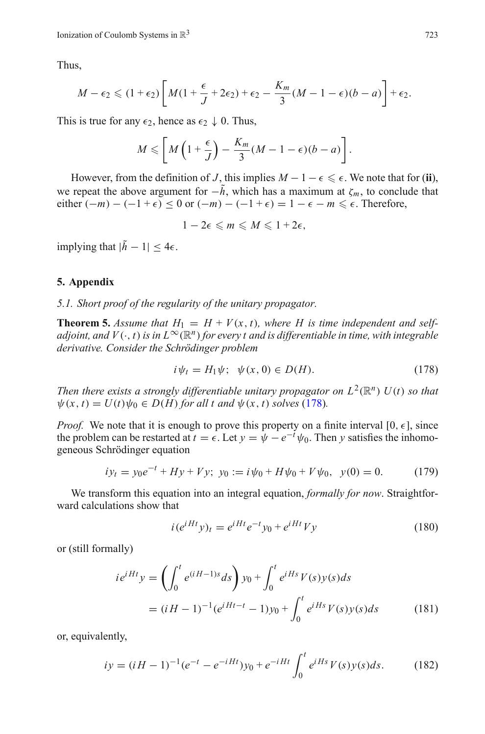Thus,

$$
M-\epsilon_2\leqslant (1+\epsilon_2)\left[M(1+\frac{\epsilon}{J}+2\epsilon_2)+\epsilon_2-\frac{K_m}{3}(M-1-\epsilon)(b-a)\right]+\epsilon_2.
$$

This is true for any  $\epsilon_2$ , hence as  $\epsilon_2 \downarrow 0$ . Thus,

$$
M \leqslant \left[ M\left(1+\frac{\epsilon}{J}\right) - \frac{K_m}{3}(M-1-\epsilon)(b-a) \right].
$$

However, from the definition of *J*, this implies  $M - 1 - \epsilon \leq \epsilon$ . We note that for (ii), we repeat the above argument for  $-\tilde{h}$ , which has a maximum at  $\zeta_m$ , to conclude that either  $(-m) - (-1 + \epsilon) \le 0$  or  $(-m) - (-1 + \epsilon) = 1 - \epsilon - m \le \epsilon$ . Therefore,

 $1 - 2\epsilon \leq m \leq M \leq 1 + 2\epsilon$ ,

implying that  $|\tilde{h} - 1| < 4\epsilon$ .

#### <span id="page-42-1"></span><span id="page-42-0"></span>**5. Appendix**

*5.1. Short proof of the regularity of the unitary propagator.*

**Theorem 5.** *Assume that*  $H_1 = H + V(x, t)$ *, where H is time independent and selfadjoint, and V*( $\cdot$ , *t*) *is in*  $L^{\infty}(\mathbb{R}^n)$  *for every t and is differentiable in time, with integrable derivative. Consider the Schrödinger problem*

$$
i\psi_t = H_1\psi; \ \psi(x,0) \in D(H). \tag{178}
$$

<span id="page-42-2"></span>*Then there exists a strongly differentiable unitary propagator on*  $L^2(\mathbb{R}^n)$  *U(<i>t*) *so that*  $\psi(x, t) = U(t)\psi_0 \in D(H)$  for all t and  $\psi(x, t)$  solves [\(178\)](#page-42-2).

*Proof.* We note that it is enough to prove this property on a finite interval  $[0, \epsilon]$ , since the problem can be restarted at  $t = \epsilon$ . Let  $y = \psi - e^{-t}\psi_0$ . Then *y* satisfies the inhomogeneous Schrödinger equation

$$
iy_t = y_0 e^{-t} + Hy + Vy; \ y_0 := i\psi_0 + H\psi_0 + V\psi_0, \ \ y(0) = 0. \tag{179}
$$

We transform this equation into an integral equation, *formally for now*. Straightforward calculations show that

$$
i(e^{iHt}y)_t = e^{iHt}e^{-t}y_0 + e^{iHt}Vy \tag{180}
$$

<span id="page-42-4"></span>or (still formally)

$$
ie^{iHt}y = \left(\int_0^t e^{(iH-1)s}ds\right)y_0 + \int_0^t e^{iHs}V(s)y(s)ds
$$
  
=  $(iH-1)^{-1}(e^{iHt-t}-1)y_0 + \int_0^t e^{iHs}V(s)y(s)ds$  (181)

<span id="page-42-3"></span>or, equivalently,

$$
iy = (iH - 1)^{-1}(e^{-t} - e^{-iHt})y_0 + e^{-iHt} \int_0^t e^{iHs} V(s)y(s)ds.
$$
 (182)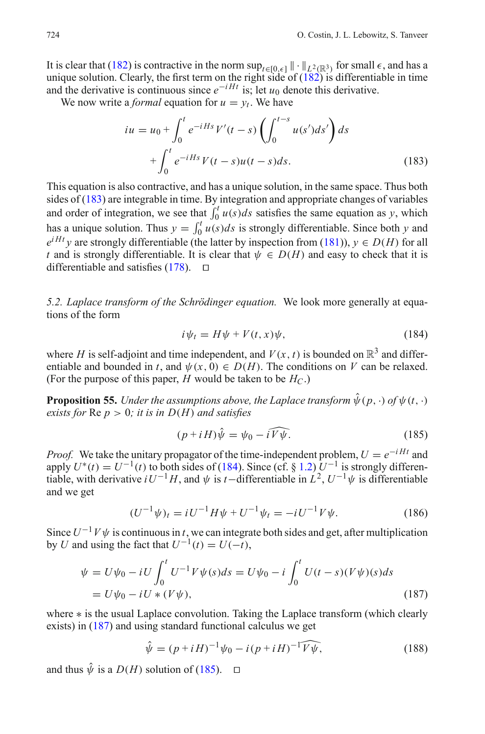It is clear that [\(182\)](#page-42-3) is contractive in the norm  $\sup_{t \in [0,\epsilon]} || \cdot ||_{L^2(\mathbb{R}^3)}$  for small  $\epsilon$ , and has a unique solution. Clearly, the first term on the right side of  $(182)$  is differentiable in time and the derivative is continuous since  $e^{-iHt}$  is; let  $u_0$  denote this derivative.

<span id="page-43-1"></span>We now write a *formal* equation for  $u = v_t$ . We have

$$
iu = u_0 + \int_0^t e^{-iHs} V'(t - s) \left( \int_0^{t-s} u(s') ds' \right) ds + \int_0^t e^{-iHs} V(t - s) u(t - s) ds.
$$
 (183)

This equation is also contractive, and has a unique solution, in the same space. Thus both sides of [\(183\)](#page-43-1) are integrable in time. By integration and appropriate changes of variables and order of integration, we see that  $\int_0^t u(s)ds$  satisfies the same equation as *y*, which has a unique solution. Thus  $y = \int_0^t u(s)ds$  is strongly differentiable. Since both *y* and  $e^{iHt}$  *y* are strongly differentiable (the latter by inspection from [\(181\)](#page-42-4)), *y* ∈ *D*(*H*) for all *t* and is strongly differentiable. It is clear that  $\psi \in D(H)$  and easy to check that it is differentiable and satisfies  $(178)$ .  $\Box$ 

<span id="page-43-0"></span>*5.2. Laplace transform of the Schrödinger equation.* We look more generally at equations of the form

$$
i\psi_t = H\psi + V(t, x)\psi,\tag{184}
$$

<span id="page-43-2"></span>where *H* is self-adjoint and time independent, and  $V(x, t)$  is bounded on  $\mathbb{R}^3$  and differentiable and bounded in *t*, and  $\psi(x, 0) \in D(H)$ . The conditions on *V* can be relaxed. (For the purpose of this paper, *H* would be taken to be  $H_C$ .)

**Proposition 55.** *Under the assumptions above, the Laplace transform*  $\hat{\psi}(p, \cdot)$  *of*  $\psi(t, \cdot)$ *exists for*  $\text{Re } p > 0$ *; it is in*  $D(H)$  *and satisfies* 

$$
(p + iH)\hat{\psi} = \psi_0 - i\widehat{V}\hat{\psi}.\tag{185}
$$

<span id="page-43-4"></span>*Proof.* We take the unitary propagator of the time-independent problem,  $U = e^{-iHt}$  and apply  $U^*(t) = U^{-1}(t)$  to both sides of [\(184\)](#page-43-2). Since (cf. § [1.2\)](#page-2-1)  $U^{-1}$  is strongly differentiable, with derivative  $iU^{-1}H$ , and  $\psi$  is *t*−differentiable in  $\hat{L}^2$ ,  $U^{-1}\psi$  is differentiable and we get

$$
(U^{-1}\psi)_t = iU^{-1}H\psi + U^{-1}\psi_t = -iU^{-1}V\psi.
$$
 (186)

<span id="page-43-3"></span>Since  $U^{-1}V\psi$  is continuous in *t*, we can integrate both sides and get, after multiplication by *U* and using the fact that  $U^{-1}(t) = U(-t)$ ,

$$
\psi = U\psi_0 - iU \int_0^t U^{-1} V \psi(s) ds = U\psi_0 - i \int_0^t U(t - s)(V\psi)(s) ds
$$
  
=  $U\psi_0 - iU \ast (V\psi),$  (187)

where ∗ is the usual Laplace convolution. Taking the Laplace transform (which clearly exists) in [\(187\)](#page-43-3) and using standard functional calculus we get

$$
\hat{\psi} = (p + iH)^{-1} \psi_0 - i(p + iH)^{-1} \widehat{V \psi}, \qquad (188)
$$

<span id="page-43-5"></span>and thus  $\hat{\psi}$  is a  $D(H)$  solution of [\(185\)](#page-43-4).  $\Box$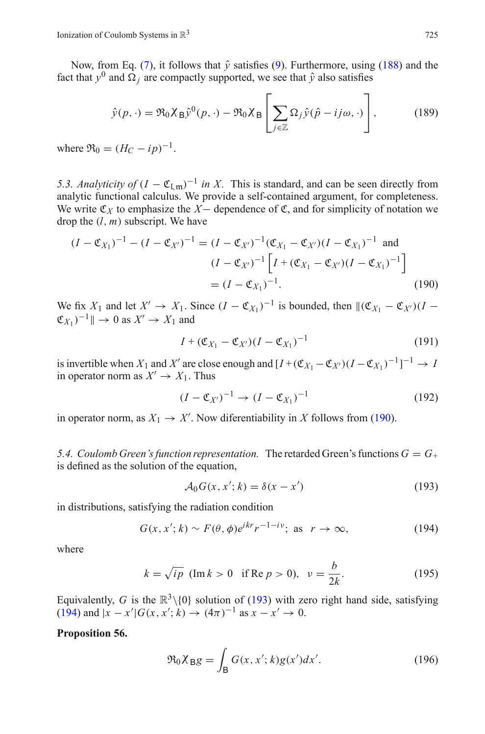Now, from Eq. [\(7\)](#page-4-9), it follows that  $\hat{v}$  satisfies [\(9\)](#page-4-1). Furthermore, using [\(188\)](#page-43-5) and the fact that  $y^0$  and  $\Omega_i$  are compactly supported, we see that  $\hat{y}$  also satisfies

$$
\hat{y}(p, \cdot) = \Re_0 \chi_B \hat{y}^0(p, \cdot) - \Re_0 \chi_B \left[ \sum_{j \in \mathbb{Z}} \Omega_j \hat{y} (\hat{p} - ij\omega, \cdot) \right],
$$
(189)

where  $\Re_0 = (H_C - ip)^{-1}$ .

<span id="page-44-0"></span>*5.3. Analyticity of*  $(I - \mathfrak{C}_{\text{Im}})^{-1}$  *in X*. This is standard, and can be seen directly from analytic functional calculus. We provide a self-contained argument, for completeness. We write  $\mathfrak{C}_X$  to emphasize the *X*− dependence of  $\mathfrak{C}$ , and for simplicity of notation we drop the (*l*, *m*) subscript. We have

<span id="page-44-2"></span>
$$
(I - \mathfrak{C}_{X_1})^{-1} - (I - \mathfrak{C}_{X'})^{-1} = (I - \mathfrak{C}_{X'})^{-1}(\mathfrak{C}_{X_1} - \mathfrak{C}_{X'}) (I - \mathfrak{C}_{X_1})^{-1} \text{ and}
$$
  
\n
$$
(I - \mathfrak{C}_{X'})^{-1} \left[ I + (\mathfrak{C}_{X_1} - \mathfrak{C}_{X'}) (I - \mathfrak{C}_{X_1})^{-1} \right]
$$
  
\n
$$
= (I - \mathfrak{C}_{X_1})^{-1}.
$$
 (190)

We fix  $X_1$  and let  $X' \to X_1$ . Since  $(I - \mathfrak{C}_{X_1})^{-1}$  is bounded, then  $\|(\mathfrak{C}_{X_1} - \mathfrak{C}_{X'}) (I \mathfrak{C}_{X_1}$  $^{-1}$   $\parallel$   $\rightarrow$  0 as  $X' \rightarrow X_1$  and

$$
I + (\mathfrak{C}_{X_1} - \mathfrak{C}_{X'}) (I - \mathfrak{C}_{X_1})^{-1}
$$
 (191)

is invertible when  $X_1$  and  $X'$  are close enough and  $[I+(\mathfrak{C}_{X_1} - \mathfrak{C}_{X'}) (I - \mathfrak{C}_{X_1})^{-1}]^{-1} \to I$ in operator norm as  $X' \to X_1$ . Thus

$$
(I - \mathfrak{C}_{X'})^{-1} \to (I - \mathfrak{C}_{X_1})^{-1} \tag{192}
$$

in operator norm, as  $X_1 \rightarrow X'$ . Now diferentiability in *X* follows from [\(190\)](#page-44-2).

<span id="page-44-1"></span>5.4. Coulomb Green's function representation. The retarded Green's functions  $G = G_+$ is defined as the solution of the equation,

$$
\mathcal{A}_0 G(x, x'; k) = \delta(x - x')
$$
 (193)

<span id="page-44-3"></span>in distributions, satisfying the radiation condition

$$
G(x, x'; k) \sim F(\theta, \phi)e^{ikr}r^{-1-i\nu}; \text{ as } r \to \infty,
$$
 (194)

<span id="page-44-4"></span>where

$$
k = \sqrt{ip} \text{ (Im } k > 0 \text{ if Re } p > 0), \quad \nu = \frac{b}{2k}.
$$
 (195)

Equivalently, *G* is the  $\mathbb{R}^3 \setminus \{0\}$  solution of [\(193\)](#page-44-3) with zero right hand side, satisfying  $(194)$  and  $|x - x'|G(x, x'; k) \rightarrow (4\pi)^{-1}$  as  $x - x' \rightarrow 0$ .

### **Proposition 56.**

$$
\Re_0 X_{\rm B} g = \int_{\rm B} G(x, x'; k) g(x') dx'.
$$
 (196)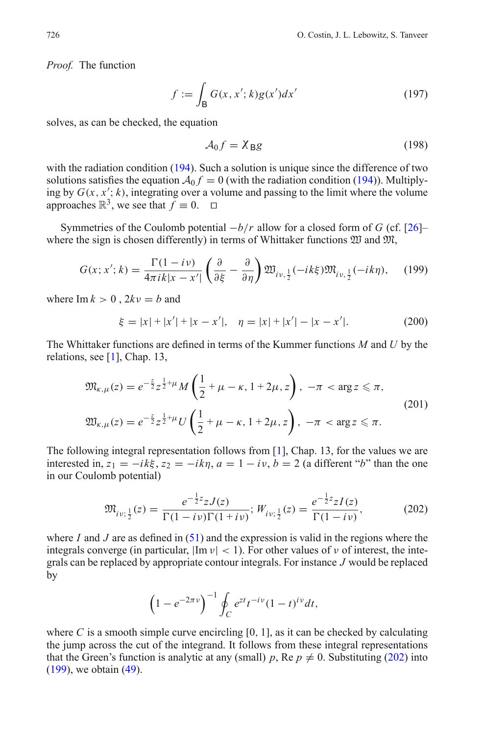*Proof.* The function

$$
f := \int_{\mathsf{B}} G(x, x'; k) g(x') dx'
$$
 (197)

solves, as can be checked, the equation

$$
A_0 f = \chi_{\text{B}} g \tag{198}
$$

with the radiation condition [\(194\)](#page-44-4). Such a solution is unique since the difference of two solutions satisfies the equation  $A_0 f = 0$  (with the radiation condition [\(194\)](#page-44-4)). Multiplying by  $G(x, x'; k)$ , integrating over a volume and passing to the limit where the volume approaches  $\mathbb{R}^3$ , we see that  $f \equiv 0$ .  $\Box$ 

Symmetries of the Coulomb potential −*b*/*r* allow for a closed form of *G* (cf. [\[26\]](#page-56-15)– where the sign is chosen differently) in terms of Whittaker functions  $\mathfrak W$  and  $\mathfrak M$ ,

$$
G(x; x'; k) = \frac{\Gamma(1 - i\nu)}{4\pi i k|x - x'|} \left(\frac{\partial}{\partial \xi} - \frac{\partial}{\partial \eta}\right) \mathfrak{W}_{i\nu, \frac{1}{2}}(-ik\xi) \mathfrak{M}_{i\nu, \frac{1}{2}}(-ik\eta), \quad (199)
$$

<span id="page-45-1"></span>where  $\text{Im } k > 0$ ,  $2kv = b$  and

$$
\xi = |x| + |x'| + |x - x'|, \quad \eta = |x| + |x'| - |x - x'|.
$$
 (200)

The Whittaker functions are defined in terms of the Kummer functions *M* and *U* by the relations, see [\[1\]](#page-56-17), Chap. 13,

$$
\mathfrak{M}_{\kappa,\mu}(z) = e^{-\frac{z}{2}} z^{\frac{1}{2}+\mu} M\left(\frac{1}{2}+\mu-\kappa, 1+2\mu, z\right), -\pi < \arg z \le \pi,
$$
  

$$
\mathfrak{W}_{\kappa,\mu}(z) = e^{-\frac{z}{2}} z^{\frac{1}{2}+\mu} U\left(\frac{1}{2}+\mu-\kappa, 1+2\mu, z\right), -\pi < \arg z \le \pi.
$$
 (201)

The following integral representation follows from [\[1\]](#page-56-17), Chap. 13, for the values we are interested in,  $z_1 = -ik\xi$ ,  $z_2 = -ik\eta$ ,  $a = 1 - iy$ ,  $b = 2$  (a different "*b*" than the one in our Coulomb potential)

$$
\mathfrak{M}_{iv;\frac{1}{2}}(z) = \frac{e^{-\frac{1}{2}z}zJ(z)}{\Gamma(1-i\nu)\Gamma(1+i\nu)}; W_{iv;\frac{1}{2}}(z) = \frac{e^{-\frac{1}{2}z}zI(z)}{\Gamma(1-i\nu)},
$$
(202)

<span id="page-45-0"></span>where *I* and *J* are as defined in [\(51\)](#page-17-4) and the expression is valid in the regions where the integrals converge (in particular,  $|\text{Im } v| < 1$ ). For other values of v of interest, the integrals can be replaced by appropriate contour integrals. For instance *J* would be replaced by

$$
\left(1-e^{-2\pi\nu}\right)^{-1}\oint_C e^{zt}t^{-i\nu}(1-t)^{iv}dt,
$$

where *C* is a smooth simple curve encircling  $[0, 1]$ , as it can be checked by calculating the jump across the cut of the integrand. It follows from these integral representations that the Green's function is analytic at any (small) *p*, Re  $p \neq 0$ . Substituting [\(202\)](#page-45-0) into [\(199\)](#page-45-1), we obtain [\(49\)](#page-17-2).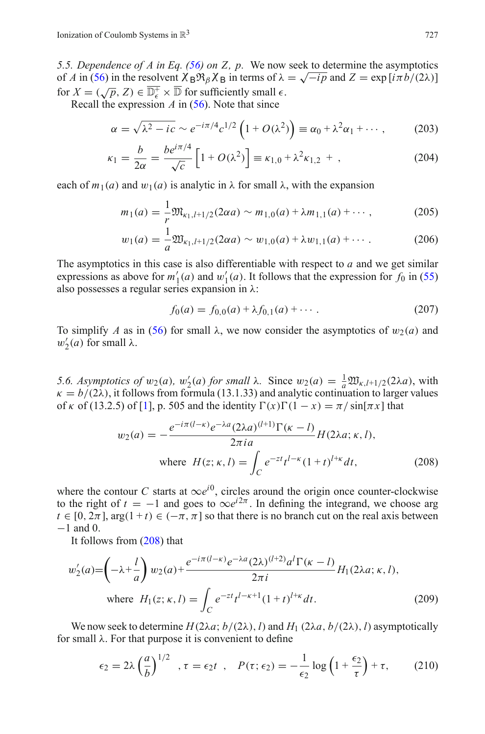<span id="page-46-0"></span>*5.5. Dependence of A in Eq. [\(56\)](#page-18-1) on Z, p.* We now seek to determine the asymptotics of *A* in [\(56\)](#page-18-1) in the resolvent  $\chi_B \mathfrak{R}_{\beta} \chi_B$  in terms of  $\lambda = \sqrt{-ip}$  and  $Z = \exp[i\pi b/(2\lambda)]$ for  $X = (\sqrt{p}, Z) \in \overline{\mathbb{D}_{\epsilon}^+} \times \overline{\mathbb{D}}$  for sufficiently small  $\epsilon$ .

Recall the expression *A* in [\(56\)](#page-18-1). Note that since

$$
\alpha = \sqrt{\lambda^2 - ic} \sim e^{-i\pi/4} c^{1/2} \left( 1 + O(\lambda^2) \right) \equiv \alpha_0 + \lambda^2 \alpha_1 + \cdots, \qquad (203)
$$

$$
\kappa_1 = \frac{b}{2\alpha} = \frac{be^{i\pi/4}}{\sqrt{c}} \left[ 1 + O(\lambda^2) \right] \equiv \kappa_{1,0} + \lambda^2 \kappa_{1,2} + , \qquad (204)
$$

each of  $m_1(a)$  and  $w_1(a)$  is analytic in  $\lambda$  for small  $\lambda$ , with the expansion

$$
m_1(a) = \frac{1}{r} \mathfrak{M}_{\kappa_1, l+1/2}(2\alpha a) \sim m_{1,0}(a) + \lambda m_{1,1}(a) + \cdots,
$$
 (205)

$$
w_1(a) = \frac{1}{a} \mathfrak{W}_{\kappa_1, l+1/2}(2\alpha a) \sim w_{1,0}(a) + \lambda w_{1,1}(a) + \cdots
$$
 (206)

The asymptotics in this case is also differentiable with respect to *a* and we get similar expressions as above for  $m'_1(a)$  and  $w'_1(a)$ . It follows that the expression for  $f_0$  in [\(55\)](#page-18-3) also possesses a regular series expansion in  $\lambda$ :

$$
f_0(a) = f_{0,0}(a) + \lambda f_{0,1}(a) + \cdots
$$
 (207)

To simplify *A* as in [\(56\)](#page-18-1) for small  $\lambda$ , we now consider the asymptotics of  $w_2(a)$  and  $w'_2(a)$  for small  $\lambda$ .

<span id="page-46-1"></span>*5.6. Asymptotics of*  $w_2(a)$ ,  $w'_2(a)$  *for small* λ*.* Since  $w_2(a) = \frac{1}{a} \mathfrak{W}_{\kappa, l+1/2}(2\lambda a)$ , with  $\kappa = b/(2\lambda)$ , it follows from formula (13.1.33) and analytic continuation to larger values of  $\kappa$  of (13.2.5) of [\[1](#page-56-17)], p. 505 and the identity  $\Gamma(x)\Gamma(1 - x) = \pi/\sin[\pi x]$  that

$$
w_2(a) = -\frac{e^{-i\pi(l-\kappa)}e^{-\lambda a}(2\lambda a)^{(l+1)}\Gamma(\kappa-l)}{2\pi i a}H(2\lambda a; \kappa, l),
$$
  
where  $H(z; \kappa, l) = \int_C e^{-zt}t^{l-\kappa}(1+t)^{l+\kappa}dt,$  (208)

<span id="page-46-2"></span>where the contour *C* starts at  $\infty e^{i\theta}$ , circles around the origin once counter-clockwise to the right of  $t = -1$  and goes to  $\infty e^{i2\pi}$ . In defining the integrand, we choose arg  $t \in [0, 2\pi]$ , arg $(1 + t) \in (-\pi, \pi]$  so that there is no branch cut on the real axis between −1 and 0.

It follows from [\(208\)](#page-46-2) that

$$
w'_{2}(a) = \left(-\lambda + \frac{l}{a}\right)w_{2}(a) + \frac{e^{-i\pi(l-\kappa)}e^{-\lambda a}(2\lambda)^{(l+2)}a^l\Gamma(\kappa-l)}{2\pi i}H_{1}(2\lambda a; \kappa, l),
$$
  
where  $H_{1}(z; \kappa, l) = \int_{C} e^{-zt}t^{l-\kappa+1}(1+t)^{l+\kappa}dt.$  (209)

<span id="page-46-3"></span>We now seek to determine  $H(2\lambda a; b/(2\lambda), l)$  and  $H_1(2\lambda a, b/(2\lambda), l)$  asymptotically for small  $\lambda$ . For that purpose it is convenient to define

$$
\epsilon_2 = 2\lambda \left(\frac{a}{b}\right)^{1/2}, \tau = \epsilon_2 t, \quad P(\tau; \epsilon_2) = -\frac{1}{\epsilon_2} \log \left(1 + \frac{\epsilon_2}{\tau}\right) + \tau, \tag{210}
$$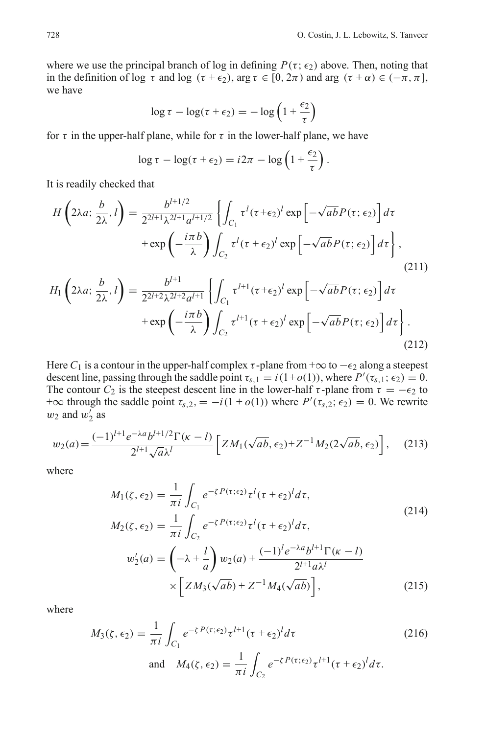where we use the principal branch of log in defining  $P(\tau; \epsilon_2)$  above. Then, noting that in the definition of log  $\tau$  and log ( $\tau + \epsilon_2$ ), arg  $\tau \in [0, 2\pi)$  and arg ( $\tau + \alpha$ )  $\in (-\pi, \pi]$ , we have

$$
\log \tau - \log(\tau + \epsilon_2) = -\log\left(1 + \frac{\epsilon_2}{\tau}\right)
$$

for  $\tau$  in the upper-half plane, while for  $\tau$  in the lower-half plane, we have

$$
\log \tau - \log(\tau + \epsilon_2) = i2\pi - \log\left(1 + \frac{\epsilon_2}{\tau}\right).
$$

It is readily checked that

$$
H\left(2\lambda a;\frac{b}{2\lambda},l\right) = \frac{b^{l+1/2}}{2^{2l+1}\lambda^{2l+1}a^{l+1/2}} \left\{ \int_{C_1} \tau^l (\tau + \epsilon_2)^l \exp\left[-\sqrt{ab}P(\tau;\epsilon_2)\right] d\tau \right. \\ \left. + \exp\left(-\frac{i\pi b}{\lambda}\right) \int_{C_2} \tau^l (\tau + \epsilon_2)^l \exp\left[-\sqrt{ab}P(\tau;\epsilon_2)\right] d\tau \right\},\tag{211}
$$

$$
H_{1}\left(2\lambda a;\frac{b}{2\lambda},l\right) = \frac{b^{l+1}}{2^{2l+2}\lambda^{2l+2}a^{l+1}}\left\{\int_{C_{1}}\tau^{l+1}(\tau+\epsilon_{2})^{l}\exp\left[-\sqrt{ab}P(\tau;\epsilon_{2})\right]d\tau\right.\\ \left.+\exp\left(-\frac{i\pi b}{\lambda}\right)\int_{C_{2}}\tau^{l+1}(\tau+\epsilon_{2})^{l}\exp\left[-\sqrt{ab}P(\tau;\epsilon_{2})\right]d\tau\right\}.
$$
\n(212)

Here  $C_1$  is a contour in the upper-half complex  $\tau$ -plane from  $+\infty$  to  $-\epsilon_2$  along a steepest descent line, passing through the saddle point  $\tau_{s,1} = i(1+o(1))$ , where  $P'(\tau_{s,1}; \epsilon_2) = 0$ . The contour  $C_2$  is the steepest descent line in the lower-half  $\tau$ -plane from  $\tau = -\epsilon_2$  to + $\infty$  through the saddle point  $\tau_{s,2} = -i(1 + o(1))$  where  $P'(\tau_{s,2}; \epsilon_2) = 0$ . We rewrite  $w_2$  and  $w_2'$  as

$$
w_2(a) = \frac{(-1)^{l+1} e^{-\lambda a} b^{l+1/2} \Gamma(\kappa - l)}{2^{l+1} \sqrt{a} \lambda^l} \left[ Z M_1(\sqrt{ab}, \epsilon_2) + Z^{-1} M_2(2\sqrt{ab}, \epsilon_2) \right], \quad (213)
$$

where

$$
M_{1}(\zeta, \epsilon_{2}) = \frac{1}{\pi i} \int_{C_{1}} e^{-\zeta P(\tau; \epsilon_{2})} \tau^{l}(\tau + \epsilon_{2})^{l} d\tau,
$$
  
\n
$$
M_{2}(\zeta, \epsilon_{2}) = \frac{1}{\pi i} \int_{C_{2}} e^{-\zeta P(\tau; \epsilon_{2})} \tau^{l}(\tau + \epsilon_{2})^{l} d\tau,
$$
  
\n
$$
w'_{2}(a) = \left(-\lambda + \frac{l}{a}\right) w_{2}(a) + \frac{(-1)^{l} e^{-\lambda a} b^{l+1} \Gamma(\kappa - l)}{2^{l+1} a \lambda^{l}}
$$
  
\n
$$
\times \left[Z M_{3}(\sqrt{ab}) + Z^{-1} M_{4}(\sqrt{ab})\right],
$$
\n(215)

where

$$
M_3(\zeta, \epsilon_2) = \frac{1}{\pi i} \int_{C_1} e^{-\zeta P(\tau; \epsilon_2)} \tau^{l+1} (\tau + \epsilon_2)^l d\tau
$$
\nand\n
$$
M_4(\zeta, \epsilon_2) = \frac{1}{\pi i} \int_{C_2} e^{-\zeta P(\tau; \epsilon_2)} \tau^{l+1} (\tau + \epsilon_2)^l d\tau.
$$
\n(216)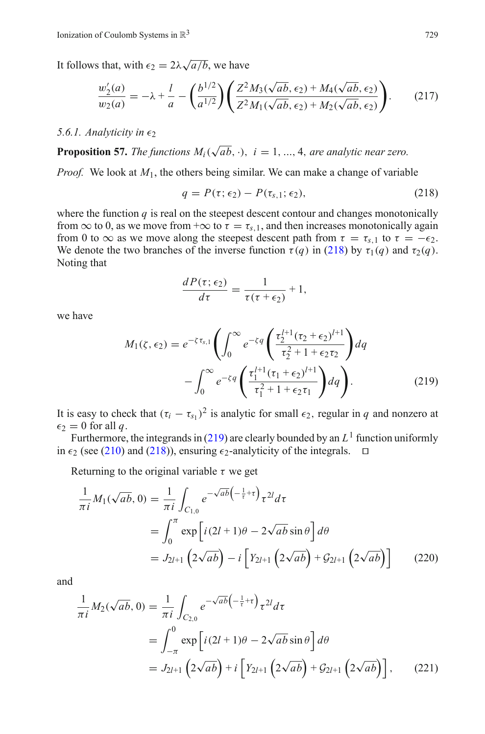It follows that, with  $\epsilon_2 = 2\lambda \sqrt{a/b}$ , we have

$$
\frac{w_2'(a)}{w_2(a)} = -\lambda + \frac{l}{a} - \left(\frac{b^{1/2}}{a^{1/2}}\right) \left(\frac{Z^2 M_3(\sqrt{ab}, \epsilon_2) + M_4(\sqrt{ab}, \epsilon_2)}{Z^2 M_1(\sqrt{ab}, \epsilon_2) + M_2(\sqrt{ab}, \epsilon_2)}\right).
$$
(217)

#### $5.6.1.$  *Analyticity in*  $\epsilon_2$

**Proposition 57.** *The functions*  $M_i(\sqrt{ab}, \cdot)$ ,  $i = 1, ..., 4$ , *are analytic near zero.* 

*Proof.* We look at *M*1, the others being similar. We can make a change of variable

$$
q = P(\tau; \epsilon_2) - P(\tau_{s,1}; \epsilon_2), \qquad (218)
$$

<span id="page-48-0"></span>where the function  $q$  is real on the steepest descent contour and changes monotonically from  $\infty$  to 0, as we move from + $\infty$  to  $\tau = \tau_{s,1}$ , and then increases monotonically again from 0 to  $\infty$  as we move along the steepest descent path from  $\tau = \tau_{s,1}$  to  $\tau = -\epsilon_2$ . We denote the two branches of the inverse function  $\tau(q)$  in [\(218\)](#page-48-0) by  $\tau_1(q)$  and  $\tau_2(q)$ . Noting that

$$
\frac{dP(\tau;\epsilon_2)}{d\tau} = \frac{1}{\tau(\tau+\epsilon_2)} + 1,
$$

<span id="page-48-1"></span>we have

$$
M_1(\zeta, \epsilon_2) = e^{-\zeta \tau_{s,1}} \left( \int_0^\infty e^{-\zeta q} \left( \frac{\tau_2^{l+1} (\tau_2 + \epsilon_2)^{l+1}}{\tau_2^2 + 1 + \epsilon_2 \tau_2} \right) dq - \int_0^\infty e^{-\zeta q} \left( \frac{\tau_1^{l+1} (\tau_1 + \epsilon_2)^{l+1}}{\tau_1^2 + 1 + \epsilon_2 \tau_1} \right) dq \right). \tag{219}
$$

It is easy to check that  $(\tau_i - \tau_{s_1})^2$  is analytic for small  $\epsilon_2$ , regular in *q* and nonzero at  $\epsilon_2 = 0$  for all q.

Furthermore, the integrands in [\(219\)](#page-48-1) are clearly bounded by an  $L<sup>1</sup>$  function uniformly in  $\epsilon_2$  (see [\(210\)](#page-46-3) and [\(218\)](#page-48-0)), ensuring  $\epsilon_2$ -analyticity of the integrals.  $\Box$ 

Returning to the original variable  $\tau$  we get

$$
\frac{1}{\pi i} M_1(\sqrt{ab}, 0) = \frac{1}{\pi i} \int_{C_{1,0}} e^{-\sqrt{ab} \left(-\frac{1}{\tau} + \tau\right)} \tau^{2l} d\tau
$$
\n
$$
= \int_0^{\pi} \exp\left[i(2l+1)\theta - 2\sqrt{ab}\sin\theta\right] d\theta
$$
\n
$$
= J_{2l+1} \left(2\sqrt{ab}\right) - i \left[Y_{2l+1} \left(2\sqrt{ab}\right) + \mathcal{G}_{2l+1} \left(2\sqrt{ab}\right)\right] \tag{220}
$$

and

$$
\frac{1}{\pi i} M_2(\sqrt{ab}, 0) = \frac{1}{\pi i} \int_{C_{2,0}} e^{-\sqrt{ab} \left(-\frac{1}{\tau} + \tau\right)} \tau^{2l} d\tau
$$
\n
$$
= \int_{-\pi}^{0} \exp\left[i(2l+1)\theta - 2\sqrt{ab}\sin\theta\right] d\theta
$$
\n
$$
= J_{2l+1} \left(2\sqrt{ab}\right) + i \left[Y_{2l+1} \left(2\sqrt{ab}\right) + \mathcal{G}_{2l+1} \left(2\sqrt{ab}\right)\right], \qquad (221)
$$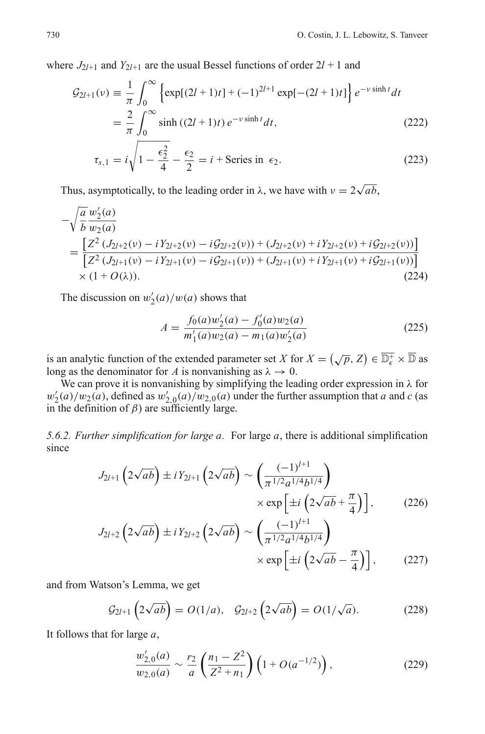where  $J_{2*l+1}*$  and  $Y_{2*l+1}*$  are the usual Bessel functions of order  $2*l+1*$  and

$$
\mathcal{G}_{2l+1}(v) = \frac{1}{\pi} \int_0^{\infty} \left\{ \exp[(2l+1)t] + (-1)^{2l+1} \exp[-(2l+1)t] \right\} e^{-v \sinh t} dt
$$

$$
= \frac{2}{\pi} \int_0^{\infty} \sinh((2l+1)t) e^{-v \sinh t} dt,
$$
(222)

$$
\tau_{s,1} = i\sqrt{1 - \frac{\epsilon_2^2}{4} - \frac{\epsilon_2}{2}} = i + \text{Series in } \epsilon_2.
$$
 (223)

Thus, asymptotically, to the leading order in  $\lambda$ , we have with  $\nu = 2\sqrt{ab}$ ,

$$
-\sqrt{\frac{a}{b}} \frac{w_2'(a)}{w_2(a)}
$$
  
= 
$$
\frac{[Z^2 (J_{2l+2}(v) - iY_{2l+2}(v) - iG_{2l+2}(v)) + (J_{2l+2}(v) + iY_{2l+2}(v) + iG_{2l+2}(v))]}{[Z^2 (J_{2l+1}(v) - iY_{2l+1}(v) - iG_{2l+1}(v)) + (J_{2l+1}(v) + iY_{2l+1}(v) + iG_{2l+1}(v))]}
$$
  
× (1 + O(*λ*)). (224)

<span id="page-49-0"></span>The discussion on  $w'_2(a)/w(a)$  shows that

$$
A = \frac{f_0(a)w_2'(a) - f_0'(a)w_2(a)}{m_1'(a)w_2(a) - m_1(a)w_2'(a)}
$$
(225)

is an analytic function of the extended parameter set *X* for  $X = (\sqrt{p}, Z) \in \overline{\mathbb{D}_{\epsilon}^{+}} \times \overline{\mathbb{D}}$  as long as the denominator for *A* is nonvanishing as  $\lambda \to 0$ .

We can prove it is nonvanishing by simplifying the leading order expression in  $\lambda$  for  $w_2'(a)/w_2(a)$ , defined as  $w_{2,0}'(a)/w_{2,0}(a)$  under the further assumption that *a* and *c* (as in the definition of  $β$ ) are sufficiently large.

*5.6.2. Further simplification for large a.* For large *a*, there is additional simplification since

$$
J_{2l+1}\left(2\sqrt{ab}\right) \pm iY_{2l+1}\left(2\sqrt{ab}\right) \sim \left(\frac{(-1)^{l+1}}{\pi^{1/2}a^{1/4}b^{1/4}}\right) \times \exp\left[\pm i\left(2\sqrt{ab} + \frac{\pi}{4}\right)\right],\tag{226}
$$

$$
J_{2l+2}\left(2\sqrt{ab}\right) \pm iY_{2l+2}\left(2\sqrt{ab}\right) \sim \left(\frac{(-1)^{l+1}}{\pi^{1/2}a^{1/4}b^{1/4}}\right) \times \exp\left[\pm i\left(2\sqrt{ab} - \frac{\pi}{4}\right)\right],\tag{227}
$$

and from Watson's Lemma, we get

$$
\mathcal{G}_{2l+1}\left(2\sqrt{ab}\right) = O(1/a), \quad \mathcal{G}_{2l+2}\left(2\sqrt{ab}\right) = O(1/\sqrt{a}). \tag{228}
$$

It follows that for large *a*,

$$
\frac{w'_{2,0}(a)}{w_{2,0}(a)} \sim \frac{r_2}{a} \left(\frac{n_1 - Z^2}{Z^2 + n_1}\right) \left(1 + O(a^{-1/2})\right),\tag{229}
$$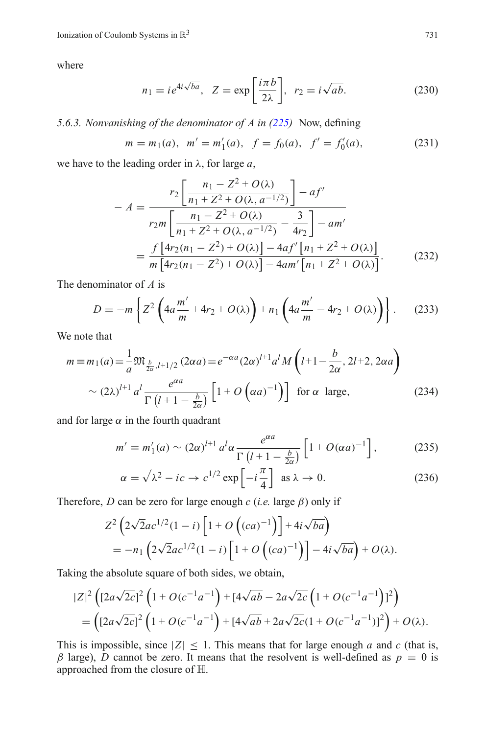where

$$
n_1 = ie^{4i\sqrt{ba}}, \ \ Z = \exp\left[\frac{i\pi b}{2\lambda}\right], \ \ r_2 = i\sqrt{ab}.\tag{230}
$$

*5.6.3. Nonvanishing of the denominator of A in [\(225\)](#page-49-0)* Now, defining

$$
m = m_1(a), m' = m'_1(a), f = f_0(a), f' = f'_0(a),
$$
 (231)

<span id="page-50-1"></span>we have to the leading order in λ, for large *a*,

$$
- A = \frac{r_2 \left[ \frac{n_1 - Z^2 + O(\lambda)}{n_1 + Z^2 + O(\lambda, a^{-1/2})} \right] - af'}{r_2 m \left[ \frac{n_1 - Z^2 + O(\lambda)}{n_1 + Z^2 + O(\lambda, a^{-1/2})} - \frac{3}{4r_2} \right] - am'} = \frac{f \left[ 4r_2(n_1 - Z^2) + O(\lambda) \right] - 4af' \left[ n_1 + Z^2 + O(\lambda) \right]}{m \left[ 4r_2(n_1 - Z^2) + O(\lambda) \right] - 4am' \left[ n_1 + Z^2 + O(\lambda) \right]}.
$$
(232)

The denominator of *A* is

$$
D = -m \left\{ Z^2 \left( 4a \frac{m'}{m} + 4r_2 + O(\lambda) \right) + n_1 \left( 4a \frac{m'}{m} - 4r_2 + O(\lambda) \right) \right\}.
$$
 (233)

We note that

$$
m \equiv m_1(a) = \frac{1}{a} \mathfrak{M}_{\frac{b}{2\alpha}, l+1/2} (2\alpha a) = e^{-\alpha a} (2\alpha)^{l+1} a^l M \left( l+1 - \frac{b}{2\alpha}, 2l+2, 2\alpha a \right)
$$
  
 
$$
\sim (2\lambda)^{l+1} a^l \frac{e^{\alpha a}}{\Gamma(l+1-\frac{b}{2\alpha})} \left[ 1 + O\left( \alpha a \right)^{-1} \right] \text{ for } \alpha \text{ large}, \tag{234}
$$

and for large  $\alpha$  in the fourth quadrant

$$
m' \equiv m'_1(a) \sim (2\alpha)^{l+1} a^l \alpha \frac{e^{\alpha a}}{\Gamma(l+1-\frac{b}{2\alpha})} \left[1+O(\alpha a)^{-1}\right],\tag{235}
$$

$$
\alpha = \sqrt{\lambda^2 - ic} \to c^{1/2} \exp\left[-i\frac{\pi}{4}\right] \text{ as } \lambda \to 0.
$$
 (236)

Therefore, *D* can be zero for large enough *c* (*i.e.* large β) only if

$$
Z^{2}\left(2\sqrt{2}ac^{1/2}(1-i)\left[1+O\left((ca)^{-1}\right)\right]+4i\sqrt{ba}\right)
$$
  
=-n<sub>1</sub> $\left(2\sqrt{2}ac^{1/2}(1-i)\left[1+O\left((ca)^{-1}\right)\right]-4i\sqrt{ba}\right)+O(\lambda).$ 

Taking the absolute square of both sides, we obtain,

$$
|Z|^2 \left( [2a\sqrt{2c}]^2 \left( 1 + O(c^{-1}a^{-1}) + [4\sqrt{ab} - 2a\sqrt{2c} \left( 1 + O(c^{-1}a^{-1}) \right)^2 \right) \right)
$$
  
= 
$$
\left( [2a\sqrt{2c}]^2 \left( 1 + O(c^{-1}a^{-1}) + [4\sqrt{ab} + 2a\sqrt{2c}(1 + O(c^{-1}a^{-1}))^2 \right) + O(\lambda).
$$

<span id="page-50-0"></span>This is impossible, since  $|Z| \leq 1$ . This means that for large enough *a* and *c* (that is,  $β$  large), *D* cannot be zero. It means that the resolvent is well-defined as  $p = 0$  is approached from the closure of H.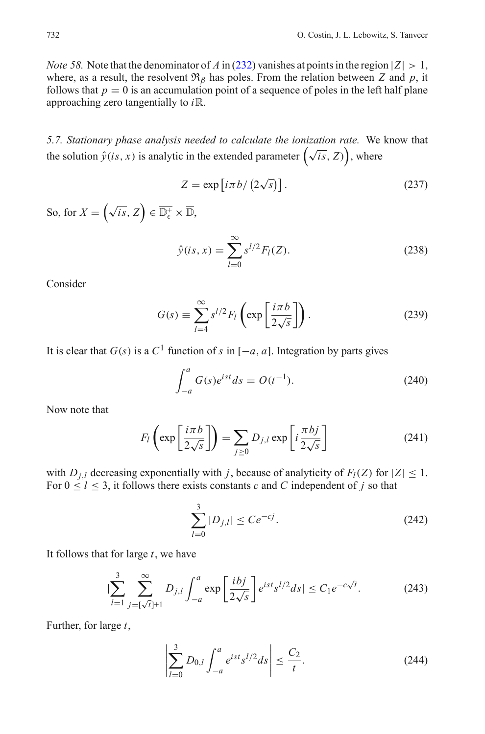*Note 58.* Note that the denominator of *A* in [\(232\)](#page-50-1) vanishes at points in the region  $|Z| > 1$ , where, as a result, the resolvent  $\mathfrak{R}_{\beta}$  has poles. From the relation between *Z* and *p*, it follows that  $p = 0$  is an accumulation point of a sequence of poles in the left half plane approaching zero tangentially to *i*R.

<span id="page-51-0"></span>*5.7. Stationary phase analysis needed to calculate the ionization rate.* We know that the solution  $\hat{y}(is, x)$  is analytic in the extended parameter  $(\sqrt{is}, Z)$ , where

$$
Z = \exp[i\pi b/(2\sqrt{s})].
$$
 (237)

So, for  $X = (\sqrt{is}, Z) \in \overline{\mathbb{D}_{\epsilon}^+} \times \overline{\mathbb{D}}$ ,

$$
\hat{y}(is, x) = \sum_{l=0}^{\infty} s^{l/2} F_l(Z).
$$
\n(238)

Consider

$$
G(s) \equiv \sum_{l=4}^{\infty} s^{l/2} F_l \left( \exp\left[\frac{i\pi b}{2\sqrt{s}}\right] \right). \tag{239}
$$

It is clear that  $G(s)$  is a  $C<sup>1</sup>$  function of *s* in  $[-a, a]$ . Integration by parts gives

$$
\int_{-a}^{a} G(s)e^{ist}ds = O(t^{-1}).
$$
\n(240)

Now note that

$$
F_l\left(\exp\left[\frac{i\pi b}{2\sqrt{s}}\right]\right) = \sum_{j\geq 0} D_{j,l} \exp\left[i\frac{\pi bj}{2\sqrt{s}}\right]
$$
 (241)

with *D<sub>j</sub>*,*l* decreasing exponentially with *j*, because of analyticity of  $F_l(Z)$  for  $|Z| \leq 1$ . For  $0 \le l \le 3$ , it follows there exists constants *c* and *C* independent of *j* so that

$$
\sum_{l=0}^{3} |D_{j,l}| \le Ce^{-cj}.\tag{242}
$$

It follows that for large *t*, we have

$$
|\sum_{l=1}^{3} \sum_{j=\lceil\sqrt{t}\rceil+1}^{\infty} D_{j,l} \int_{-a}^{a} \exp\left[\frac{i\,bj}{2\sqrt{s}}\right] e^{ist} s^{l/2} ds| \le C_1 e^{-c\sqrt{t}}.
$$
 (243)

Further, for large *t*,

$$
\left| \sum_{l=0}^{3} D_{0,l} \int_{-a}^{a} e^{ist} s^{l/2} ds \right| \leq \frac{C_2}{t}.
$$
 (244)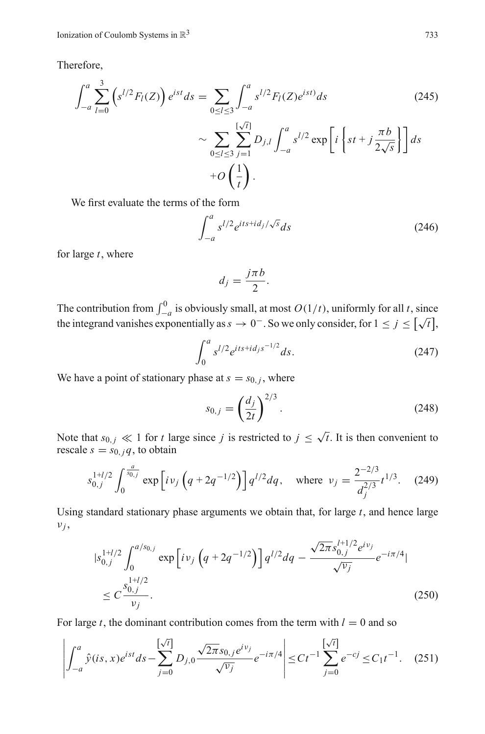Therefore,

$$
\int_{-a}^{a} \sum_{l=0}^{3} \left( s^{l/2} F_l(Z) \right) e^{ist} ds = \sum_{0 \le l \le 3} \int_{-a}^{a} s^{l/2} F_l(Z) e^{ist} ds \qquad (245)
$$

$$
\sim \sum_{0 \le l \le 3} \sum_{j=1}^{\lfloor \sqrt{t} \rfloor} D_{j,l} \int_{-a}^{a} s^{l/2} \exp \left[ i \left\{ st + j \frac{\pi b}{2\sqrt{s}} \right\} \right] ds
$$

$$
+ O\left(\frac{1}{t}\right).
$$

We first evaluate the terms of the form

$$
\int_{-a}^{a} s^{l/2} e^{its + id_j/\sqrt{s}} ds \tag{246}
$$

for large *t*, where

$$
d_j = \frac{j\pi b}{2}.
$$

The contribution from  $\int_{-a}^{0}$  is obviously small, at most  $O(1/t)$ , uniformly for all *t*, since the integrand vanishes exponentially as  $s \to 0^-$ . So we only consider, for  $1 \le j \le \lceil \sqrt{t} \rceil$ ,

$$
\int_0^a s^{l/2} e^{its + id_j s^{-1/2}} ds.
$$
 (247)

We have a point of stationary phase at  $s = s_{0,i}$ , where

$$
s_{0,j} = \left(\frac{d_j}{2t}\right)^{2/3}.
$$
 (248)

Note that  $s_{0,j} \ll 1$  for *t* large since *j* is restricted to  $j \leq \sqrt{t}$ . It is then convenient to rescale  $s = s_{0, i}q$ , to obtain

$$
s_{0,j}^{1+l/2} \int_0^{\frac{a}{s_{0,j}}} \exp\left[i\nu_j \left(q + 2q^{-1/2}\right)\right] q^{l/2} dq, \quad \text{where } \nu_j = \frac{2^{-2/3}}{d_j^{2/3}} t^{1/3}.
$$
 (249)

Using standard stationary phase arguments we obtain that, for large  $t$ , and hence large  $v_j$ ,

$$
|s_{0,j}^{1+l/2} \int_0^{a/s_{0,j}} \exp\left[i \nu_j \left(q + 2q^{-1/2}\right)\right] q^{l/2} dq - \frac{\sqrt{2\pi} s_{0,j}^{l+1/2} e^{i \nu_j}}{\sqrt{\nu_j}} e^{-i\pi/4} |
$$
  
 
$$
\leq C \frac{s_{0,j}^{1+l/2}}{\nu_j}.
$$
 (250)

For large *t*, the dominant contribution comes from the term with  $l = 0$  and so

$$
\left| \int_{-a}^{a} \hat{y}(is,x)e^{ist}ds - \sum_{j=0}^{\left[\sqrt{t}\right]} D_{j,0} \frac{\sqrt{2\pi} s_{0,j}e^{iv_j}}{\sqrt{v_j}} e^{-i\pi/4} \right| \le Ct^{-1} \sum_{j=0}^{\left[\sqrt{t}\right]} e^{-cj} \le C_1 t^{-1}.
$$
 (251)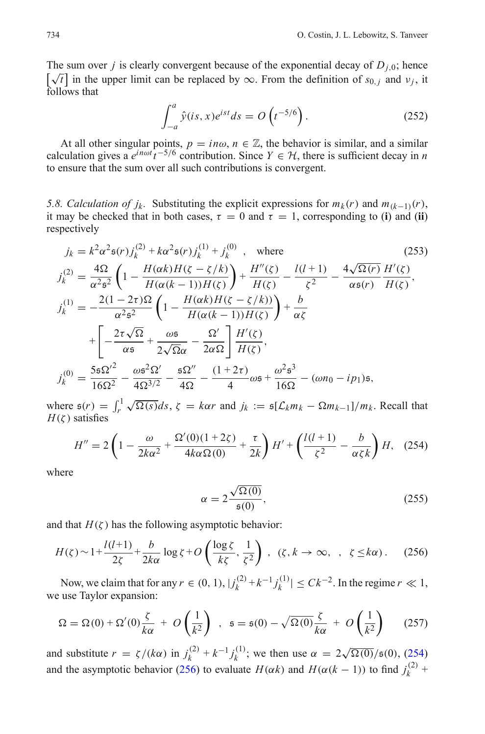The sum over *j* is clearly convergent because of the exponential decay of  $D_{i,0}$ ; hence The sum over *f* is clearly convergent because of the exponential decay of  $D_{j,0}$ , nence  $[\sqrt{t}]$  in the upper limit can be replaced by  $\infty$ . From the definition of *s*<sub>0,*j*</sub> and *v<sub>j</sub>*, it follows that

$$
\int_{-a}^{a} \hat{y}(is,x)e^{ist}ds = O\left(t^{-5/6}\right). \tag{252}
$$

At all other singular points,  $p = in\omega$ ,  $n \in \mathbb{Z}$ , the behavior is similar, and a similar calculation gives a  $e^{in\omega t}t^{-5/6}$  contribution. Since  $Y \in \mathcal{H}$ , there is sufficient decay in *n* to ensure that the sum over all such contributions is convergent.

<span id="page-53-0"></span>*5.8. Calculation of j<sub>k</sub>*. Substituting the explicit expressions for  $m_k(r)$  and  $m_{(k-1)}(r)$ , it may be checked that in both cases,  $\tau = 0$  and  $\tau = 1$ , corresponding to (**i**) and (**ii**) respectively

<span id="page-53-1"></span>
$$
j_{k} = k^{2} \alpha^{2} \mathfrak{s}(r) j_{k}^{(2)} + k \alpha^{2} \mathfrak{s}(r) j_{k}^{(1)} + j_{k}^{(0)}, \text{ where}
$$
\n
$$
j_{k}^{(2)} = \frac{4 \Omega}{\alpha^{2} \mathfrak{s}^{2}} \left( 1 - \frac{H(\alpha k) H(\zeta - \zeta / k)}{H(\alpha (k - 1)) H(\zeta)} \right) + \frac{H''(\zeta)}{H(\zeta)} - \frac{l(l + 1)}{\zeta^{2}} - \frac{4 \sqrt{\Omega(r)}}{\alpha \mathfrak{s}(r)} \frac{H'(\zeta)}{H(\zeta)},
$$
\n
$$
j_{k}^{(1)} = -\frac{2(1 - 2\tau)\Omega}{\alpha^{2} \mathfrak{s}^{2}} \left( 1 - \frac{H(\alpha k) H(\zeta - \zeta / k))}{H(\alpha (k - 1)) H(\zeta)} \right) + \frac{b}{\alpha \zeta}
$$
\n
$$
+ \left[ -\frac{2\tau \sqrt{\Omega}}{\alpha \mathfrak{s}} + \frac{\omega \mathfrak{s}}{2 \sqrt{\Omega} \alpha} - \frac{\Omega'}{2 \alpha \Omega} \right] \frac{H'(\zeta)}{H(\zeta)},
$$
\n
$$
j_{k}^{(0)} = \frac{5 \mathfrak{s} \Omega'^{2}}{16 \Omega^{2}} - \frac{\omega \mathfrak{s}^{2} \Omega'}{4 \Omega^{3/2}} - \frac{\mathfrak{s} \Omega''}{4 \Omega} - \frac{(1 + 2\tau)}{4} \omega \mathfrak{s} + \frac{\omega^{2} \mathfrak{s}^{3}}{16 \Omega} - (\omega n_{0} - i p_{1}) \mathfrak{s},
$$
\n(253)

where  $\mathfrak{s}(r) = \int_r^1 \sqrt{\Omega(s)} ds$ ,  $\zeta = k\alpha r$  and  $j_k := \mathfrak{s}[\mathcal{L}_k m_k - \Omega m_{k-1}]/m_k$ . Recall that  $H(\zeta)$  satisfies

$$
H'' = 2\left(1 - \frac{\omega}{2k\alpha^2} + \frac{\Omega'(0)(1+2\zeta)}{4k\alpha\Omega(0)} + \frac{\tau}{2k}\right)H' + \left(\frac{l(l+1)}{\zeta^2} - \frac{b}{\alpha\zeta k}\right)H,\quad(254)
$$

<span id="page-53-2"></span>where

$$
\alpha = 2 \frac{\sqrt{\Omega(0)}}{\mathfrak{s}(0)},\tag{255}
$$

<span id="page-53-3"></span>and that  $H(\zeta)$  has the following asymptotic behavior:

$$
H(\zeta) \sim 1 + \frac{l(l+1)}{2\zeta} + \frac{b}{2k\alpha} \log \zeta + O\left(\frac{\log \zeta}{k\zeta}, \frac{1}{\zeta^2}\right), \quad (\zeta, k \to \infty, \quad \zeta \le k\alpha). \tag{256}
$$

Now, we claim that for any  $r \in (0, 1)$ ,  $|j_k^{(2)} + k^{-1} j_k^{(1)}| \leq C k^{-2}$ . In the regime  $r \ll 1$ , we use Taylor expansion:

$$
\Omega = \Omega(0) + \Omega'(0)\frac{\zeta}{k\alpha} + O\left(\frac{1}{k^2}\right) , \quad \mathfrak{s} = \mathfrak{s}(0) - \sqrt{\Omega(0)}\frac{\zeta}{k\alpha} + O\left(\frac{1}{k^2}\right) \tag{257}
$$

and substitute  $r = \zeta / (k\alpha)$  in  $j_k^{(2)} + k^{-1} j_k^{(1)}$ ; we then use  $\alpha = 2\sqrt{\Omega(0)}/\mathfrak{s}(0)$ , [\(254\)](#page-53-2) and the asymptotic behavior [\(256\)](#page-53-3) to evaluate  $H(\alpha k)$  and  $H(\alpha (k-1))$  to find  $j_k^{(2)}$  +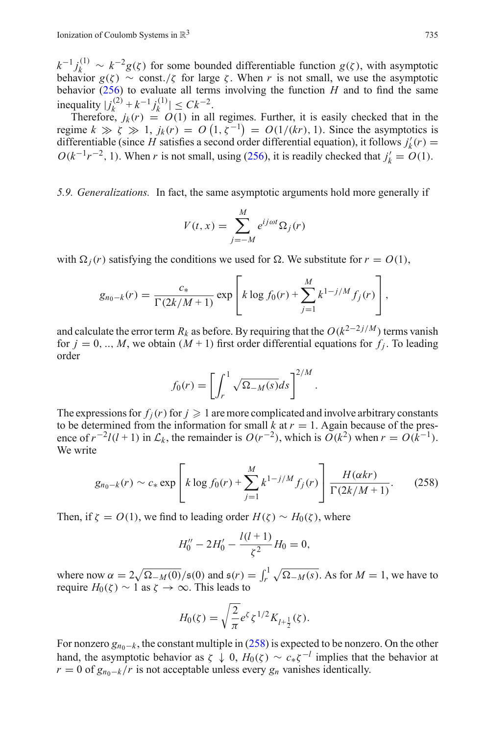$k^{-1} j_k^{(1)} \sim k^{-2} g(\zeta)$  for some bounded differentiable function  $g(\zeta)$ , with asymptotic behavior  $g(\zeta) \sim \text{const.}/\zeta$  for large  $\zeta$ . When *r* is not small, we use the asymptotic behavior [\(256\)](#page-53-3) to evaluate all terms involving the function *H* and to find the same  $\text{inequality } |j_k^{(2)} + k^{-1} j_k^{(1)}| \leq Ck^{-2}.$ 

Therefore,  $j_k(r) = O(1)$  in all regimes. Further, it is easily checked that in the regime  $k \gg \zeta \gg 1$ ,  $j_k(r) = O(1, \zeta^{-1}) = O(1/(kr))$ . Since the asymptotics is differentiable (since *H* satisfies a second order differential equation), it follows  $j'_k(r)$  =  $O(k^{-1}r^{-2}, 1)$ . When *r* is not small, using [\(256\)](#page-53-3), it is readily checked that  $j'_k = O(1)$ .

<span id="page-54-0"></span>*5.9. Generalizations.* In fact, the same asymptotic arguments hold more generally if

$$
V(t, x) = \sum_{j=-M}^{M} e^{ij\omega t} \Omega_j(r)
$$

with  $\Omega_i(r)$  satisfying the conditions we used for  $\Omega$ . We substitute for  $r = O(1)$ ,

$$
g_{n_0-k}(r) = \frac{c_*}{\Gamma(2k/M+1)} \exp \left[k \log f_0(r) + \sum_{j=1}^M k^{1-j/M} f_j(r)\right],
$$

and calculate the error term  $R_k$  as before. By requiring that the  $O(k^{2-2j/M})$  terms vanish for  $j = 0, \ldots, M$ , we obtain  $(M + 1)$  first order differential equations for  $f_j$ . To leading order

$$
f_0(r) = \left[ \int_r^1 \sqrt{\Omega_{-M}(s)} ds \right]^{2/M}
$$

The expressions for  $f_j(r)$  for  $j \geqslant 1$  are more complicated and involve arbitrary constants to be determined from the information for small  $\hat{k}$  at  $r = 1$ . Again because of the presence of  $r^{-2}l(l+1)$  in  $\mathcal{L}_k$ , the remainder is  $O(r^{-2})$ , which is  $O(k^2)$  when  $r = O(k^{-1})$ . We write

$$
g_{n_0-k}(r) \sim c_* \exp\left[k \log f_0(r) + \sum_{j=1}^M k^{1-j/M} f_j(r)\right] \frac{H(\alpha kr)}{\Gamma(2k/M+1)}.
$$
 (258)

.

<span id="page-54-1"></span>Then, if  $\zeta = O(1)$ , we find to leading order  $H(\zeta) \sim H_0(\zeta)$ , where

$$
H_0'' - 2H_0' - \frac{l(l+1)}{\zeta^2}H_0 = 0,
$$

where now  $\alpha = 2\sqrt{\Omega_{-M}(0)}/\mathfrak{s}(0)$  and  $\mathfrak{s}(r) = \int_r^1 \sqrt{\Omega_{-M}(s)}$ . As for  $M = 1$ , we have to require  $H_0(\zeta) \sim 1$  as  $\zeta \to \infty$ . This leads to

$$
H_0(\zeta) = \sqrt{\frac{2}{\pi}} e^{\zeta} \zeta^{1/2} K_{l+\frac{1}{2}}(\zeta).
$$

For nonzero  $g_{n_0-k}$ , the constant multiple in [\(258\)](#page-54-1) is expected to be nonzero. On the other hand, the asymptotic behavior as  $\zeta \downarrow 0$ ,  $H_0(\zeta) \sim c_* \zeta^{-1}$  implies that the behavior at  $r = 0$  of  $g_{n_0-k}/r$  is not acceptable unless every  $g_n$  vanishes identically.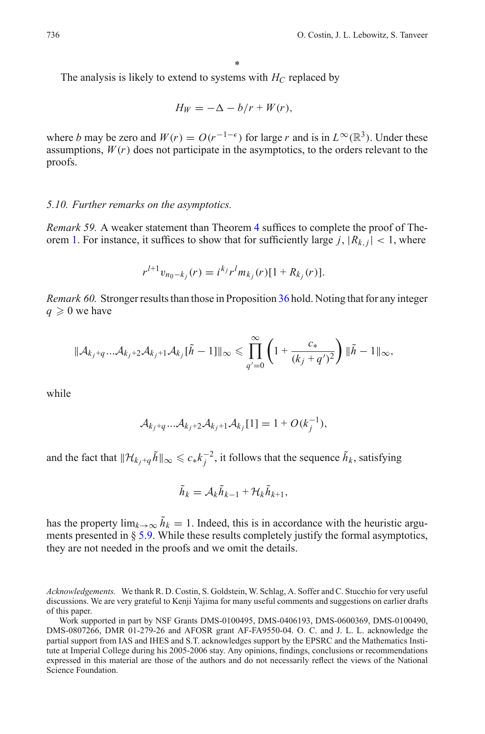The analysis is likely to extend to systems with *HC* replaced by

$$
H_W = -\Delta - b/r + W(r),
$$

where *b* may be zero and  $W(r) = O(r^{-1-\epsilon})$  for large *r* and is in  $L^{\infty}(\mathbb{R}^{3})$ . Under these assumptions,  $W(r)$  does not participate in the asymptotics, to the orders relevant to the proofs.

#### <span id="page-55-0"></span>*5.10. Further remarks on the asymptotics.*

*Remark 59.* A weaker statement than Theorem [4](#page-14-0) suffices to complete the proof of The-orem [1.](#page-5-4) For instance, it suffices to show that for sufficiently large  $j, |R_{k,j}| < 1$ , where

$$
r^{l+1}v_{n_0-k_j}(r) = i^{k_j}r^l m_{k_j}(r)[1 + R_{k_j}(r)].
$$

<span id="page-55-1"></span>*Remark 60.* Stronger results than those in Proposition [36](#page-24-2) hold. Noting that for any integer  $q \geqslant 0$  we have

$$
\|\mathcal{A}_{k_j+q}\ldots\mathcal{A}_{k_j+2}\mathcal{A}_{k_j+1}\mathcal{A}_{k_j}[\tilde{h}-1]\|_{\infty}\leq \prod_{q'=0}^{\infty}\left(1+\frac{c_*}{(k_j+q')^2}\right)\|\tilde{h}-1\|_{\infty},
$$

while

$$
\mathcal{A}_{k_j+q} \dots \mathcal{A}_{k_j+2} \mathcal{A}_{k_j+1} \mathcal{A}_{k_j} [1] = 1 + O(k_j^{-1}),
$$

and the fact that  $\|\mathcal{H}_{k_j+q}\tilde{h}\|_{\infty} \leq c_* k_j^{-2}$ , it follows that the sequence  $\tilde{h}_k$ , satisfying

$$
\tilde{h}_k = \mathcal{A}_k \tilde{h}_{k-1} + \mathcal{H}_k \tilde{h}_{k+1},
$$

has the property  $\lim_{k\to\infty} \tilde{h}_k = 1$ . Indeed, this is in accordance with the heuristic arguments presented in  $\S 5.9$ . While these results completely justify the formal asymptotics, they are not needed in the proofs and we omit the details.

<span id="page-55-2"></span>*Acknowledgements.* We thank R. D. Costin, S. Goldstein, W. Schlag, A. Soffer and C. Stucchio for very useful discussions. We are very grateful to Kenji Yajima for many useful comments and suggestions on earlier drafts of this paper.

Work supported in part by NSF Grants DMS-0100495, DMS-0406193, DMS-0600369, DMS-0100490, DMS-0807266, DMR 01-279-26 and AFOSR grant AF-FA9550-04. O. C. and J. L. L. acknowledge the partial support from IAS and IHES and S.T. acknowledges support by the EPSRC and the Mathematics Institute at Imperial College during his 2005-2006 stay. Any opinions, findings, conclusions or recommendations expressed in this material are those of the authors and do not necessarily reflect the views of the National Science Foundation.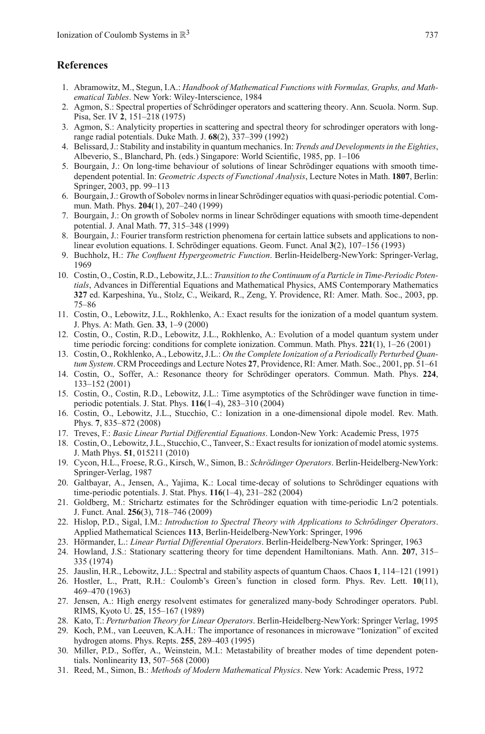#### <span id="page-56-17"></span>**References**

- 1. Abramowitz, M., Stegun, I.A.: *Handbook of Mathematical Functions with Formulas, Graphs, and Mathematical Tables*. New York: Wiley-Interscience, 1984
- 2. Agmon, S.: Spectral properties of Schrödinger operators and scattering theory. Ann. Scuola. Norm. Sup. Pisa, Ser. IV **2**, 151–218 (1975)
- 3. Agmon, S.: Analyticity properties in scattering and spectral theory for schrodinger operators with longrange radial potentials. Duke Math. J. **68**(2), 337–399 (1992)
- 4. Belissard, J.: Stability and instability in quantum mechanics. In: *Trends and Developments in the Eighties*, Albeverio, S., Blanchard, Ph. (eds.) Singapore: World Scientific, 1985, pp. 1–106
- <span id="page-56-0"></span>5. Bourgain, J.: On long-time behaviour of solutions of linear Schrödinger equations with smooth timedependent potential. In: *Geometric Aspects of Functional Analysis*, Lecture Notes in Math. **1807**, Berlin: Springer, 2003, pp. 99–113
- 6. Bourgain, J.: Growth of Sobolev norms in linear Schrödinger equatios with quasi-periodic potential. Commun. Math. Phys. **204**(1), 207–240 (1999)
- 7. Bourgain, J.: On growth of Sobolev norms in linear Schrödinger equations with smooth time-dependent potential. J. Anal Math. **77**, 315–348 (1999)
- <span id="page-56-1"></span>8. Bourgain, J.: Fourier transform restriction phenomena for certain lattice subsets and applications to nonlinear evolution equations. I. Schrödinger equations. Geom. Funct. Anal **3**(2), 107–156 (1993)
- 9. Buchholz, H.: *The Confluent Hypergeometric Function*. Berlin-Heidelberg-NewYork: Springer-Verlag, 1969
- <span id="page-56-16"></span><span id="page-56-12"></span>10. Costin, O., Costin, R.D., Lebowitz, J.L.: *Transition to the Continuum of a Particle in Time-Periodic Potentials*, Advances in Differential Equations and Mathematical Physics, AMS Contemporary Mathematics **327** ed. Karpeshina, Yu., Stolz, C., Weikard, R., Zeng, Y. Providence, RI: Amer. Math. Soc., 2003, pp. 75–86
- <span id="page-56-4"></span>11. Costin, O., Lebowitz, J.L., Rokhlenko, A.: Exact results for the ionization of a model quantum system. J. Phys. A: Math. Gen. **33**, 1–9 (2000)
- <span id="page-56-9"></span>12. Costin, O., Costin, R.D., Lebowitz, J.L., Rokhlenko, A.: Evolution of a model quantum system under time periodic forcing: conditions for complete ionization. Commun. Math. Phys. **221**(1), 1–26 (2001)
- <span id="page-56-5"></span>13. Costin, O., Rokhlenko, A., Lebowitz, J.L.: *On the Complete Ionization of a Periodically Perturbed Quantum System*. CRM Proceedings and Lecture Notes **27**, Providence, RI: Amer. Math. Soc., 2001, pp. 51–61
- 14. Costin, O., Soffer, A.: Resonance theory for Schrödinger operators. Commun. Math. Phys. **224**, 133–152 (2001)
- <span id="page-56-6"></span>15. Costin, O., Costin, R.D., Lebowitz, J.L.: Time asymptotics of the Schrödinger wave function in timeperiodic potentials. J. Stat. Phys. **116**(1–4), 283–310 (2004)
- <span id="page-56-7"></span>16. Costin, O., Lebowitz, J.L., Stucchio, C.: Ionization in a one-dimensional dipole model. Rev. Math. Phys. **7**, 835–872 (2008)
- <span id="page-56-18"></span>17. Treves, F.: *Basic Linear Partial Differential Equations*. London-New York: Academic Press, 1975
- <span id="page-56-13"></span>18. Costin, O., Lebowitz, J.L., Stucchio, C., Tanveer, S.: Exact results for ionization of model atomic systems. J. Math Phys. **51**, 015211 (2010)
- 19. Cycon, H.L., Froese, R.G., Kirsch, W., Simon, B.: *Schrödinger Operators*. Berlin-Heidelberg-NewYork: Springer-Verlag, 1987
- <span id="page-56-3"></span>20. Galtbayar, A., Jensen, A., Yajima, K.: Local time-decay of solutions to Schrödinger equations with time-periodic potentials. J. Stat. Phys. **116**(1–4), 231–282 (2004)
- <span id="page-56-2"></span>21. Goldberg, M.: Strichartz estimates for the Schrödinger equation with time-periodic Ln/2 potentials. J. Funct. Anal. **256**(3), 718–746 (2009)
- 22. Hislop, P.D., Sigal, I.M.: *Introduction to Spectral Theory with Applications to Schrödinger Operators*. Applied Mathematical Sciences **113**, Berlin-Heidelberg-NewYork: Springer, 1996
- <span id="page-56-19"></span>23. Hörmander, L.: *Linear Partial Differential Operators*. Berlin-Heidelberg-NewYork: Springer, 1963
- 24. Howland, J.S.: Stationary scattering theory for time dependent Hamiltonians. Math. Ann. **207**, 315– 335 (1974)
- 25. Jauslin, H.R., Lebowitz, J.L.: Spectral and stability aspects of quantum Chaos. Chaos **1**, 114–121 (1991)
- <span id="page-56-15"></span>26. Hostler, L., Pratt, R.H.: Coulomb's Green's function in closed form. Phys. Rev. Lett. **10**(11), 469–470 (1963)
- <span id="page-56-14"></span>27. Jensen, A.: High energy resolvent estimates for generalized many-body Schrodinger operators. Publ. RIMS, Kyoto U. **25**, 155–167 (1989)
- <span id="page-56-10"></span>28. Kato, T.: *Perturbation Theory for Linear Operators*. Berlin-Heidelberg-NewYork: Springer Verlag, 1995
- 29. Koch, P.M., van Leeuven, K.A.H.: The importance of resonances in microwave "Ionization" of excited hydrogen atoms. Phys. Repts. **255**, 289–403 (1995)
- <span id="page-56-8"></span>30. Miller, P.D., Soffer, A., Weinstein, M.I.: Metastability of breather modes of time dependent potentials. Nonlinearity **13**, 507–568 (2000)
- <span id="page-56-11"></span>31. Reed, M., Simon, B.: *Methods of Modern Mathematical Physics*. New York: Academic Press, 1972